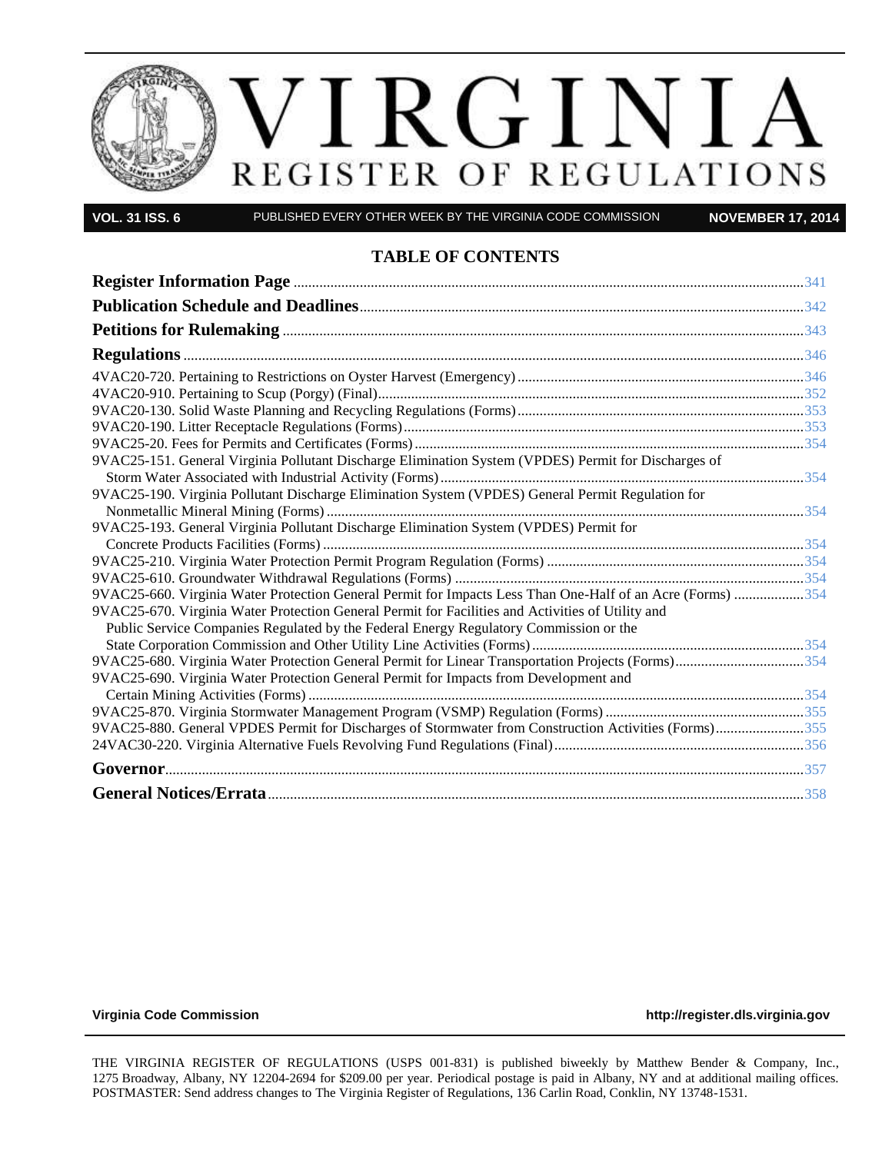

**VOL. 31 ISS. 6** PUBLISHED EVERY OTHER WEEK BY THE VIRGINIA CODE COMMISSION **NOVEMBER 17, 2014**

### **TABLE OF CONTENTS**

| 9VAC25-151. General Virginia Pollutant Discharge Elimination System (VPDES) Permit for Discharges of       |  |
|------------------------------------------------------------------------------------------------------------|--|
|                                                                                                            |  |
| 9VAC25-190. Virginia Pollutant Discharge Elimination System (VPDES) General Permit Regulation for          |  |
|                                                                                                            |  |
| 9VAC25-193. General Virginia Pollutant Discharge Elimination System (VPDES) Permit for                     |  |
|                                                                                                            |  |
|                                                                                                            |  |
|                                                                                                            |  |
| 9VAC25-660. Virginia Water Protection General Permit for Impacts Less Than One-Half of an Acre (Forms) 354 |  |
| 9VAC25-670. Virginia Water Protection General Permit for Facilities and Activities of Utility and          |  |
| Public Service Companies Regulated by the Federal Energy Regulatory Commission or the                      |  |
|                                                                                                            |  |
| 9VAC25-680. Virginia Water Protection General Permit for Linear Transportation Projects (Forms)354         |  |
| 9VAC25-690. Virginia Water Protection General Permit for Impacts from Development and                      |  |
|                                                                                                            |  |
|                                                                                                            |  |
| 9VAC25-880. General VPDES Permit for Discharges of Stormwater from Construction Activities (Forms)355      |  |
|                                                                                                            |  |
|                                                                                                            |  |
|                                                                                                            |  |

VOL

**[Virginia Code Commission](http://register.dls.virginia.gov/) [http://register.dls.virginia.gov](http://register.dls.virginia.gov/)**

THE VIRGINIA REGISTER OF REGULATIONS (USPS 001-831) is published biweekly by Matthew Bender & Company, Inc., 1275 Broadway, Albany, NY 12204-2694 for \$209.00 per year. Periodical postage is paid in Albany, NY and at additional mailing offices. POSTMASTER: Send address changes to The Virginia Register of Regulations, 136 Carlin Road, Conklin, NY 13748-1531.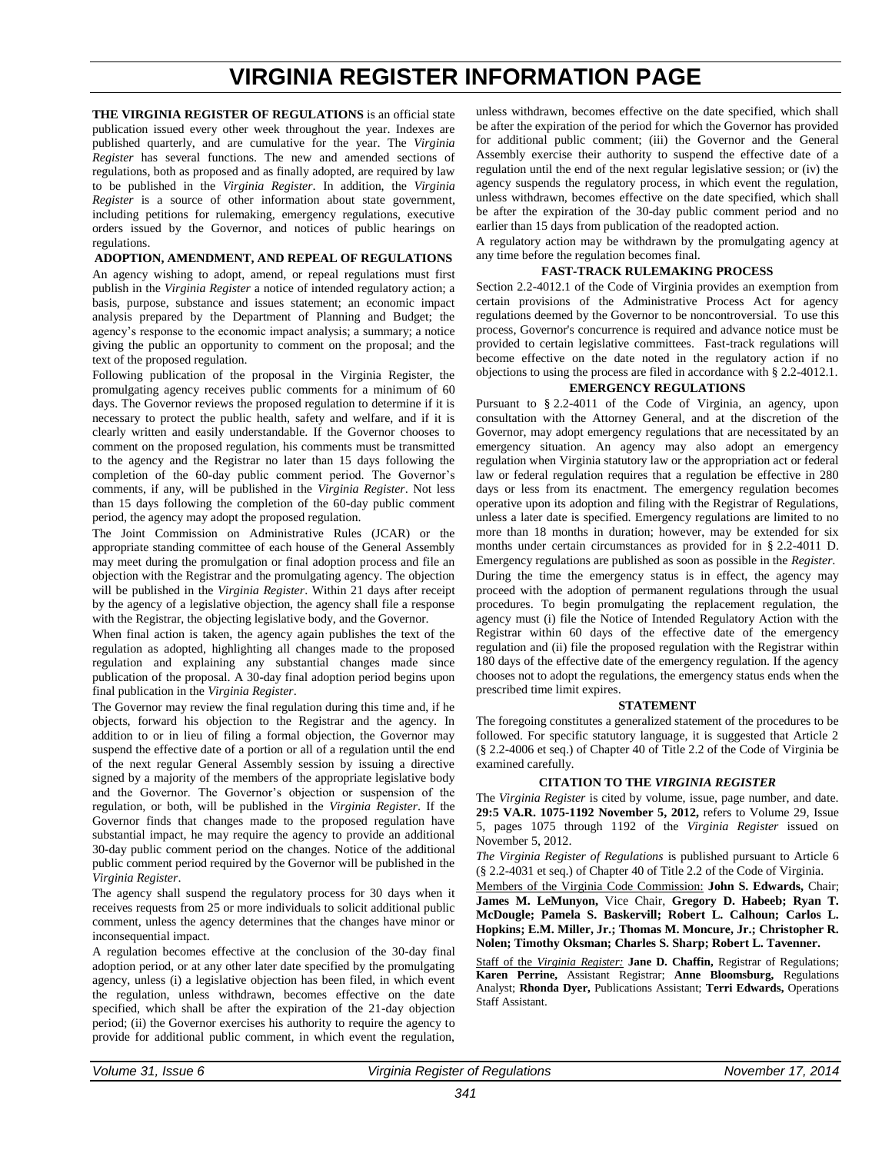# **VIRGINIA REGISTER INFORMATION PAGE**

<span id="page-1-0"></span>**THE VIRGINIA REGISTER OF REGULATIONS** is an official state publication issued every other week throughout the year. Indexes are published quarterly, and are cumulative for the year. The *Virginia Register* has several functions. The new and amended sections of regulations, both as proposed and as finally adopted, are required by law to be published in the *Virginia Register*. In addition, the *Virginia Register* is a source of other information about state government, including petitions for rulemaking, emergency regulations, executive orders issued by the Governor, and notices of public hearings on regulations.

#### **ADOPTION, AMENDMENT, AND REPEAL OF REGULATIONS**

An agency wishing to adopt, amend, or repeal regulations must first publish in the *Virginia Register* a notice of intended regulatory action; a basis, purpose, substance and issues statement; an economic impact analysis prepared by the Department of Planning and Budget; the agency's response to the economic impact analysis; a summary; a notice giving the public an opportunity to comment on the proposal; and the text of the proposed regulation.

Following publication of the proposal in the Virginia Register, the promulgating agency receives public comments for a minimum of 60 days. The Governor reviews the proposed regulation to determine if it is necessary to protect the public health, safety and welfare, and if it is clearly written and easily understandable. If the Governor chooses to comment on the proposed regulation, his comments must be transmitted to the agency and the Registrar no later than 15 days following the completion of the 60-day public comment period. The Governor's comments, if any, will be published in the *Virginia Register*. Not less than 15 days following the completion of the 60-day public comment period, the agency may adopt the proposed regulation.

The Joint Commission on Administrative Rules (JCAR) or the appropriate standing committee of each house of the General Assembly may meet during the promulgation or final adoption process and file an objection with the Registrar and the promulgating agency. The objection will be published in the *Virginia Register*. Within 21 days after receipt by the agency of a legislative objection, the agency shall file a response with the Registrar, the objecting legislative body, and the Governor.

When final action is taken, the agency again publishes the text of the regulation as adopted, highlighting all changes made to the proposed regulation and explaining any substantial changes made since publication of the proposal. A 30-day final adoption period begins upon final publication in the *Virginia Register*.

The Governor may review the final regulation during this time and, if he objects, forward his objection to the Registrar and the agency. In addition to or in lieu of filing a formal objection, the Governor may suspend the effective date of a portion or all of a regulation until the end of the next regular General Assembly session by issuing a directive signed by a majority of the members of the appropriate legislative body and the Governor. The Governor's objection or suspension of the regulation, or both, will be published in the *Virginia Register*. If the Governor finds that changes made to the proposed regulation have substantial impact, he may require the agency to provide an additional 30-day public comment period on the changes. Notice of the additional public comment period required by the Governor will be published in the *Virginia Register*.

The agency shall suspend the regulatory process for 30 days when it receives requests from 25 or more individuals to solicit additional public comment, unless the agency determines that the changes have minor or inconsequential impact.

A regulation becomes effective at the conclusion of the 30-day final adoption period, or at any other later date specified by the promulgating agency, unless (i) a legislative objection has been filed, in which event the regulation, unless withdrawn, becomes effective on the date specified, which shall be after the expiration of the 21-day objection period; (ii) the Governor exercises his authority to require the agency to provide for additional public comment, in which event the regulation, unless withdrawn, becomes effective on the date specified, which shall be after the expiration of the period for which the Governor has provided for additional public comment; (iii) the Governor and the General Assembly exercise their authority to suspend the effective date of a regulation until the end of the next regular legislative session; or (iv) the agency suspends the regulatory process, in which event the regulation, unless withdrawn, becomes effective on the date specified, which shall be after the expiration of the 30-day public comment period and no earlier than 15 days from publication of the readopted action.

A regulatory action may be withdrawn by the promulgating agency at any time before the regulation becomes final.

#### **FAST-TRACK RULEMAKING PROCESS**

Section 2.2-4012.1 of the Code of Virginia provides an exemption from certain provisions of the Administrative Process Act for agency regulations deemed by the Governor to be noncontroversial. To use this process, Governor's concurrence is required and advance notice must be provided to certain legislative committees. Fast-track regulations will become effective on the date noted in the regulatory action if no objections to using the process are filed in accordance with § 2.2-4012.1.

#### **EMERGENCY REGULATIONS**

Pursuant to § [2.2-4011](http://leg1.state.va.us/cgi-bin/legp504.exe?000+cod+2.2-4011) of the Code of Virginia, an agency, upon consultation with the Attorney General, and at the discretion of the Governor, may adopt emergency regulations that are necessitated by an emergency situation. An agency may also adopt an emergency regulation when Virginia statutory law or the appropriation act or federal law or federal regulation requires that a regulation be effective in 280 days or less from its enactment. The emergency regulation becomes operative upon its adoption and filing with the Registrar of Regulations, unless a later date is specified. Emergency regulations are limited to no more than 18 months in duration; however, may be extended for six months under certain circumstances as provided for in § 2.2-4011 D. Emergency regulations are published as soon as possible in the *Register*. During the time the emergency status is in effect, the agency may proceed with the adoption of permanent regulations through the usual procedures. To begin promulgating the replacement regulation, the agency must (i) file the Notice of Intended Regulatory Action with the Registrar within 60 days of the effective date of the emergency regulation and (ii) file the proposed regulation with the Registrar within 180 days of the effective date of the emergency regulation. If the agency chooses not to adopt the regulations, the emergency status ends when the prescribed time limit expires.

#### **STATEMENT**

The foregoing constitutes a generalized statement of the procedures to be followed. For specific statutory language, it is suggested that Article 2 (§ 2.2-4006 et seq.) of Chapter 40 of Title 2.2 of the Code of Virginia be examined carefully.

#### **CITATION TO THE** *VIRGINIA REGISTER*

The *Virginia Register* is cited by volume, issue, page number, and date. **29:5 VA.R. 1075-1192 November 5, 2012,** refers to Volume 29, Issue 5, pages 1075 through 1192 of the *Virginia Register* issued on November 5, 2012.

*The Virginia Register of Regulations* is published pursuant to Article 6 (§ 2.2-4031 et seq.) of Chapter 40 of Title 2.2 of the Code of Virginia.

Members of the Virginia Code Commission: **John S. Edwards,** Chair; **James M. LeMunyon,** Vice Chair, **Gregory D. Habeeb; Ryan T. McDougle; Pamela S. Baskervill; Robert L. Calhoun; Carlos L. Hopkins; E.M. Miller, Jr.; Thomas M. Moncure, Jr.; Christopher R. Nolen; Timothy Oksman; Charles S. Sharp; Robert L. Tavenner.**

Staff of the *Virginia Register:* **Jane D. Chaffin,** Registrar of Regulations; **Karen Perrine,** Assistant Registrar; **Anne Bloomsburg,** Regulations Analyst; **Rhonda Dyer,** Publications Assistant; **Terri Edwards,** Operations Staff Assistant.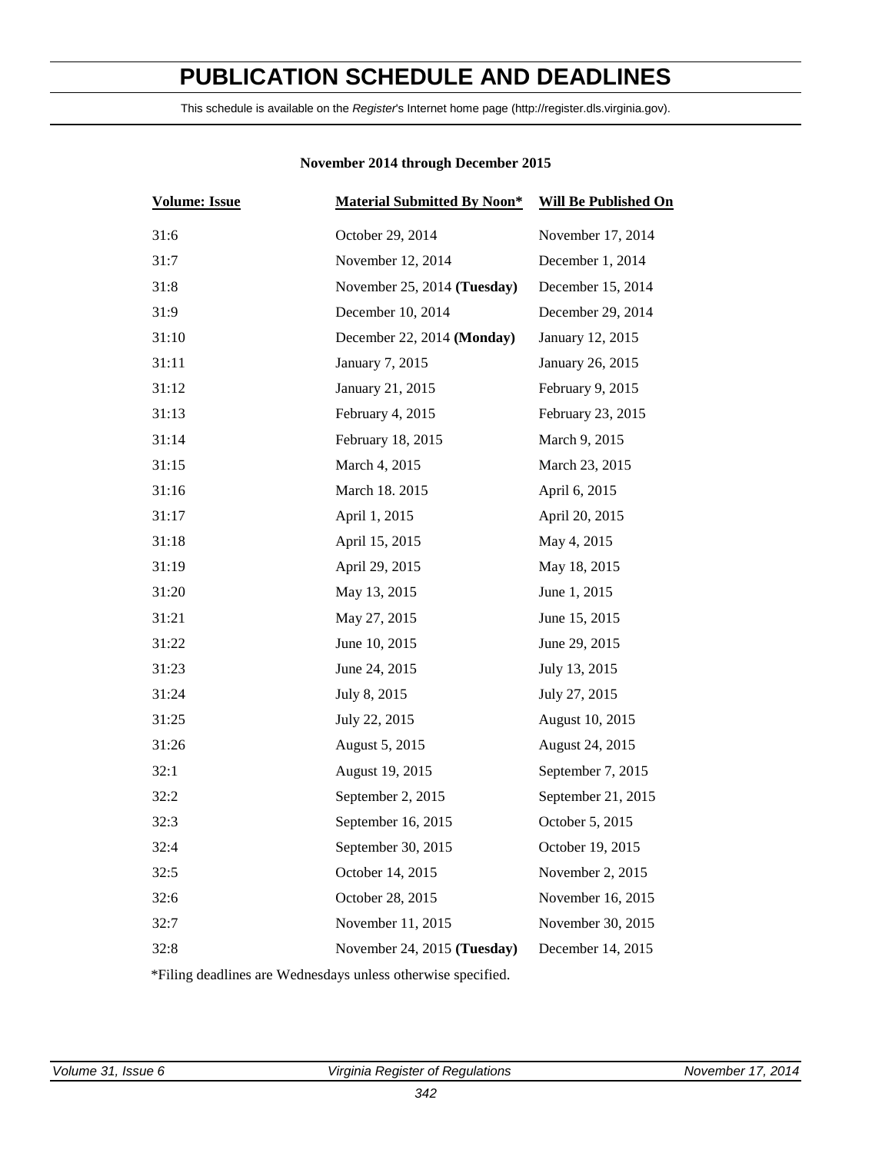# <span id="page-2-0"></span>**PUBLICATION SCHEDULE AND DEADLINES**

This schedule is available on the *Register*'s Internet home page (http://register.dls.virginia.gov).

| <b>Volume: Issue</b> | <b>Material Submitted By Noon*</b> | <b>Will Be Published On</b> |
|----------------------|------------------------------------|-----------------------------|
| 31:6                 | October 29, 2014                   | November 17, 2014           |
| 31:7                 | November 12, 2014                  | December 1, 2014            |
| 31:8                 | November 25, 2014 (Tuesday)        | December 15, 2014           |
| 31:9                 | December 10, 2014                  | December 29, 2014           |
| 31:10                | December 22, 2014 (Monday)         | January 12, 2015            |
| 31:11                | January 7, 2015                    | January 26, 2015            |
| 31:12                | January 21, 2015                   | February 9, 2015            |
| 31:13                | February 4, 2015                   | February 23, 2015           |
| 31:14                | February 18, 2015                  | March 9, 2015               |
| 31:15                | March 4, 2015                      | March 23, 2015              |
| 31:16                | March 18. 2015                     | April 6, 2015               |
| 31:17                | April 1, 2015                      | April 20, 2015              |
| 31:18                | April 15, 2015                     | May 4, 2015                 |
| 31:19                | April 29, 2015                     | May 18, 2015                |
| 31:20                | May 13, 2015                       | June 1, 2015                |
| 31:21                | May 27, 2015                       | June 15, 2015               |
| 31:22                | June 10, 2015                      | June 29, 2015               |
| 31:23                | June 24, 2015                      | July 13, 2015               |
| 31:24                | July 8, 2015                       | July 27, 2015               |
| 31:25                | July 22, 2015                      | August 10, 2015             |
| 31:26                | August 5, 2015                     | August 24, 2015             |
| 32:1                 | August 19, 2015                    | September 7, 2015           |
| 32:2                 | September 2, 2015                  | September 21, 2015          |
| 32:3                 | September 16, 2015                 | October 5, 2015             |
| 32:4                 | September 30, 2015                 | October 19, 2015            |
| 32:5                 | October 14, 2015                   | November 2, 2015            |
| 32:6                 | October 28, 2015                   | November 16, 2015           |
| 32:7                 | November 11, 2015                  | November 30, 2015           |
| 32:8                 | November 24, 2015 (Tuesday)        | December 14, 2015           |
|                      |                                    |                             |

### **November 2014 through December 2015**

\*Filing deadlines are Wednesdays unless otherwise specified.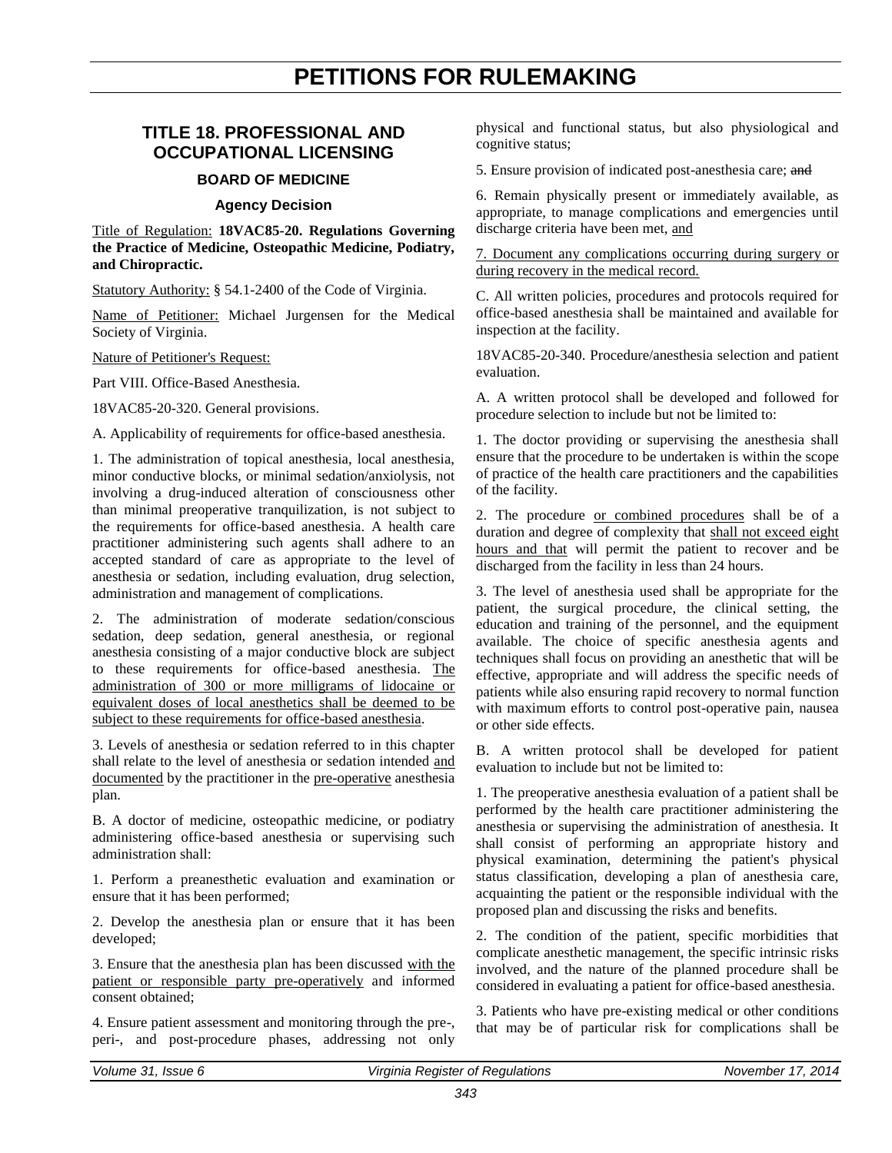# **PETITIONS FOR RULEMAKING**

### <span id="page-3-0"></span>**TITLE 18. PROFESSIONAL AND OCCUPATIONAL LICENSING**

#### **BOARD OF MEDICINE**

#### **Agency Decision**

Title of Regulation: **18VAC85-20. Regulations Governing the Practice of Medicine, Osteopathic Medicine, Podiatry, and Chiropractic.**

Statutory Authority: § 54.1-2400 of the Code of Virginia.

Name of Petitioner: Michael Jurgensen for the Medical Society of Virginia.

Nature of Petitioner's Request:

Part VIII. Office-Based Anesthesia.

18VAC85-20-320. General provisions.

A. Applicability of requirements for office-based anesthesia.

1. The administration of topical anesthesia, local anesthesia, minor conductive blocks, or minimal sedation/anxiolysis, not involving a drug-induced alteration of consciousness other than minimal preoperative tranquilization, is not subject to the requirements for office-based anesthesia. A health care practitioner administering such agents shall adhere to an accepted standard of care as appropriate to the level of anesthesia or sedation, including evaluation, drug selection, administration and management of complications.

2. The administration of moderate sedation/conscious sedation, deep sedation, general anesthesia, or regional anesthesia consisting of a major conductive block are subject to these requirements for office-based anesthesia. The administration of 300 or more milligrams of lidocaine or equivalent doses of local anesthetics shall be deemed to be subject to these requirements for office-based anesthesia.

3. Levels of anesthesia or sedation referred to in this chapter shall relate to the level of anesthesia or sedation intended and documented by the practitioner in the pre-operative anesthesia plan.

B. A doctor of medicine, osteopathic medicine, or podiatry administering office-based anesthesia or supervising such administration shall:

1. Perform a preanesthetic evaluation and examination or ensure that it has been performed;

2. Develop the anesthesia plan or ensure that it has been developed;

3. Ensure that the anesthesia plan has been discussed with the patient or responsible party pre-operatively and informed consent obtained;

4. Ensure patient assessment and monitoring through the pre-, peri-, and post-procedure phases, addressing not only physical and functional status, but also physiological and cognitive status;

5. Ensure provision of indicated post-anesthesia care; and

6. Remain physically present or immediately available, as appropriate, to manage complications and emergencies until discharge criteria have been met, and

7. Document any complications occurring during surgery or during recovery in the medical record.

C. All written policies, procedures and protocols required for office-based anesthesia shall be maintained and available for inspection at the facility.

18VAC85-20-340. Procedure/anesthesia selection and patient evaluation.

A. A written protocol shall be developed and followed for procedure selection to include but not be limited to:

1. The doctor providing or supervising the anesthesia shall ensure that the procedure to be undertaken is within the scope of practice of the health care practitioners and the capabilities of the facility.

2. The procedure or combined procedures shall be of a duration and degree of complexity that shall not exceed eight hours and that will permit the patient to recover and be discharged from the facility in less than 24 hours.

3. The level of anesthesia used shall be appropriate for the patient, the surgical procedure, the clinical setting, the education and training of the personnel, and the equipment available. The choice of specific anesthesia agents and techniques shall focus on providing an anesthetic that will be effective, appropriate and will address the specific needs of patients while also ensuring rapid recovery to normal function with maximum efforts to control post-operative pain, nausea or other side effects.

B. A written protocol shall be developed for patient evaluation to include but not be limited to:

1. The preoperative anesthesia evaluation of a patient shall be performed by the health care practitioner administering the anesthesia or supervising the administration of anesthesia. It shall consist of performing an appropriate history and physical examination, determining the patient's physical status classification, developing a plan of anesthesia care, acquainting the patient or the responsible individual with the proposed plan and discussing the risks and benefits.

2. The condition of the patient, specific morbidities that complicate anesthetic management, the specific intrinsic risks involved, and the nature of the planned procedure shall be considered in evaluating a patient for office-based anesthesia.

3. Patients who have pre-existing medical or other conditions that may be of particular risk for complications shall be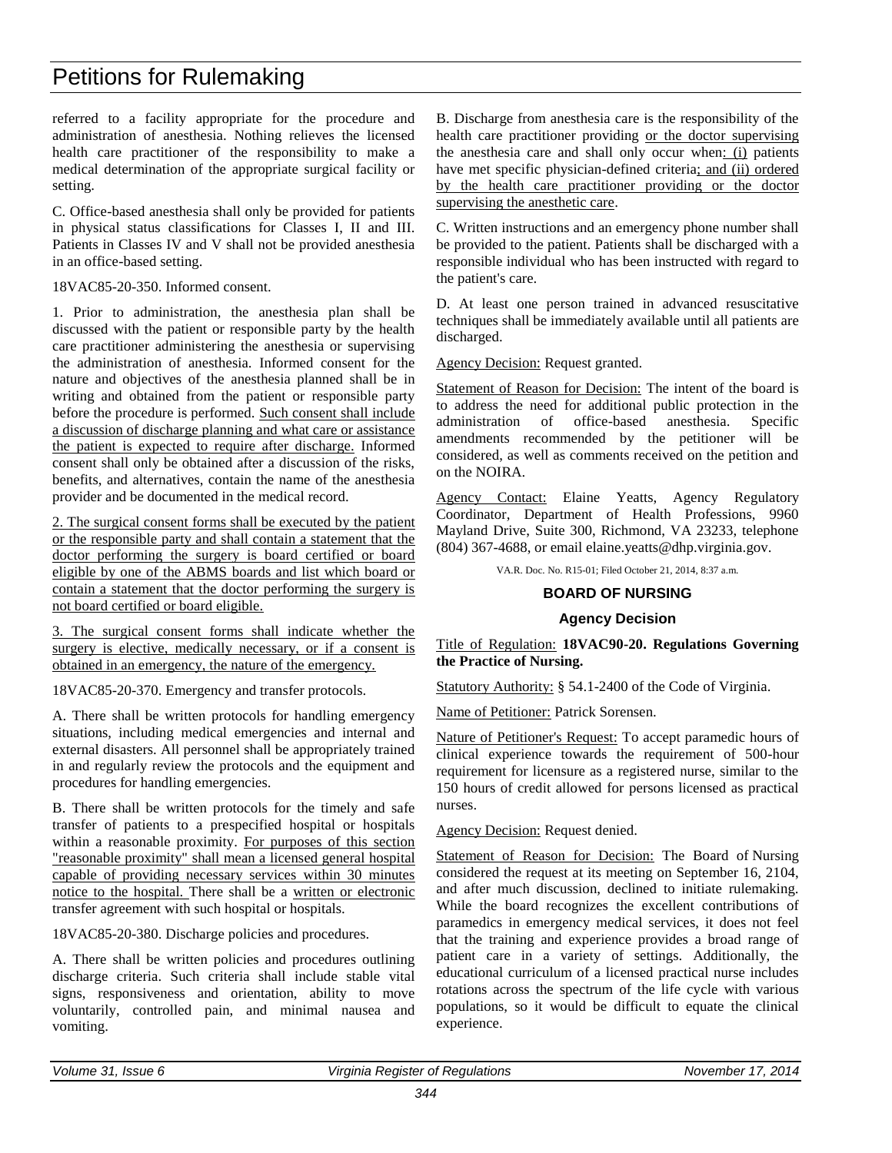# Petitions for Rulemaking

referred to a facility appropriate for the procedure and administration of anesthesia. Nothing relieves the licensed health care practitioner of the responsibility to make a medical determination of the appropriate surgical facility or setting.

C. Office-based anesthesia shall only be provided for patients in physical status classifications for Classes I, II and III. Patients in Classes IV and V shall not be provided anesthesia in an office-based setting.

18VAC85-20-350. Informed consent.

1. Prior to administration, the anesthesia plan shall be discussed with the patient or responsible party by the health care practitioner administering the anesthesia or supervising the administration of anesthesia. Informed consent for the nature and objectives of the anesthesia planned shall be in writing and obtained from the patient or responsible party before the procedure is performed. Such consent shall include a discussion of discharge planning and what care or assistance the patient is expected to require after discharge. Informed consent shall only be obtained after a discussion of the risks, benefits, and alternatives, contain the name of the anesthesia provider and be documented in the medical record.

2. The surgical consent forms shall be executed by the patient or the responsible party and shall contain a statement that the doctor performing the surgery is board certified or board eligible by one of the ABMS boards and list which board or contain a statement that the doctor performing the surgery is not board certified or board eligible.

3. The surgical consent forms shall indicate whether the surgery is elective, medically necessary, or if a consent is obtained in an emergency, the nature of the emergency.

18VAC85-20-370. Emergency and transfer protocols.

A. There shall be written protocols for handling emergency situations, including medical emergencies and internal and external disasters. All personnel shall be appropriately trained in and regularly review the protocols and the equipment and procedures for handling emergencies.

B. There shall be written protocols for the timely and safe transfer of patients to a prespecified hospital or hospitals within a reasonable proximity. For purposes of this section "reasonable proximity" shall mean a licensed general hospital capable of providing necessary services within 30 minutes notice to the hospital. There shall be a written or electronic transfer agreement with such hospital or hospitals.

18VAC85-20-380. Discharge policies and procedures.

A. There shall be written policies and procedures outlining discharge criteria. Such criteria shall include stable vital signs, responsiveness and orientation, ability to move voluntarily, controlled pain, and minimal nausea and vomiting.

B. Discharge from anesthesia care is the responsibility of the health care practitioner providing or the doctor supervising the anesthesia care and shall only occur when: (i) patients have met specific physician-defined criteria; and (ii) ordered by the health care practitioner providing or the doctor supervising the anesthetic care.

C. Written instructions and an emergency phone number shall be provided to the patient. Patients shall be discharged with a responsible individual who has been instructed with regard to the patient's care.

D. At least one person trained in advanced resuscitative techniques shall be immediately available until all patients are discharged.

Agency Decision: Request granted.

Statement of Reason for Decision: The intent of the board is to address the need for additional public protection in the administration of office-based anesthesia. Specific amendments recommended by the petitioner will be considered, as well as comments received on the petition and on the NOIRA.

Agency Contact: Elaine Yeatts, Agency Regulatory Coordinator, Department of Health Professions, 9960 Mayland Drive, Suite 300, Richmond, VA 23233, telephone (804) 367-4688, or email elaine.yeatts@dhp.virginia.gov.

VA.R. Doc. No. R15-01; Filed October 21, 2014, 8:37 a.m.

### **BOARD OF NURSING**

#### **Agency Decision**

#### Title of Regulation: **18VAC90-20. Regulations Governing the Practice of Nursing.**

Statutory Authority: § 54.1-2400 of the Code of Virginia.

Name of Petitioner: Patrick Sorensen.

Nature of Petitioner's Request: To accept paramedic hours of clinical experience towards the requirement of 500-hour requirement for licensure as a registered nurse, similar to the 150 hours of credit allowed for persons licensed as practical nurses.

Agency Decision: Request denied.

Statement of Reason for Decision: The Board of Nursing considered the request at its meeting on September 16, 2104, and after much discussion, declined to initiate rulemaking. While the board recognizes the excellent contributions of paramedics in emergency medical services, it does not feel that the training and experience provides a broad range of patient care in a variety of settings. Additionally, the educational curriculum of a licensed practical nurse includes rotations across the spectrum of the life cycle with various populations, so it would be difficult to equate the clinical experience.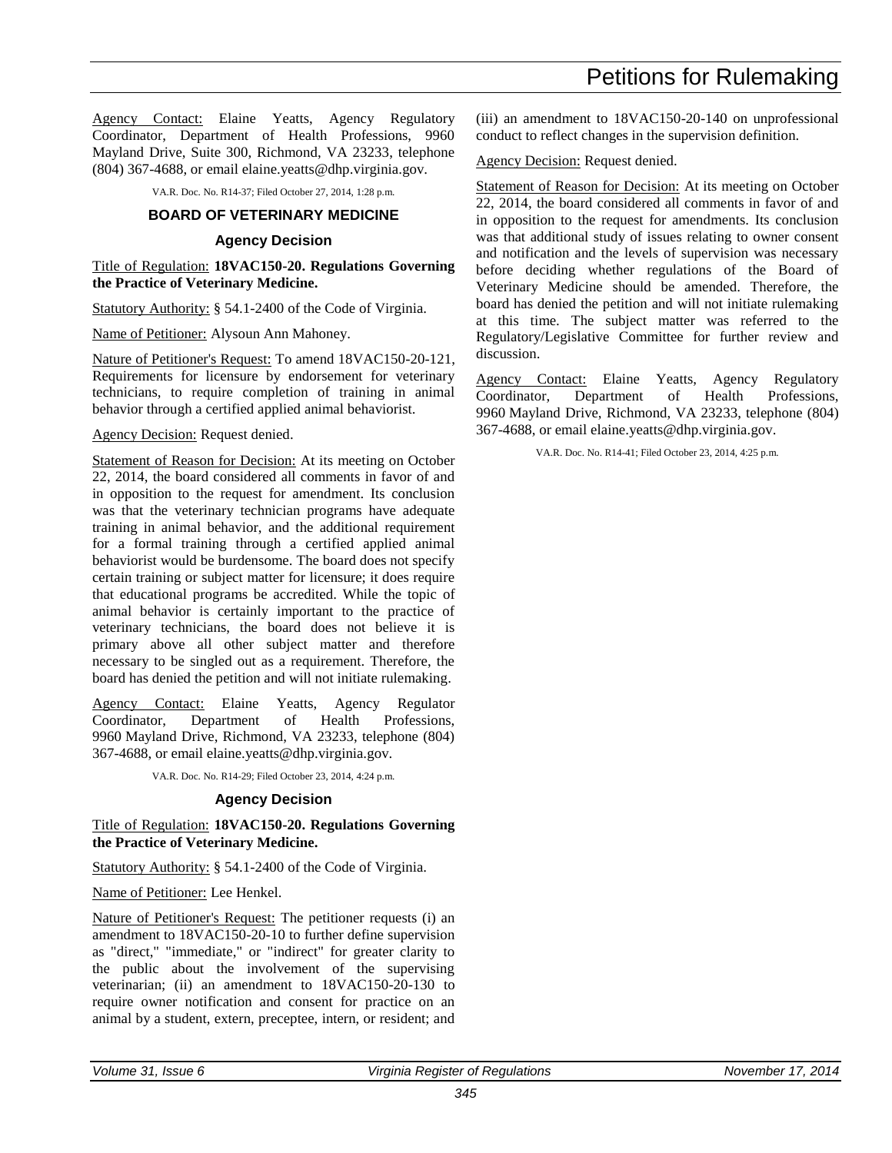Petitions for Rulemaking

Agency Contact: Elaine Yeatts, Agency Regulatory Coordinator, Department of Health Professions, 9960 Mayland Drive, Suite 300, Richmond, VA 23233, telephone (804) 367-4688, or email elaine.yeatts@dhp.virginia.gov.

VA.R. Doc. No. R14-37; Filed October 27, 2014, 1:28 p.m.

#### **BOARD OF VETERINARY MEDICINE**

#### **Agency Decision**

Title of Regulation: **18VAC150-20. Regulations Governing the Practice of Veterinary Medicine.**

Statutory Authority: § 54.1-2400 of the Code of Virginia.

Name of Petitioner: Alysoun Ann Mahoney.

Nature of Petitioner's Request: To amend 18VAC150-20-121, Requirements for licensure by endorsement for veterinary technicians, to require completion of training in animal behavior through a certified applied animal behaviorist.

#### Agency Decision: Request denied.

Statement of Reason for Decision: At its meeting on October 22, 2014, the board considered all comments in favor of and in opposition to the request for amendment. Its conclusion was that the veterinary technician programs have adequate training in animal behavior, and the additional requirement for a formal training through a certified applied animal behaviorist would be burdensome. The board does not specify certain training or subject matter for licensure; it does require that educational programs be accredited. While the topic of animal behavior is certainly important to the practice of veterinary technicians, the board does not believe it is primary above all other subject matter and therefore necessary to be singled out as a requirement. Therefore, the board has denied the petition and will not initiate rulemaking.

Agency Contact: Elaine Yeatts, Agency Regulator Coordinator, Department of Health Professions, 9960 Mayland Drive, Richmond, VA 23233, telephone (804) 367-4688, or email elaine.yeatts@dhp.virginia.gov.

VA.R. Doc. No. R14-29; Filed October 23, 2014, 4:24 p.m.

#### **Agency Decision**

Title of Regulation: **18VAC150-20. Regulations Governing the Practice of Veterinary Medicine.**

Statutory Authority: § 54.1-2400 of the Code of Virginia.

Name of Petitioner: Lee Henkel.

Nature of Petitioner's Request: The petitioner requests (i) an amendment to 18VAC150-20-10 to further define supervision as "direct," "immediate," or "indirect" for greater clarity to the public about the involvement of the supervising veterinarian; (ii) an amendment to 18VAC150-20-130 to require owner notification and consent for practice on an animal by a student, extern, preceptee, intern, or resident; and (iii) an amendment to 18VAC150-20-140 on unprofessional conduct to reflect changes in the supervision definition.

Agency Decision: Request denied.

Statement of Reason for Decision: At its meeting on October 22, 2014, the board considered all comments in favor of and in opposition to the request for amendments. Its conclusion was that additional study of issues relating to owner consent and notification and the levels of supervision was necessary before deciding whether regulations of the Board of Veterinary Medicine should be amended. Therefore, the board has denied the petition and will not initiate rulemaking at this time. The subject matter was referred to the Regulatory/Legislative Committee for further review and discussion.

Agency Contact: Elaine Yeatts, Agency Regulatory Coordinator, Department of Health Professions, 9960 Mayland Drive, Richmond, VA 23233, telephone (804) 367-4688, or email elaine.yeatts@dhp.virginia.gov.

VA.R. Doc. No. R14-41; Filed October 23, 2014, 4:25 p.m.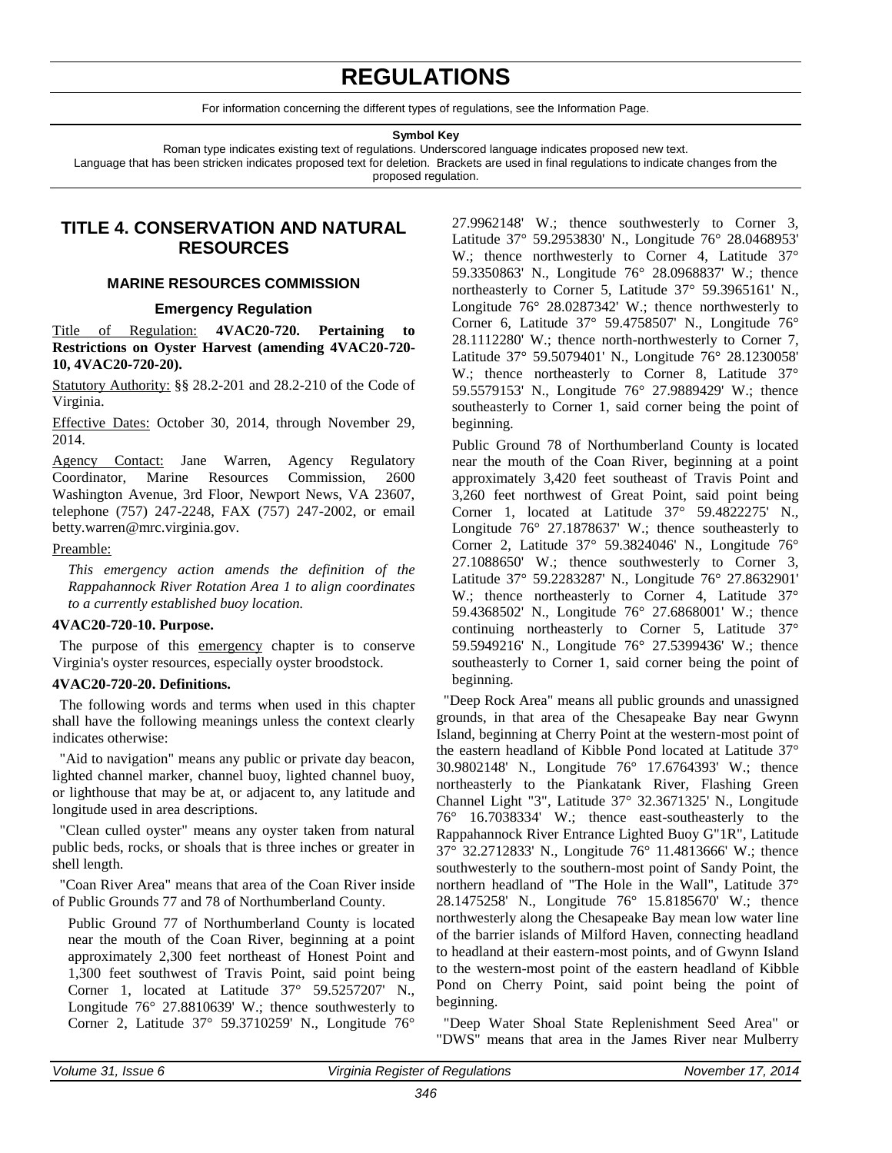# **REGULATIONS**

For information concerning the different types of regulations, see the Information Page.

#### **Symbol Key**

<span id="page-6-0"></span>Roman type indicates existing text of regulations. Underscored language indicates proposed new text. Language that has been stricken indicates proposed text for deletion. Brackets are used in final regulations to indicate changes from the proposed regulation.

### **TITLE 4. CONSERVATION AND NATURAL RESOURCES**

#### **MARINE RESOURCES COMMISSION**

#### **Emergency Regulation**

Title of Regulation: **4VAC20-720. Pertaining to Restrictions on Oyster Harvest (amending 4VAC20-720- 10, 4VAC20-720-20).** 

Statutory Authority: §§ 28.2-201 and 28.2-210 of the Code of Virginia.

Effective Dates: October 30, 2014, through November 29, 2014.

Agency Contact: Jane Warren, Agency Regulatory Coordinator, Marine Resources Commission, 2600 Washington Avenue, 3rd Floor, Newport News, VA 23607, telephone (757) 247-2248, FAX (757) 247-2002, or email betty.warren@mrc.virginia.gov.

#### Preamble:

*This emergency action amends the definition of the Rappahannock River Rotation Area 1 to align coordinates to a currently established buoy location.*

#### **4VAC20-720-10. Purpose.**

The purpose of this emergency chapter is to conserve Virginia's oyster resources, especially oyster broodstock.

#### **4VAC20-720-20. Definitions.**

The following words and terms when used in this chapter shall have the following meanings unless the context clearly indicates otherwise:

"Aid to navigation" means any public or private day beacon, lighted channel marker, channel buoy, lighted channel buoy, or lighthouse that may be at, or adjacent to, any latitude and longitude used in area descriptions.

"Clean culled oyster" means any oyster taken from natural public beds, rocks, or shoals that is three inches or greater in shell length.

"Coan River Area" means that area of the Coan River inside of Public Grounds 77 and 78 of Northumberland County.

Public Ground 77 of Northumberland County is located near the mouth of the Coan River, beginning at a point approximately 2,300 feet northeast of Honest Point and 1,300 feet southwest of Travis Point, said point being Corner 1, located at Latitude 37° 59.5257207' N., Longitude 76° 27.8810639' W.; thence southwesterly to Corner 2, Latitude 37° 59.3710259' N., Longitude 76°

27.9962148' W.; thence southwesterly to Corner 3, Latitude 37° 59.2953830' N., Longitude 76° 28.0468953' W.; thence northwesterly to Corner 4, Latitude 37° 59.3350863' N., Longitude 76° 28.0968837' W.; thence northeasterly to Corner 5, Latitude 37° 59.3965161' N., Longitude 76° 28.0287342' W.; thence northwesterly to Corner 6, Latitude 37° 59.4758507' N., Longitude 76° 28.1112280' W.; thence north-northwesterly to Corner 7, Latitude 37° 59.5079401' N., Longitude 76° 28.1230058' W.; thence northeasterly to Corner 8, Latitude 37° 59.5579153' N., Longitude 76° 27.9889429' W.; thence southeasterly to Corner 1, said corner being the point of beginning.

Public Ground 78 of Northumberland County is located near the mouth of the Coan River, beginning at a point approximately 3,420 feet southeast of Travis Point and 3,260 feet northwest of Great Point, said point being Corner 1, located at Latitude 37° 59.4822275' N., Longitude 76° 27.1878637' W.; thence southeasterly to Corner 2, Latitude 37° 59.3824046' N., Longitude 76° 27.1088650' W.; thence southwesterly to Corner 3, Latitude 37° 59.2283287' N., Longitude 76° 27.8632901' W.: thence northeasterly to Corner 4, Latitude 37° 59.4368502' N., Longitude 76° 27.6868001' W.; thence continuing northeasterly to Corner 5, Latitude 37° 59.5949216' N., Longitude 76° 27.5399436' W.; thence southeasterly to Corner 1, said corner being the point of beginning.

"Deep Rock Area" means all public grounds and unassigned grounds, in that area of the Chesapeake Bay near Gwynn Island, beginning at Cherry Point at the western-most point of the eastern headland of Kibble Pond located at Latitude 37° 30.9802148' N., Longitude 76° 17.6764393' W.; thence northeasterly to the Piankatank River, Flashing Green Channel Light "3", Latitude 37° 32.3671325' N., Longitude 76° 16.7038334' W.; thence east-southeasterly to the Rappahannock River Entrance Lighted Buoy G"1R", Latitude 37° 32.2712833' N., Longitude 76° 11.4813666' W.; thence southwesterly to the southern-most point of Sandy Point, the northern headland of "The Hole in the Wall", Latitude 37° 28.1475258' N., Longitude 76° 15.8185670' W.; thence northwesterly along the Chesapeake Bay mean low water line of the barrier islands of Milford Haven, connecting headland to headland at their eastern-most points, and of Gwynn Island to the western-most point of the eastern headland of Kibble Pond on Cherry Point, said point being the point of beginning.

"Deep Water Shoal State Replenishment Seed Area" or "DWS" means that area in the James River near Mulberry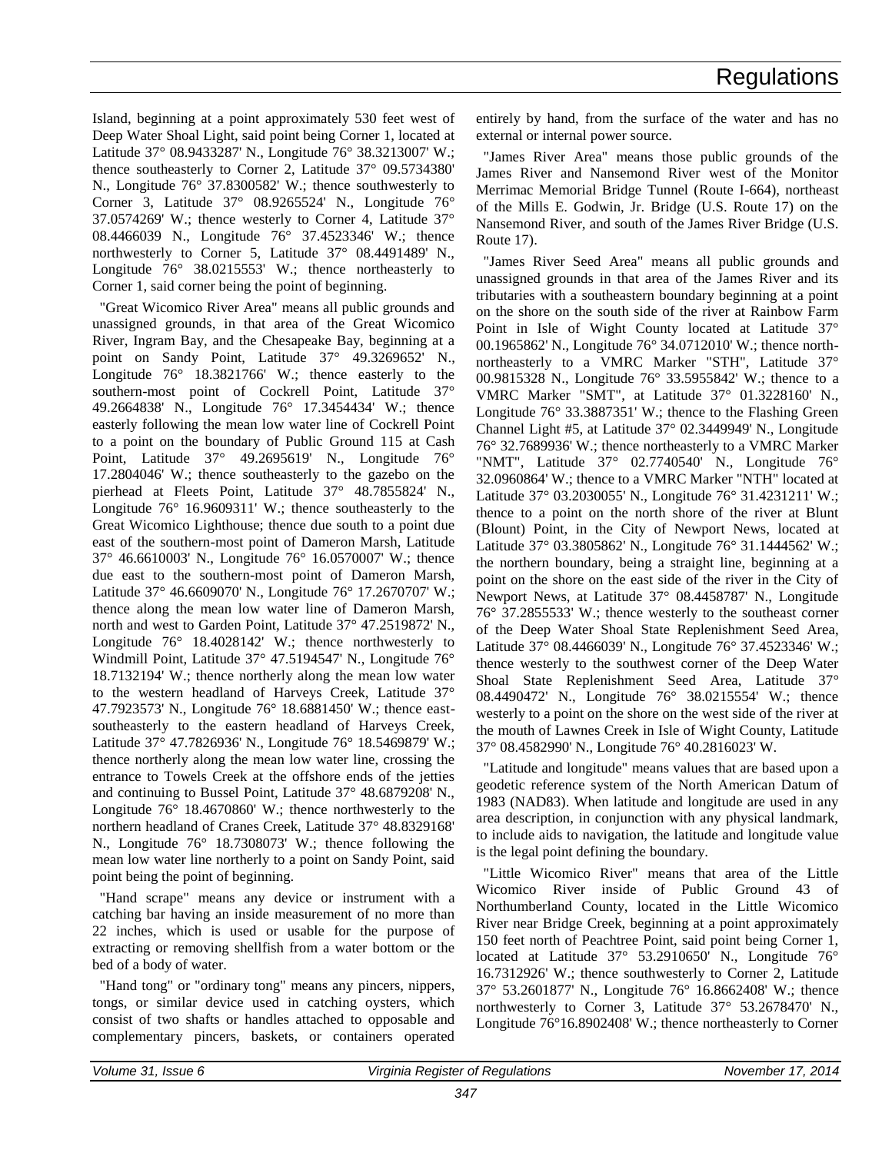Island, beginning at a point approximately 530 feet west of Deep Water Shoal Light, said point being Corner 1, located at Latitude 37° 08.9433287' N., Longitude 76° 38.3213007' W.; thence southeasterly to Corner 2, Latitude 37° 09.5734380' N., Longitude 76° 37.8300582' W.; thence southwesterly to Corner 3, Latitude 37° 08.9265524' N., Longitude 76° 37.0574269' W.; thence westerly to Corner 4, Latitude 37° 08.4466039 N., Longitude 76° 37.4523346' W.; thence northwesterly to Corner 5, Latitude 37° 08.4491489' N., Longitude 76° 38.0215553' W.; thence northeasterly to Corner 1, said corner being the point of beginning.

"Great Wicomico River Area" means all public grounds and unassigned grounds, in that area of the Great Wicomico River, Ingram Bay, and the Chesapeake Bay, beginning at a point on Sandy Point, Latitude 37° 49.3269652' N., Longitude 76° 18.3821766' W.; thence easterly to the southern-most point of Cockrell Point, Latitude 37° 49.2664838' N., Longitude 76° 17.3454434' W.; thence easterly following the mean low water line of Cockrell Point to a point on the boundary of Public Ground 115 at Cash Point, Latitude 37° 49.2695619' N., Longitude 76° 17.2804046' W.; thence southeasterly to the gazebo on the pierhead at Fleets Point, Latitude 37° 48.7855824' N., Longitude 76° 16.9609311' W.; thence southeasterly to the Great Wicomico Lighthouse; thence due south to a point due east of the southern-most point of Dameron Marsh, Latitude 37° 46.6610003' N., Longitude 76° 16.0570007' W.; thence due east to the southern-most point of Dameron Marsh, Latitude 37° 46.6609070' N., Longitude 76° 17.2670707' W.; thence along the mean low water line of Dameron Marsh, north and west to Garden Point, Latitude 37° 47.2519872' N., Longitude 76° 18.4028142' W.; thence northwesterly to Windmill Point, Latitude 37° 47.5194547' N., Longitude 76° 18.7132194' W.; thence northerly along the mean low water to the western headland of Harveys Creek, Latitude 37° 47.7923573' N., Longitude 76° 18.6881450' W.; thence eastsoutheasterly to the eastern headland of Harveys Creek, Latitude 37° 47.7826936' N., Longitude 76° 18.5469879' W.; thence northerly along the mean low water line, crossing the entrance to Towels Creek at the offshore ends of the jetties and continuing to Bussel Point, Latitude 37° 48.6879208' N., Longitude 76° 18.4670860' W.; thence northwesterly to the northern headland of Cranes Creek, Latitude 37° 48.8329168' N., Longitude 76° 18.7308073' W.; thence following the mean low water line northerly to a point on Sandy Point, said point being the point of beginning.

"Hand scrape" means any device or instrument with a catching bar having an inside measurement of no more than 22 inches, which is used or usable for the purpose of extracting or removing shellfish from a water bottom or the bed of a body of water.

"Hand tong" or "ordinary tong" means any pincers, nippers, tongs, or similar device used in catching oysters, which consist of two shafts or handles attached to opposable and complementary pincers, baskets, or containers operated entirely by hand, from the surface of the water and has no external or internal power source.

"James River Area" means those public grounds of the James River and Nansemond River west of the Monitor Merrimac Memorial Bridge Tunnel (Route I-664), northeast of the Mills E. Godwin, Jr. Bridge (U.S. Route 17) on the Nansemond River, and south of the James River Bridge (U.S. Route 17).

"James River Seed Area" means all public grounds and unassigned grounds in that area of the James River and its tributaries with a southeastern boundary beginning at a point on the shore on the south side of the river at Rainbow Farm Point in Isle of Wight County located at Latitude 37° 00.1965862' N., Longitude 76° 34.0712010' W.; thence northnortheasterly to a VMRC Marker "STH", Latitude 37° 00.9815328 N., Longitude 76° 33.5955842' W.; thence to a VMRC Marker "SMT", at Latitude 37° 01.3228160' N., Longitude 76° 33.3887351' W.; thence to the Flashing Green Channel Light #5, at Latitude 37° 02.3449949' N., Longitude 76° 32.7689936' W.; thence northeasterly to a VMRC Marker "NMT", Latitude 37° 02.7740540' N., Longitude 76° 32.0960864' W.; thence to a VMRC Marker "NTH" located at Latitude 37° 03.2030055' N., Longitude 76° 31.4231211' W.; thence to a point on the north shore of the river at Blunt (Blount) Point, in the City of Newport News, located at Latitude 37° 03.3805862' N., Longitude 76° 31.1444562' W.; the northern boundary, being a straight line, beginning at a point on the shore on the east side of the river in the City of Newport News, at Latitude 37° 08.4458787' N., Longitude 76° 37.2855533' W.; thence westerly to the southeast corner of the Deep Water Shoal State Replenishment Seed Area, Latitude 37° 08.4466039' N., Longitude 76° 37.4523346' W.; thence westerly to the southwest corner of the Deep Water Shoal State Replenishment Seed Area, Latitude 37° 08.4490472' N., Longitude 76° 38.0215554' W.; thence westerly to a point on the shore on the west side of the river at the mouth of Lawnes Creek in Isle of Wight County, Latitude 37° 08.4582990' N., Longitude 76° 40.2816023' W.

"Latitude and longitude" means values that are based upon a geodetic reference system of the North American Datum of 1983 (NAD83). When latitude and longitude are used in any area description, in conjunction with any physical landmark, to include aids to navigation, the latitude and longitude value is the legal point defining the boundary.

"Little Wicomico River" means that area of the Little Wicomico River inside of Public Ground 43 of Northumberland County, located in the Little Wicomico River near Bridge Creek, beginning at a point approximately 150 feet north of Peachtree Point, said point being Corner 1, located at Latitude 37° 53.2910650' N., Longitude 76° 16.7312926' W.; thence southwesterly to Corner 2, Latitude 37° 53.2601877' N., Longitude 76° 16.8662408' W.; thence northwesterly to Corner 3, Latitude 37° 53.2678470' N., Longitude 76°16.8902408' W.; thence northeasterly to Corner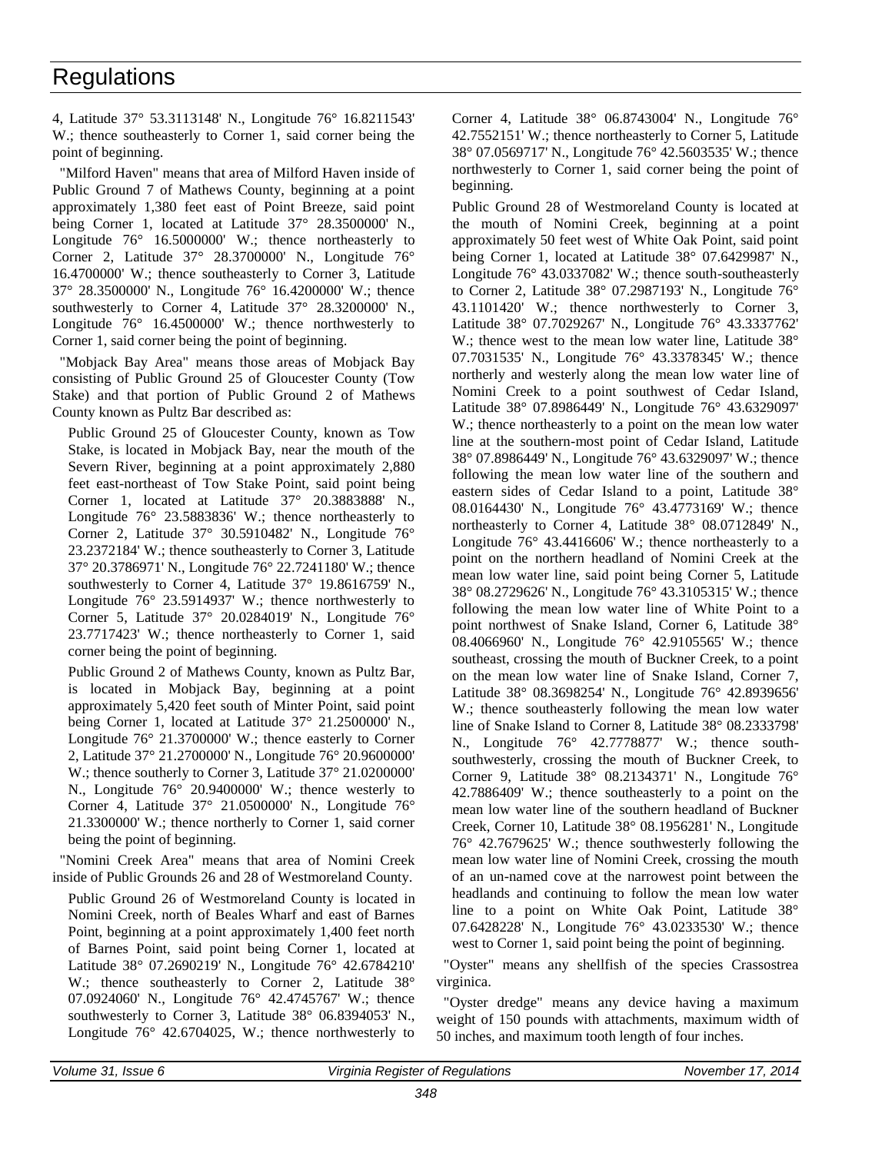4, Latitude 37° 53.3113148' N., Longitude 76° 16.8211543' W.; thence southeasterly to Corner 1, said corner being the point of beginning.

"Milford Haven" means that area of Milford Haven inside of Public Ground 7 of Mathews County, beginning at a point approximately 1,380 feet east of Point Breeze, said point being Corner 1, located at Latitude 37° 28.3500000' N., Longitude 76° 16.5000000' W.; thence northeasterly to Corner 2, Latitude 37° 28.3700000' N., Longitude 76° 16.4700000' W.; thence southeasterly to Corner 3, Latitude 37° 28.3500000' N., Longitude 76° 16.4200000' W.; thence southwesterly to Corner 4, Latitude 37° 28.3200000' N., Longitude 76° 16.4500000' W.; thence northwesterly to Corner 1, said corner being the point of beginning.

"Mobjack Bay Area" means those areas of Mobjack Bay consisting of Public Ground 25 of Gloucester County (Tow Stake) and that portion of Public Ground 2 of Mathews County known as Pultz Bar described as:

Public Ground 25 of Gloucester County, known as Tow Stake, is located in Mobjack Bay, near the mouth of the Severn River, beginning at a point approximately 2,880 feet east-northeast of Tow Stake Point, said point being Corner 1, located at Latitude 37° 20.3883888' N., Longitude 76° 23.5883836' W.; thence northeasterly to Corner 2, Latitude 37° 30.5910482' N., Longitude 76° 23.2372184' W.; thence southeasterly to Corner 3, Latitude 37° 20.3786971' N., Longitude 76° 22.7241180' W.; thence southwesterly to Corner 4, Latitude 37° 19.8616759' N., Longitude 76° 23.5914937' W.; thence northwesterly to Corner 5, Latitude 37° 20.0284019' N., Longitude 76° 23.7717423' W.; thence northeasterly to Corner 1, said corner being the point of beginning.

Public Ground 2 of Mathews County, known as Pultz Bar, is located in Mobjack Bay, beginning at a point approximately 5,420 feet south of Minter Point, said point being Corner 1, located at Latitude 37° 21.2500000' N., Longitude 76° 21.3700000' W.; thence easterly to Corner 2, Latitude 37° 21.2700000' N., Longitude 76° 20.9600000' W.; thence southerly to Corner 3, Latitude  $37^{\circ}$  21.0200000' N., Longitude 76° 20.9400000' W.; thence westerly to Corner 4, Latitude 37° 21.0500000' N., Longitude 76° 21.3300000' W.; thence northerly to Corner 1, said corner being the point of beginning.

"Nomini Creek Area" means that area of Nomini Creek inside of Public Grounds 26 and 28 of Westmoreland County.

Public Ground 26 of Westmoreland County is located in Nomini Creek, north of Beales Wharf and east of Barnes Point, beginning at a point approximately 1,400 feet north of Barnes Point, said point being Corner 1, located at Latitude 38° 07.2690219' N., Longitude 76° 42.6784210' W.; thence southeasterly to Corner 2, Latitude 38° 07.0924060' N., Longitude 76° 42.4745767' W.; thence southwesterly to Corner 3, Latitude 38° 06.8394053' N., Longitude 76° 42.6704025, W.; thence northwesterly to

Corner 4, Latitude 38° 06.8743004' N., Longitude 76° 42.7552151' W.; thence northeasterly to Corner 5, Latitude 38° 07.0569717' N., Longitude 76° 42.5603535' W.; thence northwesterly to Corner 1, said corner being the point of beginning.

Public Ground 28 of Westmoreland County is located at the mouth of Nomini Creek, beginning at a point approximately 50 feet west of White Oak Point, said point being Corner 1, located at Latitude 38° 07.6429987' N., Longitude 76° 43.0337082' W.; thence south-southeasterly to Corner 2, Latitude 38° 07.2987193' N., Longitude 76° 43.1101420' W.; thence northwesterly to Corner 3, Latitude 38° 07.7029267' N., Longitude 76° 43.3337762' W.; thence west to the mean low water line, Latitude 38° 07.7031535' N., Longitude 76° 43.3378345' W.; thence northerly and westerly along the mean low water line of Nomini Creek to a point southwest of Cedar Island, Latitude 38° 07.8986449' N., Longitude 76° 43.6329097' W.; thence northeasterly to a point on the mean low water line at the southern-most point of Cedar Island, Latitude 38° 07.8986449' N., Longitude 76° 43.6329097' W.; thence following the mean low water line of the southern and eastern sides of Cedar Island to a point, Latitude 38° 08.0164430' N., Longitude 76° 43.4773169' W.; thence northeasterly to Corner 4, Latitude 38° 08.0712849' N., Longitude 76° 43.4416606' W.; thence northeasterly to a point on the northern headland of Nomini Creek at the mean low water line, said point being Corner 5, Latitude 38° 08.2729626' N., Longitude 76° 43.3105315' W.; thence following the mean low water line of White Point to a point northwest of Snake Island, Corner 6, Latitude 38° 08.4066960' N., Longitude 76° 42.9105565' W.; thence southeast, crossing the mouth of Buckner Creek, to a point on the mean low water line of Snake Island, Corner 7, Latitude 38° 08.3698254' N., Longitude 76° 42.8939656' W.; thence southeasterly following the mean low water line of Snake Island to Corner 8, Latitude 38° 08.2333798' N., Longitude 76° 42.7778877' W.; thence southsouthwesterly, crossing the mouth of Buckner Creek, to Corner 9, Latitude 38° 08.2134371' N., Longitude 76° 42.7886409' W.; thence southeasterly to a point on the mean low water line of the southern headland of Buckner Creek, Corner 10, Latitude 38° 08.1956281' N., Longitude 76° 42.7679625' W.; thence southwesterly following the mean low water line of Nomini Creek, crossing the mouth of an un-named cove at the narrowest point between the headlands and continuing to follow the mean low water line to a point on White Oak Point, Latitude 38° 07.6428228' N., Longitude 76° 43.0233530' W.; thence west to Corner 1, said point being the point of beginning.

"Oyster" means any shellfish of the species Crassostrea virginica.

"Oyster dredge" means any device having a maximum weight of 150 pounds with attachments, maximum width of 50 inches, and maximum tooth length of four inches.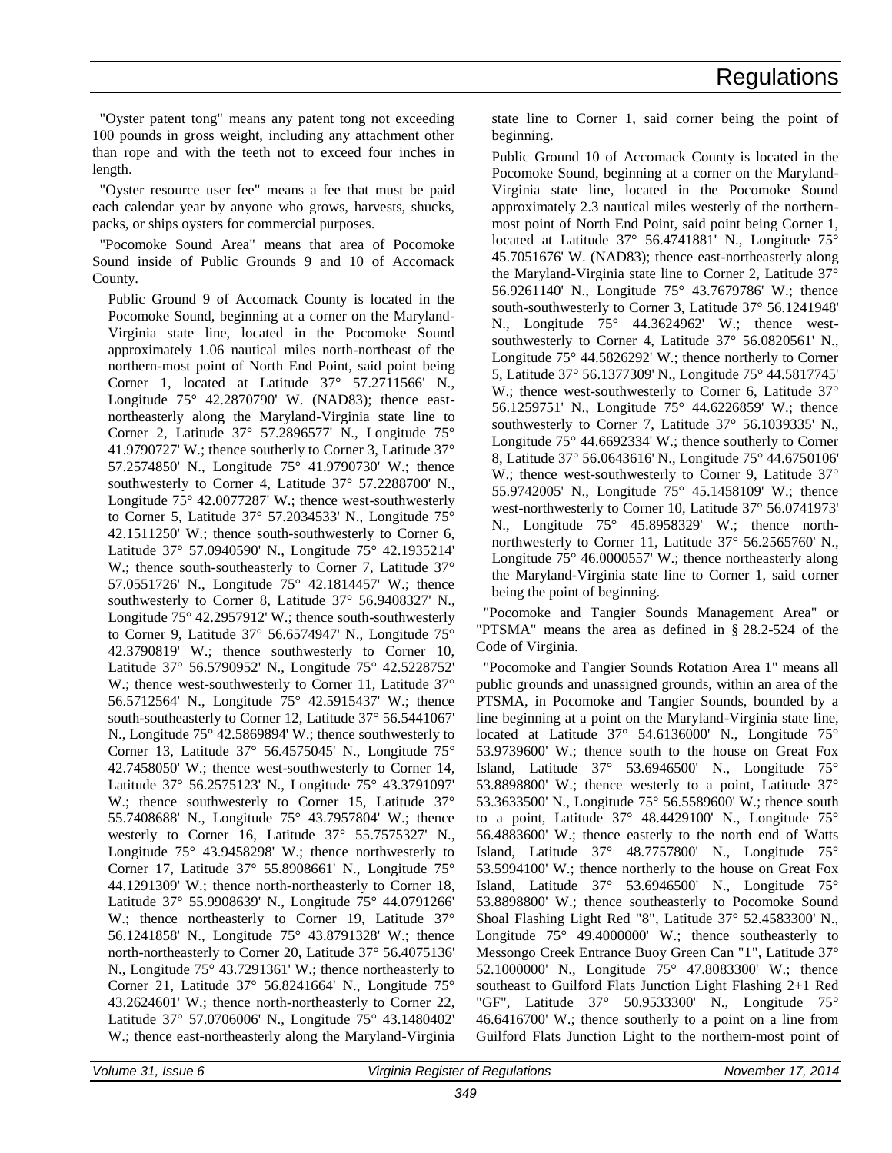"Oyster patent tong" means any patent tong not exceeding 100 pounds in gross weight, including any attachment other than rope and with the teeth not to exceed four inches in length.

"Oyster resource user fee" means a fee that must be paid each calendar year by anyone who grows, harvests, shucks, packs, or ships oysters for commercial purposes.

"Pocomoke Sound Area" means that area of Pocomoke Sound inside of Public Grounds 9 and 10 of Accomack County.

Public Ground 9 of Accomack County is located in the Pocomoke Sound, beginning at a corner on the Maryland-Virginia state line, located in the Pocomoke Sound approximately 1.06 nautical miles north-northeast of the northern-most point of North End Point, said point being Corner 1, located at Latitude 37° 57.2711566' N., Longitude 75° 42.2870790' W. (NAD83); thence eastnortheasterly along the Maryland-Virginia state line to Corner 2, Latitude 37° 57.2896577' N., Longitude 75° 41.9790727' W.; thence southerly to Corner 3, Latitude 37° 57.2574850' N., Longitude 75° 41.9790730' W.; thence southwesterly to Corner 4, Latitude 37° 57.2288700' N., Longitude 75° 42.0077287' W.; thence west-southwesterly to Corner 5, Latitude 37° 57.2034533' N., Longitude 75° 42.1511250' W.; thence south-southwesterly to Corner 6, Latitude 37° 57.0940590' N., Longitude 75° 42.1935214' W.; thence south-southeasterly to Corner 7, Latitude 37° 57.0551726' N., Longitude 75° 42.1814457' W.; thence southwesterly to Corner 8, Latitude 37° 56.9408327' N., Longitude 75° 42.2957912' W.; thence south-southwesterly to Corner 9, Latitude 37° 56.6574947' N., Longitude 75° 42.3790819' W.; thence southwesterly to Corner 10, Latitude 37° 56.5790952' N., Longitude 75° 42.5228752' W.; thence west-southwesterly to Corner 11, Latitude 37° 56.5712564' N., Longitude 75° 42.5915437' W.; thence south-southeasterly to Corner 12, Latitude 37° 56.5441067' N., Longitude 75° 42.5869894' W.; thence southwesterly to Corner 13, Latitude 37° 56.4575045' N., Longitude 75° 42.7458050' W.; thence west-southwesterly to Corner 14, Latitude 37° 56.2575123' N., Longitude 75° 43.3791097' W.; thence southwesterly to Corner 15, Latitude 37° 55.7408688' N., Longitude 75° 43.7957804' W.; thence westerly to Corner 16, Latitude 37° 55.7575327' N., Longitude 75° 43.9458298' W.; thence northwesterly to Corner 17, Latitude 37° 55.8908661' N., Longitude 75° 44.1291309' W.; thence north-northeasterly to Corner 18, Latitude 37° 55.9908639' N., Longitude 75° 44.0791266' W.; thence northeasterly to Corner 19, Latitude 37° 56.1241858' N., Longitude 75° 43.8791328' W.; thence north-northeasterly to Corner 20, Latitude 37° 56.4075136' N., Longitude 75° 43.7291361' W.; thence northeasterly to Corner 21, Latitude 37° 56.8241664' N., Longitude 75° 43.2624601' W.; thence north-northeasterly to Corner 22, Latitude 37° 57.0706006' N., Longitude 75° 43.1480402' W.; thence east-northeasterly along the Maryland-Virginia

state line to Corner 1, said corner being the point of beginning.

Public Ground 10 of Accomack County is located in the Pocomoke Sound, beginning at a corner on the Maryland-Virginia state line, located in the Pocomoke Sound approximately 2.3 nautical miles westerly of the northernmost point of North End Point, said point being Corner 1, located at Latitude 37° 56.4741881' N., Longitude 75° 45.7051676' W. (NAD83); thence east-northeasterly along the Maryland-Virginia state line to Corner 2, Latitude 37° 56.9261140' N., Longitude 75° 43.7679786' W.; thence south-southwesterly to Corner 3, Latitude 37° 56.1241948' N., Longitude 75° 44.3624962' W.; thence westsouthwesterly to Corner 4, Latitude 37° 56.0820561' N., Longitude 75° 44.5826292' W.; thence northerly to Corner 5, Latitude 37° 56.1377309' N., Longitude 75° 44.5817745' W.; thence west-southwesterly to Corner 6, Latitude 37° 56.1259751' N., Longitude 75° 44.6226859' W.; thence southwesterly to Corner 7, Latitude 37° 56.1039335' N., Longitude 75° 44.6692334' W.; thence southerly to Corner 8, Latitude 37° 56.0643616' N., Longitude 75° 44.6750106' W.; thence west-southwesterly to Corner 9, Latitude 37° 55.9742005' N., Longitude 75° 45.1458109' W.; thence west-northwesterly to Corner 10, Latitude 37° 56.0741973' N., Longitude 75° 45.8958329' W.; thence northnorthwesterly to Corner 11, Latitude 37° 56.2565760' N., Longitude 75° 46.0000557' W.; thence northeasterly along the Maryland-Virginia state line to Corner 1, said corner being the point of beginning.

"Pocomoke and Tangier Sounds Management Area" or "PTSMA" means the area as defined in § 28.2-524 of the Code of Virginia.

"Pocomoke and Tangier Sounds Rotation Area 1" means all public grounds and unassigned grounds, within an area of the PTSMA, in Pocomoke and Tangier Sounds, bounded by a line beginning at a point on the Maryland-Virginia state line, located at Latitude 37° 54.6136000' N., Longitude 75° 53.9739600' W.; thence south to the house on Great Fox Island, Latitude 37° 53.6946500' N., Longitude 75° 53.8898800' W.; thence westerly to a point, Latitude 37° 53.3633500' N., Longitude 75° 56.5589600' W.; thence south to a point, Latitude  $37^\circ$  48.4429100' N., Longitude  $75^\circ$ 56.4883600' W.; thence easterly to the north end of Watts Island, Latitude 37° 48.7757800' N., Longitude 75° 53.5994100' W.; thence northerly to the house on Great Fox Island, Latitude 37° 53.6946500' N., Longitude 75° 53.8898800' W.; thence southeasterly to Pocomoke Sound Shoal Flashing Light Red "8", Latitude 37° 52.4583300' N., Longitude  $75^{\circ}$  49.4000000' W.; thence southeasterly to Messongo Creek Entrance Buoy Green Can "1", Latitude 37° 52.1000000' N., Longitude 75° 47.8083300' W.; thence southeast to Guilford Flats Junction Light Flashing 2+1 Red "GF", Latitude 37° 50.9533300' N., Longitude 75° 46.6416700' W.; thence southerly to a point on a line from Guilford Flats Junction Light to the northern-most point of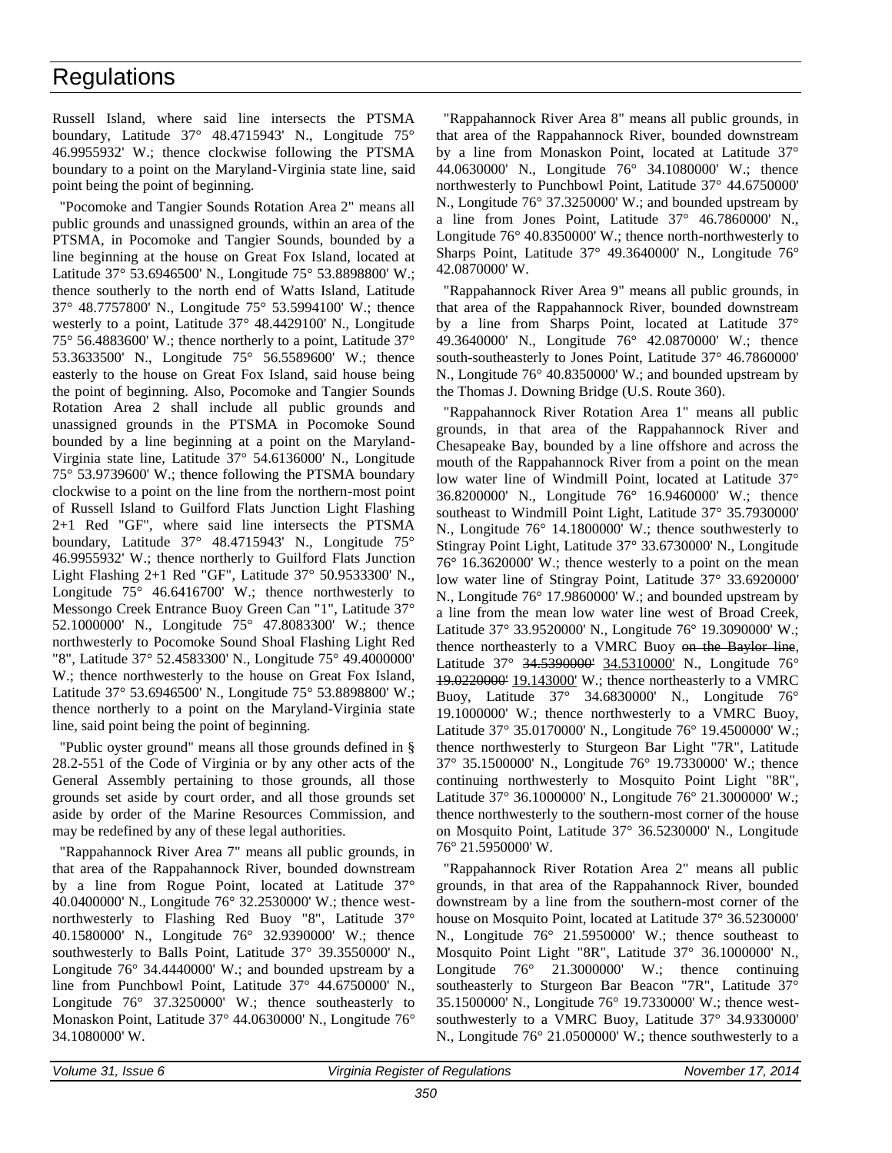Russell Island, where said line intersects the PTSMA boundary, Latitude 37° 48.4715943' N., Longitude 75° 46.9955932' W.; thence clockwise following the PTSMA boundary to a point on the Maryland-Virginia state line, said point being the point of beginning.

"Pocomoke and Tangier Sounds Rotation Area 2" means all public grounds and unassigned grounds, within an area of the PTSMA, in Pocomoke and Tangier Sounds, bounded by a line beginning at the house on Great Fox Island, located at Latitude 37° 53.6946500' N., Longitude 75° 53.8898800' W.; thence southerly to the north end of Watts Island, Latitude 37° 48.7757800' N., Longitude 75° 53.5994100' W.; thence westerly to a point, Latitude 37° 48.4429100' N., Longitude 75° 56.4883600' W.; thence northerly to a point, Latitude 37° 53.3633500' N., Longitude 75° 56.5589600' W.; thence easterly to the house on Great Fox Island, said house being the point of beginning. Also, Pocomoke and Tangier Sounds Rotation Area 2 shall include all public grounds and unassigned grounds in the PTSMA in Pocomoke Sound bounded by a line beginning at a point on the Maryland-Virginia state line, Latitude 37° 54.6136000' N., Longitude 75° 53.9739600' W.; thence following the PTSMA boundary clockwise to a point on the line from the northern-most point of Russell Island to Guilford Flats Junction Light Flashing 2+1 Red "GF", where said line intersects the PTSMA boundary, Latitude 37° 48.4715943' N., Longitude 75° 46.9955932' W.; thence northerly to Guilford Flats Junction Light Flashing 2+1 Red "GF", Latitude 37° 50.9533300' N., Longitude 75° 46.6416700' W.; thence northwesterly to Messongo Creek Entrance Buoy Green Can "1", Latitude 37° 52.1000000' N., Longitude 75° 47.8083300' W.; thence northwesterly to Pocomoke Sound Shoal Flashing Light Red "8", Latitude 37° 52.4583300' N., Longitude 75° 49.4000000' W.; thence northwesterly to the house on Great Fox Island, Latitude 37° 53.6946500' N., Longitude 75° 53.8898800' W.; thence northerly to a point on the Maryland-Virginia state line, said point being the point of beginning.

"Public oyster ground" means all those grounds defined in § 28.2-551 of the Code of Virginia or by any other acts of the General Assembly pertaining to those grounds, all those grounds set aside by court order, and all those grounds set aside by order of the Marine Resources Commission, and may be redefined by any of these legal authorities.

"Rappahannock River Area 7" means all public grounds, in that area of the Rappahannock River, bounded downstream by a line from Rogue Point, located at Latitude 37° 40.0400000' N., Longitude 76° 32.2530000' W.; thence westnorthwesterly to Flashing Red Buoy "8", Latitude 37° 40.1580000' N., Longitude 76° 32.9390000' W.; thence southwesterly to Balls Point, Latitude 37° 39.3550000' N., Longitude 76° 34.4440000' W.; and bounded upstream by a line from Punchbowl Point, Latitude 37° 44.6750000' N., Longitude 76° 37.3250000' W.; thence southeasterly to Monaskon Point, Latitude 37° 44.0630000' N., Longitude 76° 34.1080000' W.

"Rappahannock River Area 8" means all public grounds, in that area of the Rappahannock River, bounded downstream by a line from Monaskon Point, located at Latitude 37° 44.0630000' N., Longitude 76° 34.1080000' W.; thence northwesterly to Punchbowl Point, Latitude 37° 44.6750000' N., Longitude 76° 37.3250000' W.; and bounded upstream by a line from Jones Point, Latitude 37° 46.7860000' N., Longitude 76° 40.8350000' W.; thence north-northwesterly to Sharps Point, Latitude 37° 49.3640000' N., Longitude 76° 42.0870000' W.

"Rappahannock River Area 9" means all public grounds, in that area of the Rappahannock River, bounded downstream by a line from Sharps Point, located at Latitude 37° 49.3640000' N., Longitude 76° 42.0870000' W.; thence south-southeasterly to Jones Point, Latitude 37° 46.7860000' N., Longitude 76° 40.8350000' W.; and bounded upstream by the Thomas J. Downing Bridge (U.S. Route 360).

"Rappahannock River Rotation Area 1" means all public grounds, in that area of the Rappahannock River and Chesapeake Bay, bounded by a line offshore and across the mouth of the Rappahannock River from a point on the mean low water line of Windmill Point, located at Latitude 37° 36.8200000' N., Longitude 76° 16.9460000' W.; thence southeast to Windmill Point Light, Latitude 37° 35.7930000' N., Longitude 76° 14.1800000' W.; thence southwesterly to Stingray Point Light, Latitude 37° 33.6730000' N., Longitude 76° 16.3620000' W.; thence westerly to a point on the mean low water line of Stingray Point, Latitude 37° 33.6920000' N., Longitude 76° 17.9860000' W.; and bounded upstream by a line from the mean low water line west of Broad Creek, Latitude 37° 33.9520000' N., Longitude 76° 19.3090000' W.; thence northeasterly to a VMRC Buoy on the Baylor line, Latitude 37° 34.5390000' 34.5310000' N., Longitude 76° 19.0220000' 19.143000' W.; thence northeasterly to a VMRC Buoy, Latitude 37° 34.6830000' N., Longitude 76° 19.1000000' W.; thence northwesterly to a VMRC Buoy, Latitude 37° 35.0170000' N., Longitude 76° 19.4500000' W.; thence northwesterly to Sturgeon Bar Light "7R", Latitude 37° 35.1500000' N., Longitude 76° 19.7330000' W.; thence continuing northwesterly to Mosquito Point Light "8R", Latitude 37° 36.1000000' N., Longitude 76° 21.3000000' W.; thence northwesterly to the southern-most corner of the house on Mosquito Point, Latitude 37° 36.5230000' N., Longitude 76° 21.5950000' W.

"Rappahannock River Rotation Area 2" means all public grounds, in that area of the Rappahannock River, bounded downstream by a line from the southern-most corner of the house on Mosquito Point, located at Latitude 37° 36.5230000' N., Longitude 76° 21.5950000' W.; thence southeast to Mosquito Point Light "8R", Latitude 37° 36.1000000' N., Longitude 76° 21.3000000' W.; thence continuing southeasterly to Sturgeon Bar Beacon "7R", Latitude 37° 35.1500000' N., Longitude 76° 19.7330000' W.; thence westsouthwesterly to a VMRC Buoy, Latitude 37° 34.9330000' N., Longitude 76° 21.0500000' W.; thence southwesterly to a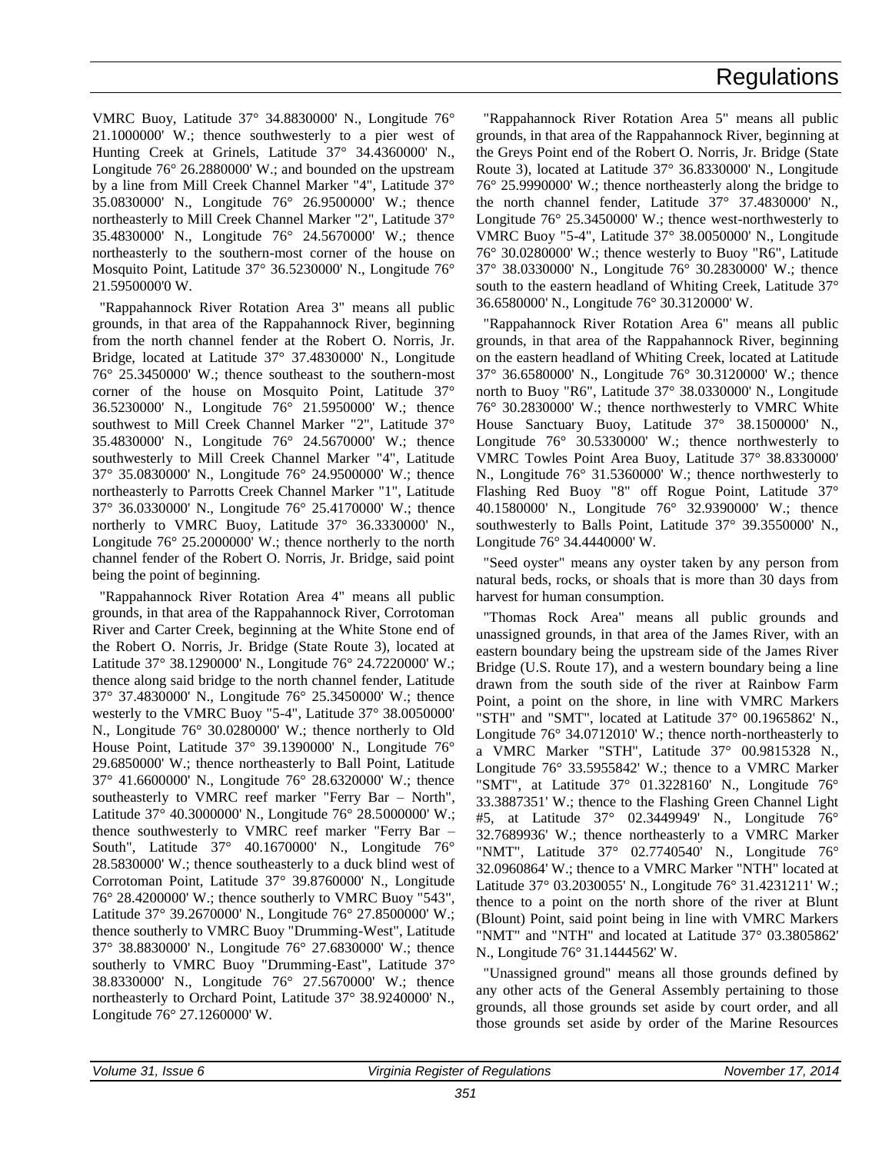VMRC Buoy, Latitude 37° 34.8830000' N., Longitude 76° 21.1000000' W.; thence southwesterly to a pier west of Hunting Creek at Grinels, Latitude 37° 34.4360000' N., Longitude 76° 26.2880000' W.; and bounded on the upstream by a line from Mill Creek Channel Marker "4", Latitude 37° 35.0830000' N., Longitude 76° 26.9500000' W.; thence northeasterly to Mill Creek Channel Marker "2", Latitude 37° 35.4830000' N., Longitude 76° 24.5670000' W.; thence northeasterly to the southern-most corner of the house on Mosquito Point, Latitude 37° 36.5230000' N., Longitude 76° 21.5950000'0 W.

"Rappahannock River Rotation Area 3" means all public grounds, in that area of the Rappahannock River, beginning from the north channel fender at the Robert O. Norris, Jr. Bridge, located at Latitude 37° 37.4830000' N., Longitude 76° 25.3450000' W.; thence southeast to the southern-most corner of the house on Mosquito Point, Latitude 37° 36.5230000' N., Longitude 76° 21.5950000' W.; thence southwest to Mill Creek Channel Marker "2", Latitude 37° 35.4830000' N., Longitude 76° 24.5670000' W.; thence southwesterly to Mill Creek Channel Marker "4", Latitude 37° 35.0830000' N., Longitude 76° 24.9500000' W.; thence northeasterly to Parrotts Creek Channel Marker "1", Latitude 37° 36.0330000' N., Longitude 76° 25.4170000' W.; thence northerly to VMRC Buoy, Latitude 37° 36.3330000' N., Longitude 76° 25.2000000' W.; thence northerly to the north channel fender of the Robert O. Norris, Jr. Bridge, said point being the point of beginning.

"Rappahannock River Rotation Area 4" means all public grounds, in that area of the Rappahannock River, Corrotoman River and Carter Creek, beginning at the White Stone end of the Robert O. Norris, Jr. Bridge (State Route 3), located at Latitude 37° 38.1290000' N., Longitude 76° 24.7220000' W.; thence along said bridge to the north channel fender, Latitude 37° 37.4830000' N., Longitude 76° 25.3450000' W.; thence westerly to the VMRC Buoy "5-4", Latitude 37° 38.0050000' N., Longitude 76° 30.0280000' W.; thence northerly to Old House Point, Latitude 37° 39.1390000' N., Longitude 76° 29.6850000' W.; thence northeasterly to Ball Point, Latitude 37° 41.6600000' N., Longitude 76° 28.6320000' W.; thence southeasterly to VMRC reef marker "Ferry Bar – North", Latitude 37° 40.3000000' N., Longitude 76° 28.5000000' W.; thence southwesterly to VMRC reef marker "Ferry Bar – South", Latitude 37° 40.1670000' N., Longitude 76° 28.5830000' W.; thence southeasterly to a duck blind west of Corrotoman Point, Latitude 37° 39.8760000' N., Longitude 76° 28.4200000' W.; thence southerly to VMRC Buoy "543", Latitude 37° 39.2670000' N., Longitude 76° 27.8500000' W.; thence southerly to VMRC Buoy "Drumming-West", Latitude 37° 38.8830000' N., Longitude 76° 27.6830000' W.; thence southerly to VMRC Buoy "Drumming-East", Latitude 37° 38.8330000' N., Longitude 76° 27.5670000' W.; thence northeasterly to Orchard Point, Latitude 37° 38.9240000' N., Longitude 76° 27.1260000' W.

"Rappahannock River Rotation Area 5" means all public grounds, in that area of the Rappahannock River, beginning at the Greys Point end of the Robert O. Norris, Jr. Bridge (State Route 3), located at Latitude 37° 36.8330000' N., Longitude 76° 25.9990000' W.; thence northeasterly along the bridge to the north channel fender, Latitude 37° 37.4830000' N., Longitude 76° 25.3450000' W.; thence west-northwesterly to VMRC Buoy "5-4", Latitude 37° 38.0050000' N., Longitude 76° 30.0280000' W.; thence westerly to Buoy "R6", Latitude 37° 38.0330000' N., Longitude 76° 30.2830000' W.; thence south to the eastern headland of Whiting Creek, Latitude 37° 36.6580000' N., Longitude 76° 30.3120000' W.

"Rappahannock River Rotation Area 6" means all public grounds, in that area of the Rappahannock River, beginning on the eastern headland of Whiting Creek, located at Latitude 37° 36.6580000' N., Longitude 76° 30.3120000' W.; thence north to Buoy "R6", Latitude 37° 38.0330000' N., Longitude 76° 30.2830000' W.; thence northwesterly to VMRC White House Sanctuary Buoy, Latitude 37° 38.1500000' N., Longitude 76° 30.5330000' W.; thence northwesterly to VMRC Towles Point Area Buoy, Latitude 37° 38.8330000' N., Longitude 76° 31.5360000' W.; thence northwesterly to Flashing Red Buoy "8" off Rogue Point, Latitude 37° 40.1580000' N., Longitude 76° 32.9390000' W.; thence southwesterly to Balls Point, Latitude 37° 39.3550000' N., Longitude 76° 34.4440000' W.

"Seed oyster" means any oyster taken by any person from natural beds, rocks, or shoals that is more than 30 days from harvest for human consumption.

"Thomas Rock Area" means all public grounds and unassigned grounds, in that area of the James River, with an eastern boundary being the upstream side of the James River Bridge (U.S. Route 17), and a western boundary being a line drawn from the south side of the river at Rainbow Farm Point, a point on the shore, in line with VMRC Markers "STH" and "SMT", located at Latitude 37° 00.1965862' N., Longitude 76° 34.0712010' W.; thence north-northeasterly to a VMRC Marker "STH", Latitude 37° 00.9815328 N., Longitude 76° 33.5955842' W.; thence to a VMRC Marker "SMT", at Latitude 37° 01.3228160' N., Longitude 76° 33.3887351' W.; thence to the Flashing Green Channel Light #5, at Latitude 37° 02.3449949' N., Longitude 76° 32.7689936' W.; thence northeasterly to a VMRC Marker "NMT", Latitude 37° 02.7740540' N., Longitude 76° 32.0960864' W.; thence to a VMRC Marker "NTH" located at Latitude 37° 03.2030055' N., Longitude 76° 31.4231211' W.; thence to a point on the north shore of the river at Blunt (Blount) Point, said point being in line with VMRC Markers "NMT" and "NTH" and located at Latitude 37° 03.3805862' N., Longitude 76° 31.1444562' W.

"Unassigned ground" means all those grounds defined by any other acts of the General Assembly pertaining to those grounds, all those grounds set aside by court order, and all those grounds set aside by order of the Marine Resources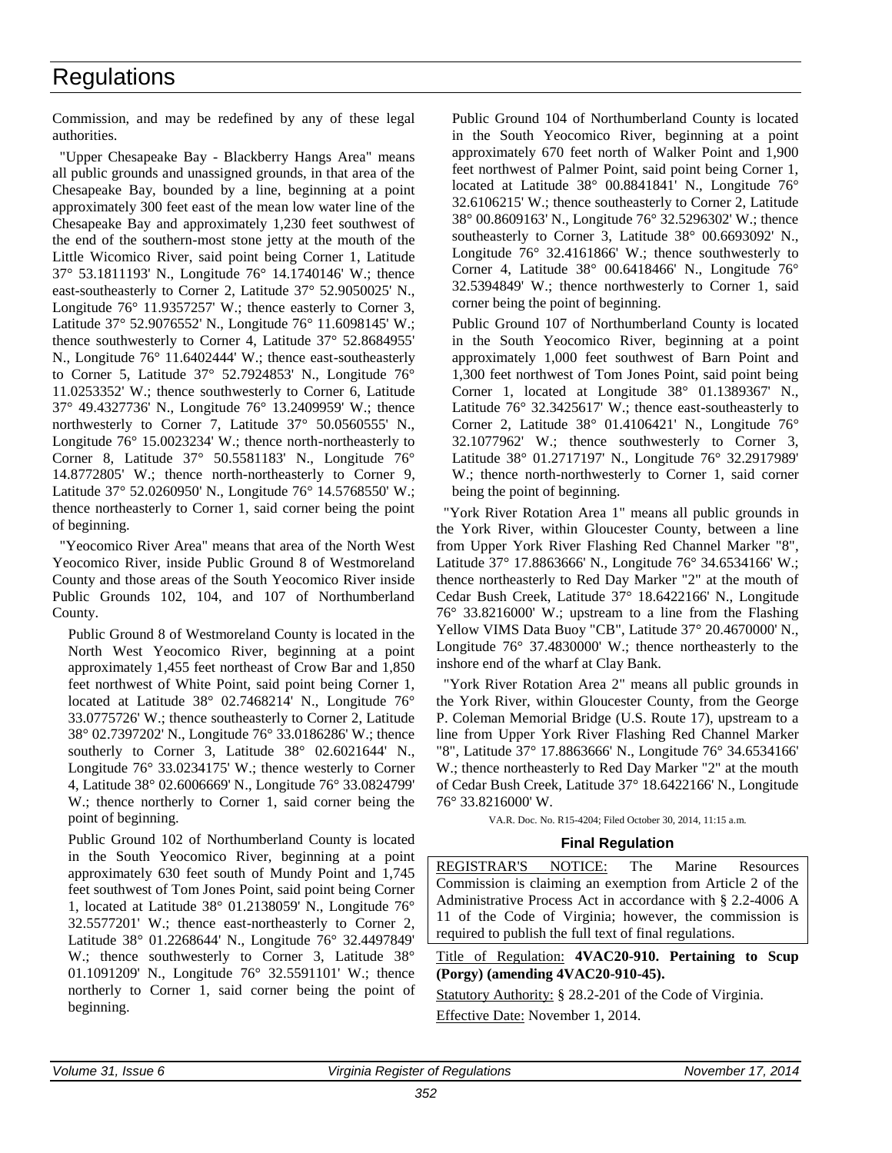<span id="page-12-0"></span>Commission, and may be redefined by any of these legal authorities.

"Upper Chesapeake Bay - Blackberry Hangs Area" means all public grounds and unassigned grounds, in that area of the Chesapeake Bay, bounded by a line, beginning at a point approximately 300 feet east of the mean low water line of the Chesapeake Bay and approximately 1,230 feet southwest of the end of the southern-most stone jetty at the mouth of the Little Wicomico River, said point being Corner 1, Latitude 37° 53.1811193' N., Longitude 76° 14.1740146' W.; thence east-southeasterly to Corner 2, Latitude 37° 52.9050025' N., Longitude 76° 11.9357257' W.; thence easterly to Corner 3, Latitude 37° 52.9076552' N., Longitude 76° 11.6098145' W.; thence southwesterly to Corner 4, Latitude 37° 52.8684955' N., Longitude 76° 11.6402444' W.; thence east-southeasterly to Corner 5, Latitude 37° 52.7924853' N., Longitude 76° 11.0253352' W.; thence southwesterly to Corner 6, Latitude 37° 49.4327736' N., Longitude 76° 13.2409959' W.; thence northwesterly to Corner 7, Latitude 37° 50.0560555' N., Longitude 76° 15.0023234' W.; thence north-northeasterly to Corner 8, Latitude 37° 50.5581183' N., Longitude 76° 14.8772805' W.; thence north-northeasterly to Corner 9, Latitude 37° 52.0260950' N., Longitude 76° 14.5768550' W.; thence northeasterly to Corner 1, said corner being the point of beginning.

"Yeocomico River Area" means that area of the North West Yeocomico River, inside Public Ground 8 of Westmoreland County and those areas of the South Yeocomico River inside Public Grounds 102, 104, and 107 of Northumberland County.

Public Ground 8 of Westmoreland County is located in the North West Yeocomico River, beginning at a point approximately 1,455 feet northeast of Crow Bar and 1,850 feet northwest of White Point, said point being Corner 1, located at Latitude 38° 02.7468214' N., Longitude 76° 33.0775726' W.; thence southeasterly to Corner 2, Latitude 38° 02.7397202' N., Longitude 76° 33.0186286' W.; thence southerly to Corner 3, Latitude 38° 02.6021644' N., Longitude 76° 33.0234175' W.; thence westerly to Corner 4, Latitude 38° 02.6006669' N., Longitude 76° 33.0824799' W.; thence northerly to Corner 1, said corner being the point of beginning.

Public Ground 102 of Northumberland County is located in the South Yeocomico River, beginning at a point approximately 630 feet south of Mundy Point and 1,745 feet southwest of Tom Jones Point, said point being Corner 1, located at Latitude 38° 01.2138059' N., Longitude 76° 32.5577201' W.; thence east-northeasterly to Corner 2, Latitude 38° 01.2268644' N., Longitude 76° 32.4497849' W.; thence southwesterly to Corner 3, Latitude 38° 01.1091209' N., Longitude 76° 32.5591101' W.; thence northerly to Corner 1, said corner being the point of beginning.

Public Ground 104 of Northumberland County is located in the South Yeocomico River, beginning at a point approximately 670 feet north of Walker Point and 1,900 feet northwest of Palmer Point, said point being Corner 1, located at Latitude 38° 00.8841841' N., Longitude 76° 32.6106215' W.; thence southeasterly to Corner 2, Latitude 38° 00.8609163' N., Longitude 76° 32.5296302' W.; thence southeasterly to Corner 3, Latitude 38° 00.6693092' N., Longitude 76° 32.4161866' W.; thence southwesterly to Corner 4, Latitude 38° 00.6418466' N., Longitude 76° 32.5394849' W.; thence northwesterly to Corner 1, said corner being the point of beginning.

Public Ground 107 of Northumberland County is located in the South Yeocomico River, beginning at a point approximately 1,000 feet southwest of Barn Point and 1,300 feet northwest of Tom Jones Point, said point being Corner 1, located at Longitude 38° 01.1389367' N., Latitude 76° 32.3425617' W.; thence east-southeasterly to Corner 2, Latitude 38° 01.4106421' N., Longitude 76° 32.1077962' W.; thence southwesterly to Corner 3, Latitude 38° 01.2717197' N., Longitude 76° 32.2917989' W.; thence north-northwesterly to Corner 1, said corner being the point of beginning.

"York River Rotation Area 1" means all public grounds in the York River, within Gloucester County, between a line from Upper York River Flashing Red Channel Marker "8", Latitude 37° 17.8863666' N., Longitude 76° 34.6534166' W.; thence northeasterly to Red Day Marker "2" at the mouth of Cedar Bush Creek, Latitude 37° 18.6422166' N., Longitude 76° 33.8216000' W.; upstream to a line from the Flashing Yellow VIMS Data Buoy "CB", Latitude 37° 20.4670000' N., Longitude 76° 37.4830000' W.; thence northeasterly to the inshore end of the wharf at Clay Bank.

"York River Rotation Area 2" means all public grounds in the York River, within Gloucester County, from the George P. Coleman Memorial Bridge (U.S. Route 17), upstream to a line from Upper York River Flashing Red Channel Marker "8", Latitude 37° 17.8863666' N., Longitude 76° 34.6534166' W.; thence northeasterly to Red Day Marker "2" at the mouth of Cedar Bush Creek, Latitude 37° 18.6422166' N., Longitude 76° 33.8216000' W.

VA.R. Doc. No. R15-4204; Filed October 30, 2014, 11:15 a.m.

#### **Final Regulation**

REGISTRAR'S NOTICE: The Marine Resources Commission is claiming an exemption from Article 2 of the Administrative Process Act in accordance with § 2.2-4006 A 11 of the Code of Virginia; however, the commission is required to publish the full text of final regulations.

#### Title of Regulation: **4VAC20-910. Pertaining to Scup (Porgy) (amending 4VAC20-910-45).**

Statutory Authority: § 28.2-201 of the Code of Virginia. Effective Date: November 1, 2014.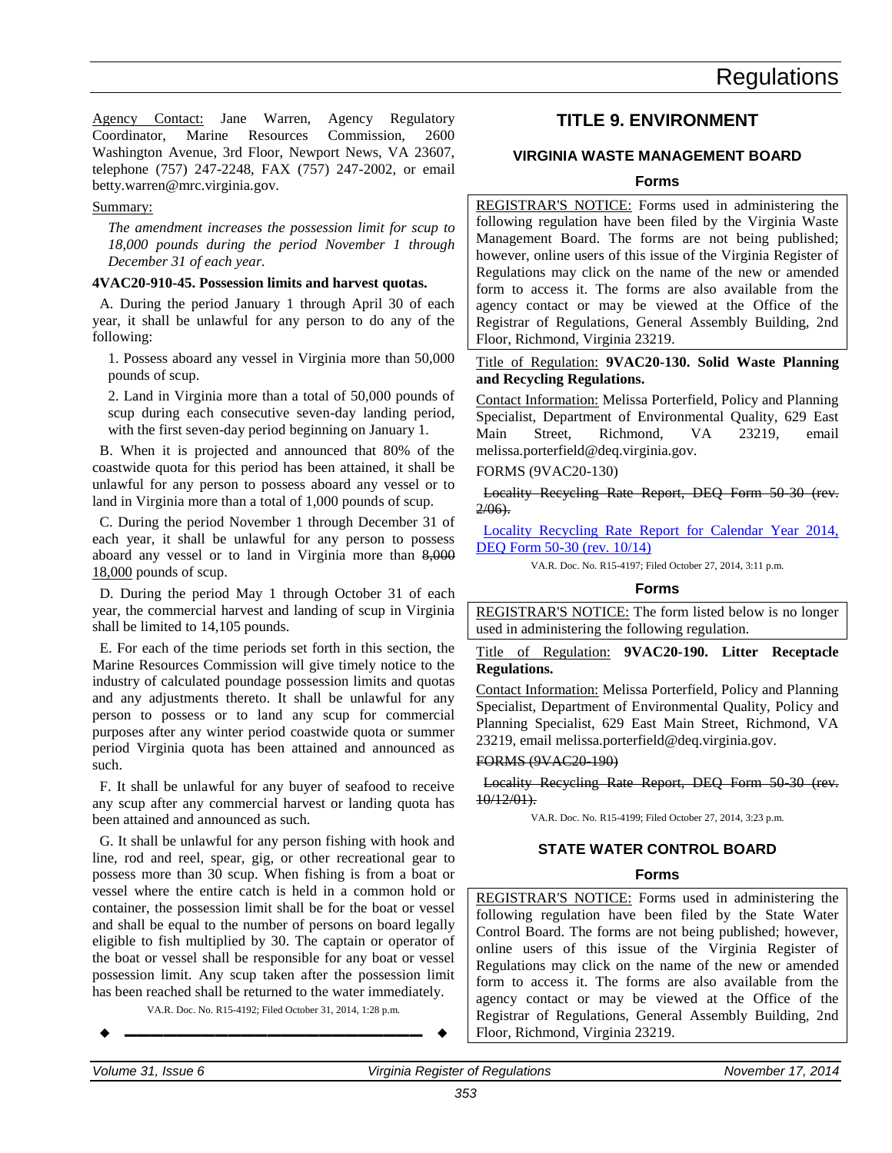<span id="page-13-0"></span>Agency Contact: Jane Warren, Agency Regulatory Coordinator, Marine Resources Commission, 2600 Washington Avenue, 3rd Floor, Newport News, VA 23607, telephone (757) 247-2248, FAX (757) 247-2002, or email betty.warren@mrc.virginia.gov.

#### Summary:

*The amendment increases the possession limit for scup to 18,000 pounds during the period November 1 through December 31 of each year.*

#### **4VAC20-910-45. Possession limits and harvest quotas.**

A. During the period January 1 through April 30 of each year, it shall be unlawful for any person to do any of the following:

1. Possess aboard any vessel in Virginia more than 50,000 pounds of scup.

2. Land in Virginia more than a total of 50,000 pounds of scup during each consecutive seven-day landing period, with the first seven-day period beginning on January 1.

B. When it is projected and announced that 80% of the coastwide quota for this period has been attained, it shall be unlawful for any person to possess aboard any vessel or to land in Virginia more than a total of 1,000 pounds of scup.

C. During the period November 1 through December 31 of each year, it shall be unlawful for any person to possess aboard any vessel or to land in Virginia more than 8,000 18,000 pounds of scup.

D. During the period May 1 through October 31 of each year, the commercial harvest and landing of scup in Virginia shall be limited to 14,105 pounds.

E. For each of the time periods set forth in this section, the Marine Resources Commission will give timely notice to the industry of calculated poundage possession limits and quotas and any adjustments thereto. It shall be unlawful for any person to possess or to land any scup for commercial purposes after any winter period coastwide quota or summer period Virginia quota has been attained and announced as such.

F. It shall be unlawful for any buyer of seafood to receive any scup after any commercial harvest or landing quota has been attained and announced as such.

G. It shall be unlawful for any person fishing with hook and line, rod and reel, spear, gig, or other recreational gear to possess more than 30 scup. When fishing is from a boat or vessel where the entire catch is held in a common hold or container, the possession limit shall be for the boat or vessel and shall be equal to the number of persons on board legally eligible to fish multiplied by 30. The captain or operator of the boat or vessel shall be responsible for any boat or vessel possession limit. Any scup taken after the possession limit has been reached shall be returned to the water immediately.

VA.R. Doc. No. R15-4192; Filed October 31, 2014, 1:28 p.m.

$$
\bullet
$$

### **TITLE 9. ENVIRONMENT**

### **VIRGINIA WASTE MANAGEMENT BOARD**

#### **Forms**

REGISTRAR'S NOTICE: Forms used in administering the following regulation have been filed by the Virginia Waste Management Board. The forms are not being published; however, online users of this issue of the Virginia Register of Regulations may click on the name of the new or amended form to access it. The forms are also available from the agency contact or may be viewed at the Office of the Registrar of Regulations, General Assembly Building, 2nd Floor, Richmond, Virginia 23219.

Title of Regulation: **9VAC20-130. Solid Waste Planning and Recycling Regulations.**

Contact Information: Melissa Porterfield, Policy and Planning Specialist, Department of Environmental Quality, 629 East Main Street, Richmond, VA 23219, email melissa.porterfield@deq.virginia.gov.

#### FORMS (9VAC20-130)

Locality Recycling Rate Report, DEQ Form 50-30 (rev.  $2/06$ ).

[Locality Recycling Rate Report for Calendar Year 2014,](http://leg5.state.va.us/reg_agent/frmView.aspx?Viewid=7b656004197~1&typ=40&actno=004197&mime=application/pdf)  [DEQ Form 50-30 \(rev. 10/14\)](http://leg5.state.va.us/reg_agent/frmView.aspx?Viewid=7b656004197~1&typ=40&actno=004197&mime=application/pdf)

VA.R. Doc. No. R15-4197; Filed October 27, 2014, 3:11 p.m.

#### **Forms**

REGISTRAR'S NOTICE: The form listed below is no longer used in administering the following regulation.

Title of Regulation: **9VAC20-190. Litter Receptacle Regulations.**

Contact Information: Melissa Porterfield, Policy and Planning Specialist, Department of Environmental Quality, Policy and Planning Specialist, 629 East Main Street, Richmond, VA 23219, email melissa.porterfield@deq.virginia.gov.

#### FORMS (9VAC20-190)

Locality Recycling Rate Report, DEQ Form 50-30 (rev. 10/12/01).

VA.R. Doc. No. R15-4199; Filed October 27, 2014, 3:23 p.m.

#### **STATE WATER CONTROL BOARD**

### **Forms**

REGISTRAR'S NOTICE: Forms used in administering the following regulation have been filed by the State Water Control Board. The forms are not being published; however, online users of this issue of the Virginia Register of Regulations may click on the name of the new or amended form to access it. The forms are also available from the agency contact or may be viewed at the Office of the Registrar of Regulations, General Assembly Building, 2nd Floor, Richmond, Virginia 23219.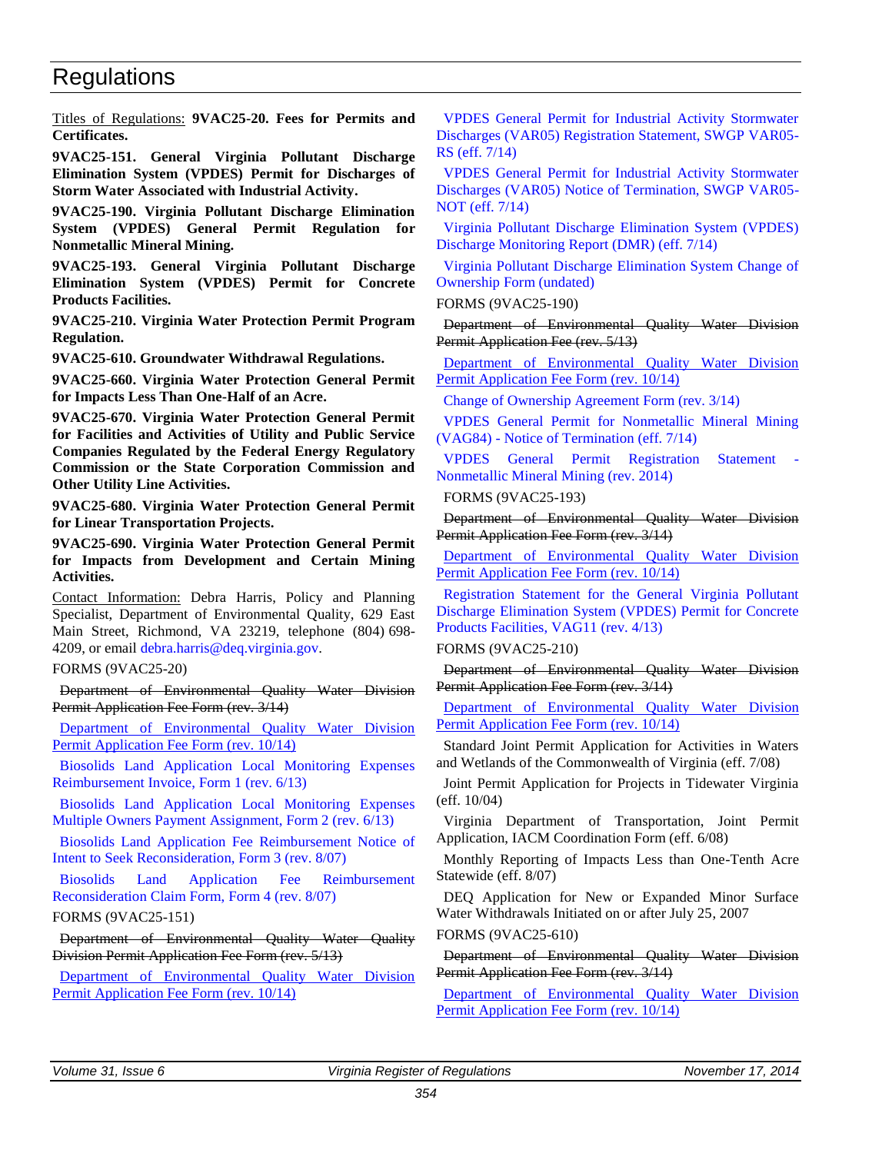<span id="page-14-0"></span>Titles of Regulations: **9VAC25-20. Fees for Permits and Certificates.**

**9VAC25-151. General Virginia Pollutant Discharge Elimination System (VPDES) Permit for Discharges of Storm Water Associated with Industrial Activity.**

**9VAC25-190. Virginia Pollutant Discharge Elimination System (VPDES) General Permit Regulation for Nonmetallic Mineral Mining.**

**9VAC25-193. General Virginia Pollutant Discharge Elimination System (VPDES) Permit for Concrete Products Facilities.**

**9VAC25-210. Virginia Water Protection Permit Program Regulation.**

**9VAC25-610. Groundwater Withdrawal Regulations.**

**9VAC25-660. Virginia Water Protection General Permit for Impacts Less Than One-Half of an Acre.**

**9VAC25-670. Virginia Water Protection General Permit for Facilities and Activities of Utility and Public Service Companies Regulated by the Federal Energy Regulatory Commission or the State Corporation Commission and Other Utility Line Activities.**

**9VAC25-680. Virginia Water Protection General Permit for Linear Transportation Projects.**

**9VAC25-690. Virginia Water Protection General Permit for Impacts from Development and Certain Mining Activities.**

Contact Information: Debra Harris, Policy and Planning Specialist, Department of Environmental Quality, 629 East Main Street, Richmond, VA 23219, telephone (804) 698- 4209, or email [debra.harris@deq.virginia.gov.](mailto:Debra.Harris@deq.virginia.gov)

FORMS (9VAC25-20)

Department of Environmental Quality Water Division Permit Application Fee Form (rev. 3/14)

[Department of Environmental Quality Water Division](http://leg5.state.va.us/reg_agent/frmView.aspx?Viewid=3f9d8004208~10&typ=40&actno=004208&mime=application/pdf)  [Permit Application Fee Form \(rev. 10/14\)](http://leg5.state.va.us/reg_agent/frmView.aspx?Viewid=3f9d8004208~10&typ=40&actno=004208&mime=application/pdf)

[Biosolids Land Application Local Monitoring Expenses](http://leg5.state.va.us/reg_agent/frmView.aspx?Viewid=9757e001248~20&typ=40&actno=001248&mime=application/pdf)  [Reimbursement Invoice, Form 1 \(rev. 6/13\)](http://leg5.state.va.us/reg_agent/frmView.aspx?Viewid=9757e001248~20&typ=40&actno=001248&mime=application/pdf)

[Biosolids Land Application Local Monitoring Expenses](http://leg5.state.va.us/reg_agent/frmView.aspx?Viewid=d8115001248~33&typ=40&actno=001248&mime=application/pdf)  [Multiple Owners Payment Assignment, Form 2 \(rev. 6/13\)](http://leg5.state.va.us/reg_agent/frmView.aspx?Viewid=d8115001248~33&typ=40&actno=001248&mime=application/pdf)

[Biosolids Land Application Fee Reimbursement Notice of](http://leg5.state.va.us/reg_agent/frmView.aspx?Viewid=801d1001248~21&typ=40&actno=001248&mime=application/pdf)  [Intent to Seek Reconsideration, Form 3 \(rev. 8/07\)](http://leg5.state.va.us/reg_agent/frmView.aspx?Viewid=801d1001248~21&typ=40&actno=001248&mime=application/pdf)

[Biosolids Land Application Fee Reimbursement](http://leg5.state.va.us/reg_agent/frmView.aspx?Viewid=e22c1001248~32&typ=40&actno=001248&mime=application/pdf)  [Reconsideration Claim Form, Form 4 \(rev. 8/07\)](http://leg5.state.va.us/reg_agent/frmView.aspx?Viewid=e22c1001248~32&typ=40&actno=001248&mime=application/pdf)

FORMS (9VAC25-151)

Department of Environmental Quality Water Quality Division Permit Application Fee Form (rev. 5/13)

[Department of Environmental Quality Water Division](http://leg5.state.va.us/reg_agent/frmView.aspx?Viewid=3f9d8004208~10&typ=40&actno=004208&mime=application/pdf)  [Permit Application Fee Form \(rev. 10/14\)](http://leg5.state.va.us/reg_agent/frmView.aspx?Viewid=3f9d8004208~10&typ=40&actno=004208&mime=application/pdf)

[VPDES General Permit for Industrial Activity Stormwater](http://leg5.state.va.us/reg_agent/frmView.aspx?Viewid=9338c003382~13&typ=40&actno=003382&mime=application/pdf)  [Discharges \(VAR05\) Registration Statement, SWGP VAR05-](http://leg5.state.va.us/reg_agent/frmView.aspx?Viewid=9338c003382~13&typ=40&actno=003382&mime=application/pdf) [RS \(eff. 7/14\)](http://leg5.state.va.us/reg_agent/frmView.aspx?Viewid=9338c003382~13&typ=40&actno=003382&mime=application/pdf)

[VPDES General Permit for Industrial Activity Stormwater](http://leg5.state.va.us/reg_agent/frmView.aspx?Viewid=0dd87003382~12&typ=40&actno=003382&mime=application/pdf)  [Discharges \(VAR05\) Notice of Termination, SWGP VAR05-](http://leg5.state.va.us/reg_agent/frmView.aspx?Viewid=0dd87003382~12&typ=40&actno=003382&mime=application/pdf) [NOT \(eff. 7/14\)](http://leg5.state.va.us/reg_agent/frmView.aspx?Viewid=0dd87003382~12&typ=40&actno=003382&mime=application/pdf)

[Virginia Pollutant Discharge Elimination System \(VPDES\)](http://leg5.state.va.us/reg_agent/frmView.aspx?Viewid=7a914003382~11&typ=40&actno=003382&mime=application/pdf)  [Discharge Monitoring Report \(DMR\) \(eff. 7/14\)](http://leg5.state.va.us/reg_agent/frmView.aspx?Viewid=7a914003382~11&typ=40&actno=003382&mime=application/pdf)

[Virginia Pollutant Discharge Elimination System Change of](http://leg5.state.va.us/reg_agent/frmView.aspx?Viewid=055ac003382~10&typ=40&actno=003382&mime=application/pdf)  [Ownership Form \(undated\)](http://leg5.state.va.us/reg_agent/frmView.aspx?Viewid=055ac003382~10&typ=40&actno=003382&mime=application/pdf)

FORMS (9VAC25-190)

Department of Environmental Quality Water Division Permit Application Fee (rev. 5/13)

[Department of Environmental Quality Water Division](http://leg5.state.va.us/reg_agent/frmView.aspx?Viewid=3f9d8004208~10&typ=40&actno=004208&mime=application/pdf)  [Permit Application Fee Form \(rev. 10/14\)](http://leg5.state.va.us/reg_agent/frmView.aspx?Viewid=3f9d8004208~10&typ=40&actno=004208&mime=application/pdf)

[Change of Ownership Agreement Form \(rev. 3/14\)](http://leg5.state.va.us/reg_agent/frmView.aspx?Viewid=a3756004169~1&typ=40&actno=004169&mime=application/pdf)

[VPDES General Permit for Nonmetallic Mineral Mining](http://leg5.state.va.us/reg_agent/frmView.aspx?Viewid=52f6b004169~3&typ=40&actno=004169&mime=application/pdf)  (VAG84) - [Notice of Termination \(eff. 7/14\)](http://leg5.state.va.us/reg_agent/frmView.aspx?Viewid=52f6b004169~3&typ=40&actno=004169&mime=application/pdf)

[VPDES General Permit Registration Statement -](http://leg5.state.va.us/reg_agent/frmView.aspx?Viewid=0601f004169~2&typ=40&actno=004169&mime=application/pdf) [Nonmetallic Mineral Mining \(rev. 2014\)](http://leg5.state.va.us/reg_agent/frmView.aspx?Viewid=0601f004169~2&typ=40&actno=004169&mime=application/pdf)

FORMS (9VAC25-193)

Department of Environmental Quality Water Division Permit Application Fee Form (rev. 3/14)

[Department of Environmental Quality Water Division](http://leg5.state.va.us/reg_agent/frmView.aspx?Viewid=3f9d8004208~10&typ=40&actno=004208&mime=application/pdf)  [Permit Application Fee Form \(rev. 10/14\)](http://leg5.state.va.us/reg_agent/frmView.aspx?Viewid=3f9d8004208~10&typ=40&actno=004208&mime=application/pdf)

[Registration Statement for the General Virginia Pollutant](http://leg5.state.va.us/reg_agent/frmView.aspx?Viewid=c8ba8003669~3&typ=40&actno=003669&mime=application/vnd.openxmlformats-officedocument.wordprocessingml.document)  [Discharge Elimination System \(VPDES\) Permit for Concrete](http://leg5.state.va.us/reg_agent/frmView.aspx?Viewid=c8ba8003669~3&typ=40&actno=003669&mime=application/vnd.openxmlformats-officedocument.wordprocessingml.document)  [Products Facilities, VAG11 \(rev. 4/13\)](http://leg5.state.va.us/reg_agent/frmView.aspx?Viewid=c8ba8003669~3&typ=40&actno=003669&mime=application/vnd.openxmlformats-officedocument.wordprocessingml.document)

FORMS (9VAC25-210)

Department of Environmental Quality Water Division Permit Application Fee Form (rev. 3/14)

[Department of Environmental Quality Water Division](http://leg5.state.va.us/reg_agent/frmView.aspx?Viewid=3f9d8004208~10&typ=40&actno=004208&mime=application/pdf)  [Permit Application Fee Form \(rev. 10/14\)](http://leg5.state.va.us/reg_agent/frmView.aspx?Viewid=3f9d8004208~10&typ=40&actno=004208&mime=application/pdf)

Standard Joint Permit Application for Activities in Waters and Wetlands of the Commonwealth of Virginia (eff. 7/08)

Joint Permit Application for Projects in Tidewater Virginia (eff. 10/04)

Virginia Department of Transportation, Joint Permit Application, IACM Coordination Form (eff. 6/08)

Monthly Reporting of Impacts Less than One-Tenth Acre Statewide (eff. 8/07)

DEQ Application for New or Expanded Minor Surface Water Withdrawals Initiated on or after July 25, 2007

FORMS (9VAC25-610)

Department of Environmental Quality Water Division Permit Application Fee Form (rev. 3/14)

[Department of Environmental Quality Water Division](http://leg5.state.va.us/reg_agent/frmView.aspx?Viewid=3f9d8004208~10&typ=40&actno=004208&mime=application/pdf)  [Permit Application Fee Form \(rev. 10/14\)](http://leg5.state.va.us/reg_agent/frmView.aspx?Viewid=3f9d8004208~10&typ=40&actno=004208&mime=application/pdf)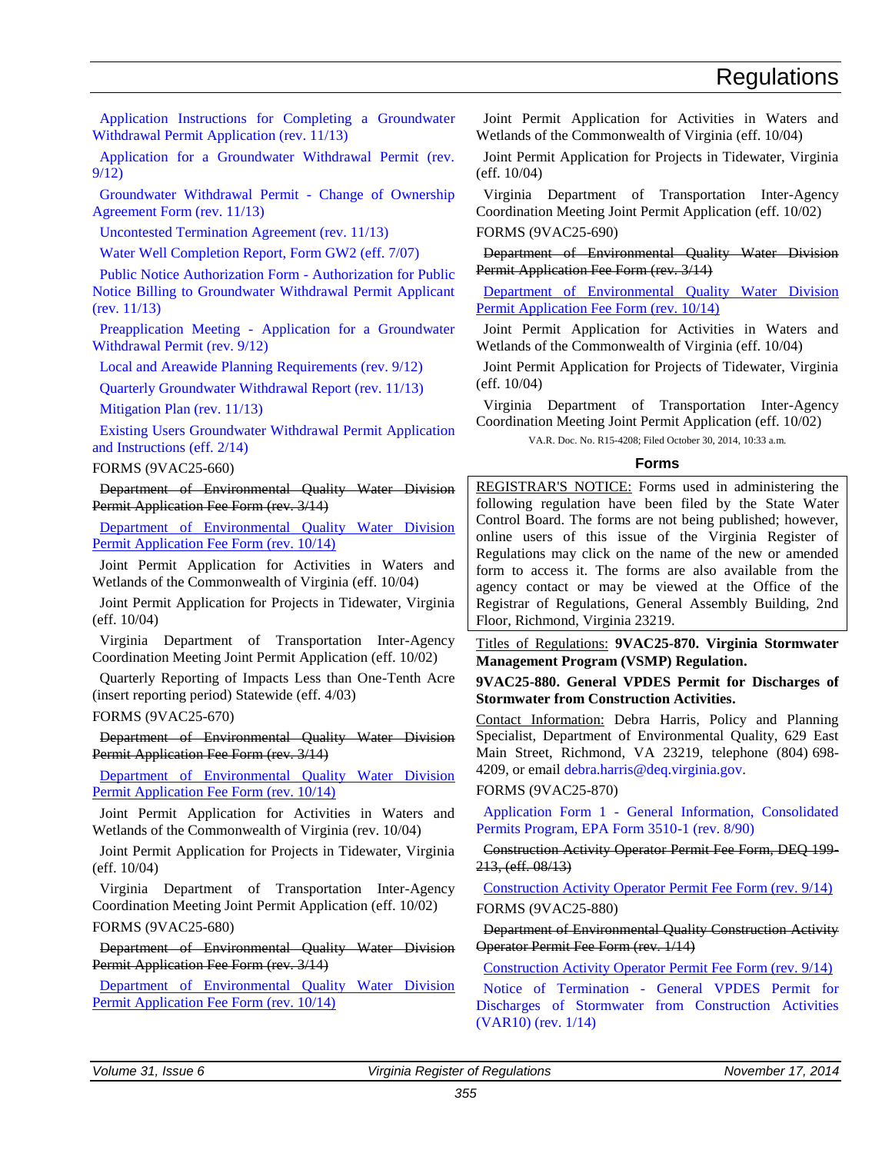<span id="page-15-0"></span>[Application Instructions for Completing a Groundwater](http://leg5.state.va.us/reg_agent/frmView.aspx?Viewid=add58001781~5&typ=40&actno=001781&mime=application/pdf)  [Withdrawal Permit Application \(rev. 11/13\)](http://leg5.state.va.us/reg_agent/frmView.aspx?Viewid=add58001781~5&typ=40&actno=001781&mime=application/pdf)

[Application for a Groundwater Withdrawal Permit \(rev.](http://leg5.state.va.us/reg_agent/frmView.aspx?Viewid=7f2e6001781~13&typ=40&actno=001781&mime=application/pdf)  [9/12\)](http://leg5.state.va.us/reg_agent/frmView.aspx?Viewid=7f2e6001781~13&typ=40&actno=001781&mime=application/pdf)

[Groundwater Withdrawal Permit -](http://leg5.state.va.us/reg_agent/frmView.aspx?Viewid=2768a001781~6&typ=40&actno=001781&mime=application/pdf) Change of Ownership [Agreement Form \(rev. 11/13\)](http://leg5.state.va.us/reg_agent/frmView.aspx?Viewid=2768a001781~6&typ=40&actno=001781&mime=application/pdf) 

[Uncontested Termination Agreement \(rev. 11/13\)](http://leg5.state.va.us/reg_agent/frmView.aspx?Viewid=59e6c001781~7&typ=40&actno=001781&mime=application/pdf) 

[Water Well Completion Report, Form GW2 \(eff. 7/07\)](http://leg5.state.va.us/reg_agent/frmView.aspx?Viewid=80b4b001781~8&typ=40&actno=001781&mime=application/pdf) 

[Public Notice Authorization Form -](http://leg5.state.va.us/reg_agent/frmView.aspx?Viewid=85e13001781~9&typ=40&actno=001781&mime=application/pdf) Authorization for Public [Notice Billing to Groundwater Withdrawal Permit Applicant](http://leg5.state.va.us/reg_agent/frmView.aspx?Viewid=85e13001781~9&typ=40&actno=001781&mime=application/pdf)  [\(rev. 11/13\)](http://leg5.state.va.us/reg_agent/frmView.aspx?Viewid=85e13001781~9&typ=40&actno=001781&mime=application/pdf) 

Preapplication Meeting - [Application for a Groundwater](http://leg5.state.va.us/reg_agent/frmView.aspx?Viewid=45793001781~18&typ=40&actno=001781&mime=application/pdf)  [Withdrawal Permit \(rev. 9/12\)](http://leg5.state.va.us/reg_agent/frmView.aspx?Viewid=45793001781~18&typ=40&actno=001781&mime=application/pdf)

[Local and Areawide Planning Requirements \(rev. 9/12\)](http://leg5.state.va.us/reg_agent/frmView.aspx?Viewid=19d2d001781~19&typ=40&actno=001781&mime=application/pdf)

[Quarterly Groundwater Withdrawal Report \(rev. 11/13\)](http://leg5.state.va.us/reg_agent/frmView.aspx?Viewid=c5c54001781~10&typ=40&actno=001781&mime=application/pdf) 

[Mitigation Plan \(rev. 11/13\)](http://leg5.state.va.us/reg_agent/frmView.aspx?Viewid=697b1001781~11&typ=40&actno=001781&mime=application/pdf) 

[Existing Users Groundwater Withdrawal Permit Application](http://leg5.state.va.us/reg_agent/frmView.aspx?Viewid=dbab6003949~1&typ=40&actno=003949&mime=application/pdf)  [and Instructions \(eff. 2/14\)](http://leg5.state.va.us/reg_agent/frmView.aspx?Viewid=dbab6003949~1&typ=40&actno=003949&mime=application/pdf)

#### FORMS (9VAC25-660)

Department of Environmental Quality Water Division Permit Application Fee Form (rev. 3/14)

[Department of Environmental Quality Water Division](http://leg5.state.va.us/reg_agent/frmView.aspx?Viewid=3f9d8004208~10&typ=40&actno=004208&mime=application/pdf)  [Permit Application Fee Form \(rev. 10/14\)](http://leg5.state.va.us/reg_agent/frmView.aspx?Viewid=3f9d8004208~10&typ=40&actno=004208&mime=application/pdf)

Joint Permit Application for Activities in Waters and Wetlands of the Commonwealth of Virginia (eff. 10/04)

Joint Permit Application for Projects in Tidewater, Virginia (eff. 10/04)

Virginia Department of Transportation Inter-Agency Coordination Meeting Joint Permit Application (eff. 10/02)

Quarterly Reporting of Impacts Less than One-Tenth Acre (insert reporting period) Statewide (eff. 4/03)

#### FORMS (9VAC25-670)

Department of Environmental Quality Water Division Permit Application Fee Form (rev. 3/14)

Department of [Environmental Quality Water Division](http://leg5.state.va.us/reg_agent/frmView.aspx?Viewid=3f9d8004208~10&typ=40&actno=004208&mime=application/pdf)  [Permit Application Fee Form \(rev. 10/14\)](http://leg5.state.va.us/reg_agent/frmView.aspx?Viewid=3f9d8004208~10&typ=40&actno=004208&mime=application/pdf)

Joint Permit Application for Activities in Waters and Wetlands of the Commonwealth of Virginia (rev. 10/04)

Joint Permit Application for Projects in Tidewater, Virginia (eff. 10/04)

Virginia Department of Transportation Inter-Agency Coordination Meeting Joint Permit Application (eff. 10/02) FORMS (9VAC25-680)

Department of Environmental Quality Water Division Permit Application Fee Form (rev. 3/14)

[Department of Environmental Quality Water Division](http://leg5.state.va.us/reg_agent/frmView.aspx?Viewid=3f9d8004208~10&typ=40&actno=004208&mime=application/pdf)  [Permit Application Fee Form \(rev. 10/14\)](http://leg5.state.va.us/reg_agent/frmView.aspx?Viewid=3f9d8004208~10&typ=40&actno=004208&mime=application/pdf)

Joint Permit Application for Activities in Waters and Wetlands of the Commonwealth of Virginia (eff. 10/04)

Joint Permit Application for Projects in Tidewater, Virginia (eff. 10/04)

Virginia Department of Transportation Inter-Agency Coordination Meeting Joint Permit Application (eff. 10/02) FORMS (9VAC25-690)

Department of Environmental Quality Water Division Permit Application Fee Form (rev. 3/14)

[Department of Environmental Quality Water Division](http://leg5.state.va.us/reg_agent/frmView.aspx?Viewid=3f9d8004208~10&typ=40&actno=004208&mime=application/pdf)  [Permit Application Fee Form \(rev. 10/14\)](http://leg5.state.va.us/reg_agent/frmView.aspx?Viewid=3f9d8004208~10&typ=40&actno=004208&mime=application/pdf)

Joint Permit Application for Activities in Waters and Wetlands of the Commonwealth of Virginia (eff. 10/04)

Joint Permit Application for Projects of Tidewater, Virginia (eff. 10/04)

Virginia Department of Transportation Inter-Agency Coordination Meeting Joint Permit Application (eff. 10/02)

VA.R. Doc. No. R15-4208; Filed October 30, 2014, 10:33 a.m.

#### **Forms**

REGISTRAR'S NOTICE: Forms used in administering the following regulation have been filed by the State Water Control Board. The forms are not being published; however, online users of this issue of the Virginia Register of Regulations may click on the name of the new or amended form to access it. The forms are also available from the agency contact or may be viewed at the Office of the Registrar of Regulations, General Assembly Building, 2nd Floor, Richmond, Virginia 23219.

Titles of Regulations: **9VAC25-870. Virginia Stormwater Management Program (VSMP) Regulation.**

**9VAC25-880. General VPDES Permit for Discharges of Stormwater from Construction Activities.**

Contact Information: Debra Harris, Policy and Planning Specialist, Department of Environmental Quality, 629 East Main Street, Richmond, VA 23219, telephone (804) 698- 4209, or email [debra.harris@deq.virginia.gov.](mailto:Debra.Harris@deq.virginia.gov)

#### FORMS (9VAC25-870)

Application Form 1 - [General Information, Consolidated](http://leg5.state.va.us/reg_agent/frmView.aspx?Viewid=64deb003668~1&typ=40&actno=003668&mime=application/pdf)  [Permits Program, EPA Form 3510-1 \(rev. 8/90\)](http://leg5.state.va.us/reg_agent/frmView.aspx?Viewid=64deb003668~1&typ=40&actno=003668&mime=application/pdf)

Construction Activity Operator Permit Fee Form, DEQ 199- 213, (eff. 08/13)

[Construction Activity Operator Permit Fee Form \(rev. 9/14\)](http://leg5.state.va.us/reg_agent/frmView.aspx?Viewid=82576004209~2&typ=40&actno=004209&mime=application/vnd.openxmlformats-officedocument.wordprocessingml.document) FORMS (9VAC25-880)

Department of Environmental Quality Construction Activity Operator Permit Fee Form (rev. 1/14)

[Construction Activity Operator Permit Fee Form \(rev. 9/14\)](http://leg5.state.va.us/reg_agent/frmView.aspx?Viewid=2baf1004209~1&typ=40&actno=004209&mime=application/vnd.openxmlformats-officedocument.wordprocessingml.document)

Notice of Termination - [General VPDES Permit for](http://leg5.state.va.us/reg_agent/frmView.aspx?Viewid=2ece5003208~6&typ=40&actno=003208&mime=application/pdf)  [Discharges of Stormwater from Construction Activities](http://leg5.state.va.us/reg_agent/frmView.aspx?Viewid=2ece5003208~6&typ=40&actno=003208&mime=application/pdf)  [\(VAR10\) \(rev. 1/14\)](http://leg5.state.va.us/reg_agent/frmView.aspx?Viewid=2ece5003208~6&typ=40&actno=003208&mime=application/pdf)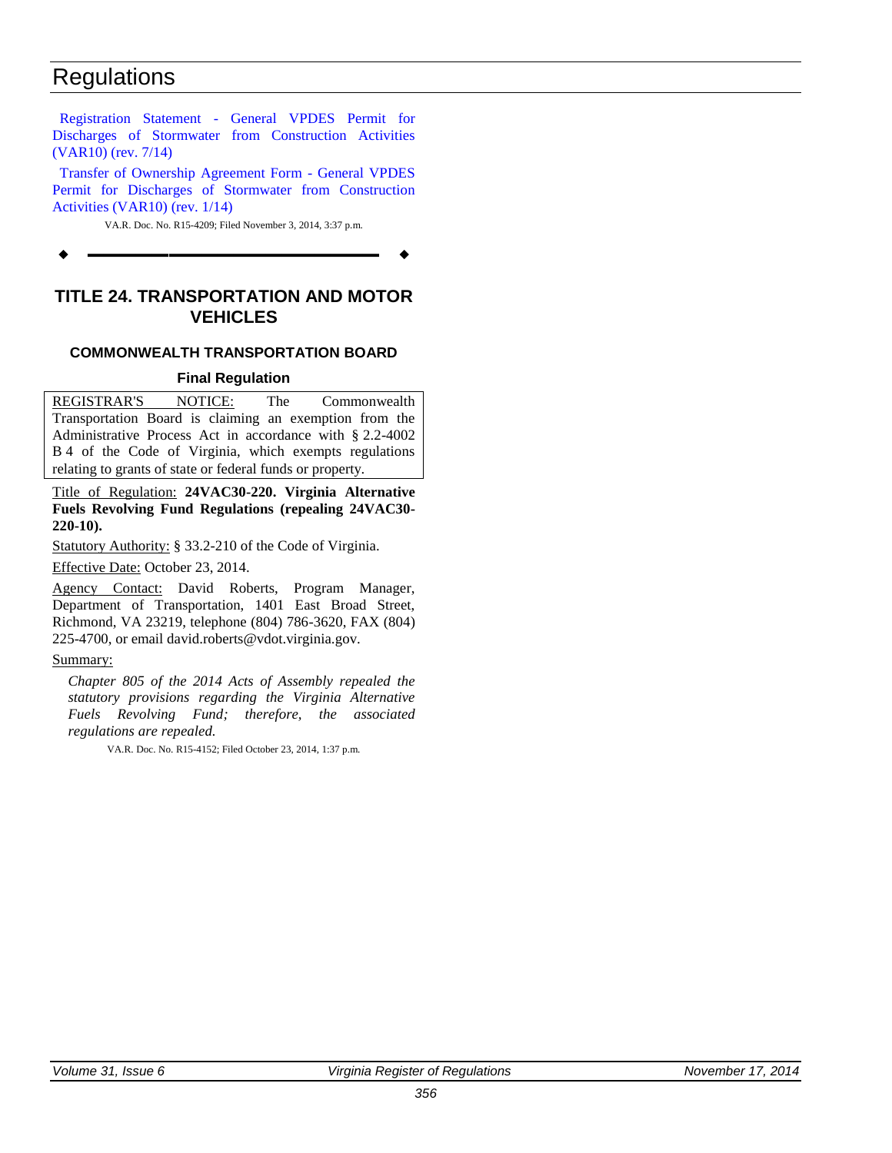<span id="page-16-0"></span>Registration Statement - [General VPDES Permit for](http://leg5.state.va.us/reg_agent/frmView.aspx?Viewid=4a010004167~2&typ=40&actno=004167&mime=application/pdf)  [Discharges of Stormwater from Construction Activities](http://leg5.state.va.us/reg_agent/frmView.aspx?Viewid=4a010004167~2&typ=40&actno=004167&mime=application/pdf)  [\(VAR10\) \(rev. 7/14\)](http://leg5.state.va.us/reg_agent/frmView.aspx?Viewid=4a010004167~2&typ=40&actno=004167&mime=application/pdf)

[Transfer of Ownership Agreement Form -](http://leg5.state.va.us/reg_agent/frmView.aspx?Viewid=8a852003208~9&typ=40&actno=003208&mime=application/pdf) General VPDES [Permit for Discharges of Stormwater from Construction](http://leg5.state.va.us/reg_agent/frmView.aspx?Viewid=8a852003208~9&typ=40&actno=003208&mime=application/pdf)  [Activities \(VAR10\) \(rev. 1/14\)](http://leg5.state.va.us/reg_agent/frmView.aspx?Viewid=8a852003208~9&typ=40&actno=003208&mime=application/pdf)

VA.R. Doc. No. R15-4209; Filed November 3, 2014, 3:37 p.m.

**––––––––––––––––––**

### **TITLE 24. TRANSPORTATION AND MOTOR VEHICLES**

### **COMMONWEALTH TRANSPORTATION BOARD**

#### **Final Regulation**

REGISTRAR'S NOTICE: The Commonwealth Transportation Board is claiming an exemption from the Administrative Process Act in accordance with § 2.2-4002 B 4 of the Code of Virginia, which exempts regulations relating to grants of state or federal funds or property.

Title of Regulation: **24VAC30-220. Virginia Alternative Fuels Revolving Fund Regulations (repealing 24VAC30- 220-10).** 

Statutory Authority: § 33.2-210 of the Code of Virginia.

Effective Date: October 23, 2014.

Agency Contact: David Roberts, Program Manager, Department of Transportation, 1401 East Broad Street, Richmond, VA 23219, telephone (804) 786-3620, FAX (804) 225-4700, or email david.roberts@vdot.virginia.gov.

#### Summary:

*Chapter 805 of the 2014 Acts of Assembly repealed the statutory provisions regarding the Virginia Alternative Fuels Revolving Fund; therefore, the associated regulations are repealed.*

VA.R. Doc. No. R15-4152; Filed October 23, 2014, 1:37 p.m.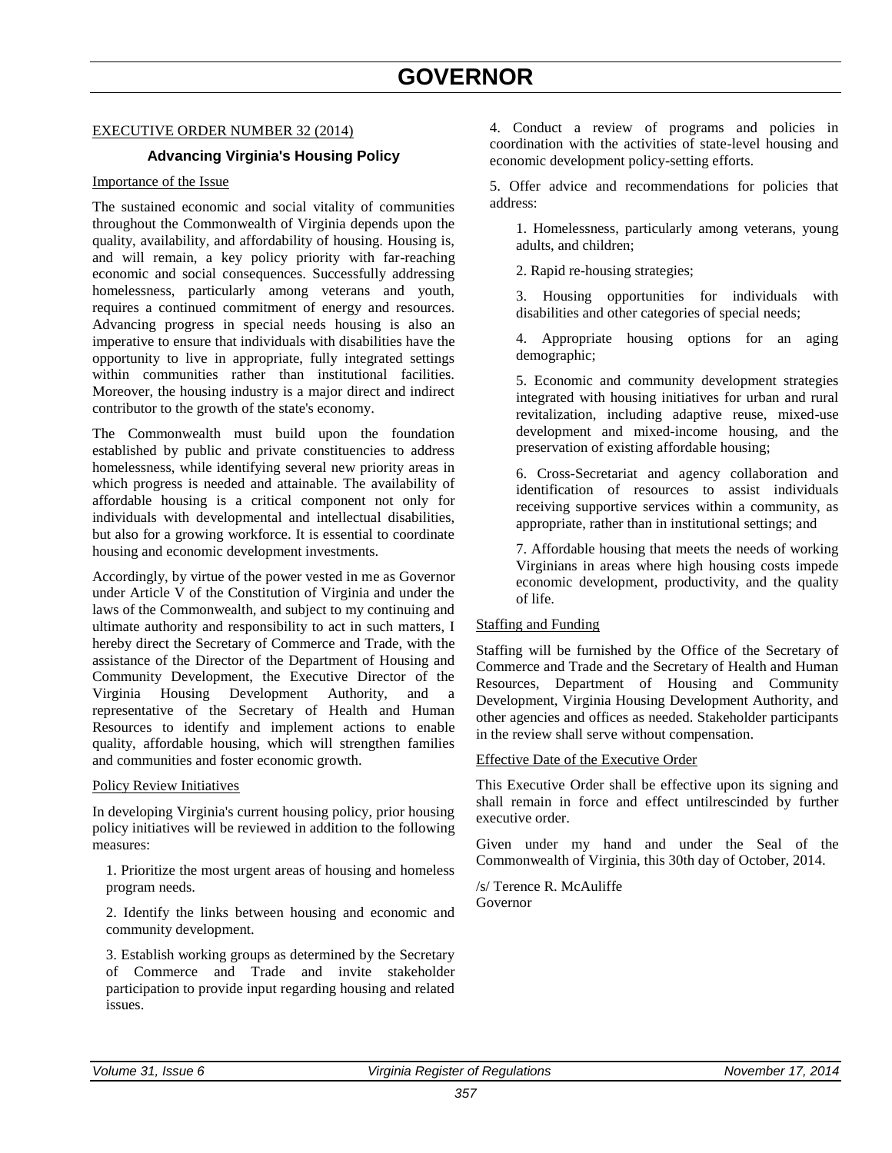#### <span id="page-17-0"></span>EXECUTIVE ORDER NUMBER 32 (2014)

#### **Advancing Virginia's Housing Policy**

#### Importance of the Issue

The sustained economic and social vitality of communities throughout the Commonwealth of Virginia depends upon the quality, availability, and affordability of housing. Housing is, and will remain, a key policy priority with far-reaching economic and social consequences. Successfully addressing homelessness, particularly among veterans and youth, requires a continued commitment of energy and resources. Advancing progress in special needs housing is also an imperative to ensure that individuals with disabilities have the opportunity to live in appropriate, fully integrated settings within communities rather than institutional facilities. Moreover, the housing industry is a major direct and indirect contributor to the growth of the state's economy.

The Commonwealth must build upon the foundation established by public and private constituencies to address homelessness, while identifying several new priority areas in which progress is needed and attainable. The availability of affordable housing is a critical component not only for individuals with developmental and intellectual disabilities, but also for a growing workforce. It is essential to coordinate housing and economic development investments.

Accordingly, by virtue of the power vested in me as Governor under Article V of the Constitution of Virginia and under the laws of the Commonwealth, and subject to my continuing and ultimate authority and responsibility to act in such matters, I hereby direct the Secretary of Commerce and Trade, with the assistance of the Director of the Department of Housing and Community Development, the Executive Director of the Virginia Housing Development Authority, and a representative of the Secretary of Health and Human Resources to identify and implement actions to enable quality, affordable housing, which will strengthen families and communities and foster economic growth.

#### Policy Review Initiatives

In developing Virginia's current housing policy, prior housing policy initiatives will be reviewed in addition to the following measures:

1. Prioritize the most urgent areas of housing and homeless program needs.

2. Identify the links between housing and economic and community development.

3. Establish working groups as determined by the Secretary of Commerce and Trade and invite stakeholder participation to provide input regarding housing and related issues.

4. Conduct a review of programs and policies in coordination with the activities of state-level housing and economic development policy-setting efforts.

5. Offer advice and recommendations for policies that address:

1. Homelessness, particularly among veterans, young adults, and children;

2. Rapid re-housing strategies;

3. Housing opportunities for individuals with disabilities and other categories of special needs;

4. Appropriate housing options for an aging demographic;

5. Economic and community development strategies integrated with housing initiatives for urban and rural revitalization, including adaptive reuse, mixed-use development and mixed-income housing, and the preservation of existing affordable housing;

6. Cross-Secretariat and agency collaboration and identification of resources to assist individuals receiving supportive services within a community, as appropriate, rather than in institutional settings; and

7. Affordable housing that meets the needs of working Virginians in areas where high housing costs impede economic development, productivity, and the quality of life.

#### Staffing and Funding

Staffing will be furnished by the Office of the Secretary of Commerce and Trade and the Secretary of Health and Human Resources, Department of Housing and Community Development, Virginia Housing Development Authority, and other agencies and offices as needed. Stakeholder participants in the review shall serve without compensation.

#### Effective Date of the Executive Order

This Executive Order shall be effective upon its signing and shall remain in force and effect untilrescinded by further executive order.

Given under my hand and under the Seal of the Commonwealth of Virginia, this 30th day of October, 2014.

/s/ Terence R. McAuliffe Governor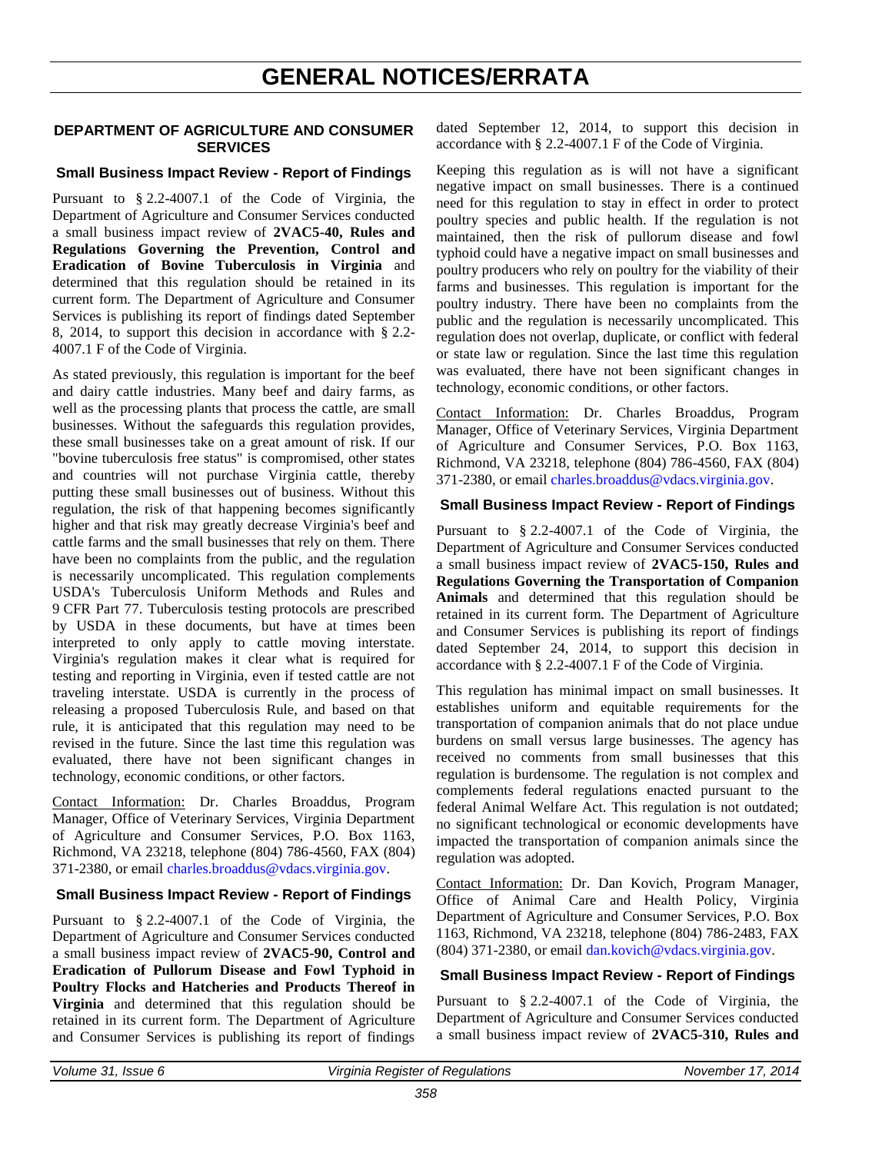# **GENERAL NOTICES/ERRATA**

#### <span id="page-18-0"></span>**DEPARTMENT OF AGRICULTURE AND CONSUMER SERVICES**

#### **Small Business Impact Review - Report of Findings**

Pursuant to § 2.2-4007.1 of the Code of Virginia, the Department of Agriculture and Consumer Services conducted a small business impact review of **2VAC5-40, Rules and Regulations Governing the Prevention, Control and Eradication of Bovine Tuberculosis in Virginia** and determined that this regulation should be retained in its current form. The Department of Agriculture and Consumer Services is publishing its report of findings dated September 8, 2014, to support this decision in accordance with § 2.2- 4007.1 F of the Code of Virginia.

As stated previously, this regulation is important for the beef and dairy cattle industries. Many beef and dairy farms, as well as the processing plants that process the cattle, are small businesses. Without the safeguards this regulation provides, these small businesses take on a great amount of risk. If our "bovine tuberculosis free status" is compromised, other states and countries will not purchase Virginia cattle, thereby putting these small businesses out of business. Without this regulation, the risk of that happening becomes significantly higher and that risk may greatly decrease Virginia's beef and cattle farms and the small businesses that rely on them. There have been no complaints from the public, and the regulation is necessarily uncomplicated. This regulation complements USDA's Tuberculosis Uniform Methods and Rules and 9 CFR Part 77. Tuberculosis testing protocols are prescribed by USDA in these documents, but have at times been interpreted to only apply to cattle moving interstate. Virginia's regulation makes it clear what is required for testing and reporting in Virginia, even if tested cattle are not traveling interstate. USDA is currently in the process of releasing a proposed Tuberculosis Rule, and based on that rule, it is anticipated that this regulation may need to be revised in the future. Since the last time this regulation was evaluated, there have not been significant changes in technology, economic conditions, or other factors.

Contact Information: Dr. Charles Broaddus, Program Manager, Office of Veterinary Services, Virginia Department of Agriculture and Consumer Services, P.O. Box 1163, Richmond, VA 23218, telephone (804) 786-4560, FAX (804) 371-2380, or email [charles.broaddus@vdacs.virginia.gov.](mailto:charles.broaddus@vdacs.virginia.gov)

#### **Small Business Impact Review - Report of Findings**

Pursuant to § 2.2-4007.1 of the Code of Virginia, the Department of Agriculture and Consumer Services conducted a small business impact review of **2VAC5-90, Control and Eradication of Pullorum Disease and Fowl Typhoid in Poultry Flocks and Hatcheries and Products Thereof in Virginia** and determined that this regulation should be retained in its current form. The Department of Agriculture and Consumer Services is publishing its report of findings

dated September 12, 2014, to support this decision in accordance with § 2.2-4007.1 F of the Code of Virginia.

Keeping this regulation as is will not have a significant negative impact on small businesses. There is a continued need for this regulation to stay in effect in order to protect poultry species and public health. If the regulation is not maintained, then the risk of pullorum disease and fowl typhoid could have a negative impact on small businesses and poultry producers who rely on poultry for the viability of their farms and businesses. This regulation is important for the poultry industry. There have been no complaints from the public and the regulation is necessarily uncomplicated. This regulation does not overlap, duplicate, or conflict with federal or state law or regulation. Since the last time this regulation was evaluated, there have not been significant changes in technology, economic conditions, or other factors.

Contact Information: Dr. Charles Broaddus, Program Manager, Office of Veterinary Services, Virginia Department of Agriculture and Consumer Services, P.O. Box 1163, Richmond, VA 23218, telephone (804) 786-4560, FAX (804) 371-2380, or email [charles.broaddus@vdacs.virginia.gov.](mailto:charles.broaddus@vdacs.virginia.gov)

#### **Small Business Impact Review - Report of Findings**

Pursuant to § 2.2-4007.1 of the Code of Virginia, the Department of Agriculture and Consumer Services conducted a small business impact review of **2VAC5-150, Rules and Regulations Governing the Transportation of Companion Animals** and determined that this regulation should be retained in its current form. The Department of Agriculture and Consumer Services is publishing its report of findings dated September 24, 2014, to support this decision in accordance with § 2.2-4007.1 F of the Code of Virginia.

This regulation has minimal impact on small businesses. It establishes uniform and equitable requirements for the transportation of companion animals that do not place undue burdens on small versus large businesses. The agency has received no comments from small businesses that this regulation is burdensome. The regulation is not complex and complements federal regulations enacted pursuant to the federal Animal Welfare Act. This regulation is not outdated; no significant technological or economic developments have impacted the transportation of companion animals since the regulation was adopted.

Contact Information: Dr. Dan Kovich, Program Manager, Office of Animal Care and Health Policy, Virginia Department of Agriculture and Consumer Services, P.O. Box 1163, Richmond, VA 23218, telephone (804) 786-2483, FAX (804) 371-2380, or email [dan.kovich@vdacs.virginia.gov.](mailto:dan.kovich@vdacs.virginia.gov)

#### **Small Business Impact Review - Report of Findings**

Pursuant to § 2.2-4007.1 of the Code of Virginia, the Department of Agriculture and Consumer Services conducted a small business impact review of **2VAC5-310, Rules and**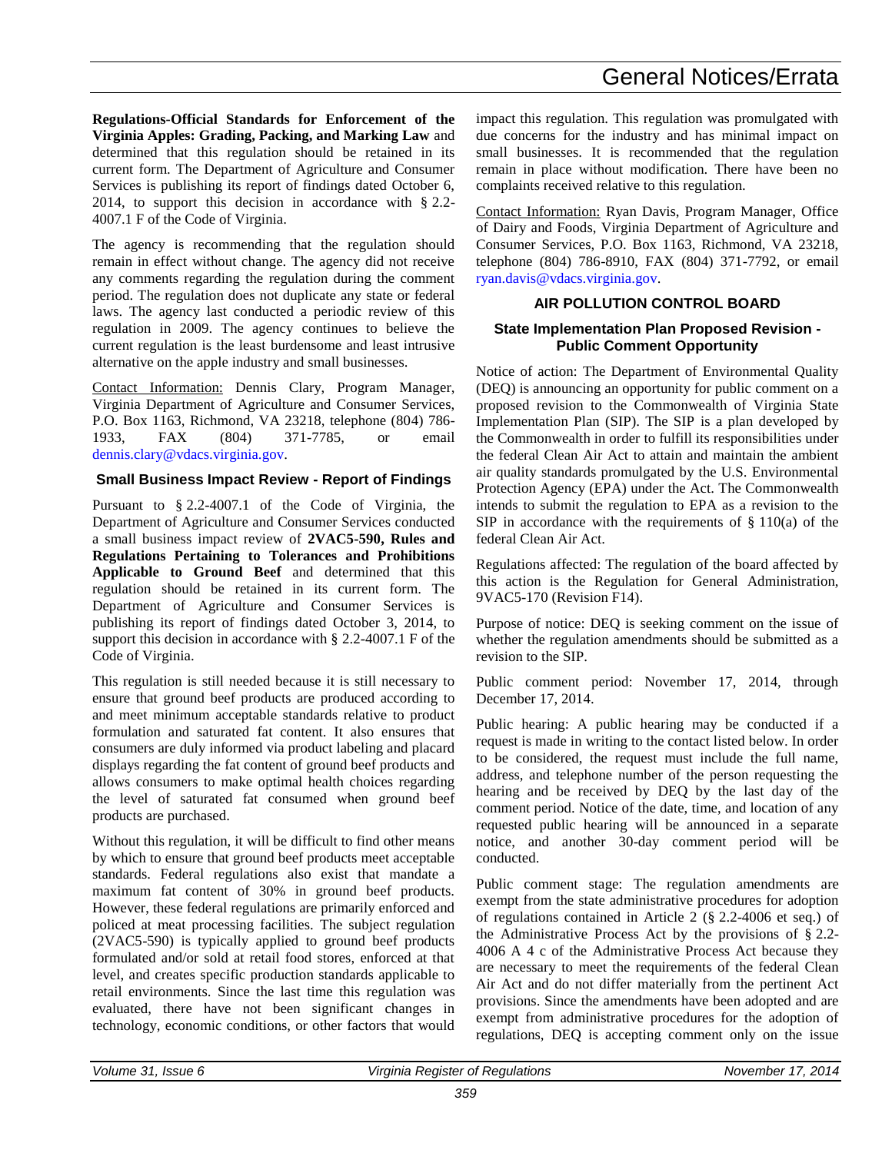**Regulations-Official Standards for Enforcement of the Virginia Apples: Grading, Packing, and Marking Law** and determined that this regulation should be retained in its current form. The Department of Agriculture and Consumer Services is publishing its report of findings dated October 6, 2014, to support this decision in accordance with § 2.2- 4007.1 F of the Code of Virginia.

The agency is recommending that the regulation should remain in effect without change. The agency did not receive any comments regarding the regulation during the comment period. The regulation does not duplicate any state or federal laws. The agency last conducted a periodic review of this regulation in 2009. The agency continues to believe the current regulation is the least burdensome and least intrusive alternative on the apple industry and small businesses.

Contact Information: Dennis Clary, Program Manager, Virginia Department of Agriculture and Consumer Services, P.O. Box 1163, Richmond, VA 23218, telephone (804) 786- 1933, FAX (804) 371-7785, or email [dennis.clary@vdacs.virginia.gov.](mailto:dennis.clary@vdacs.virginia.gov)

#### **Small Business Impact Review - Report of Findings**

Pursuant to § 2.2-4007.1 of the Code of Virginia, the Department of Agriculture and Consumer Services conducted a small business impact review of **2VAC5-590, Rules and Regulations Pertaining to Tolerances and Prohibitions Applicable to Ground Beef** and determined that this regulation should be retained in its current form. The Department of Agriculture and Consumer Services is publishing its report of findings dated October 3, 2014, to support this decision in accordance with § 2.2-4007.1 F of the Code of Virginia.

This regulation is still needed because it is still necessary to ensure that ground beef products are produced according to and meet minimum acceptable standards relative to product formulation and saturated fat content. It also ensures that consumers are duly informed via product labeling and placard displays regarding the fat content of ground beef products and allows consumers to make optimal health choices regarding the level of saturated fat consumed when ground beef products are purchased.

Without this regulation, it will be difficult to find other means by which to ensure that ground beef products meet acceptable standards. Federal regulations also exist that mandate a maximum fat content of 30% in ground beef products. However, these federal regulations are primarily enforced and policed at meat processing facilities. The subject regulation (2VAC5-590) is typically applied to ground beef products formulated and/or sold at retail food stores, enforced at that level, and creates specific production standards applicable to retail environments. Since the last time this regulation was evaluated, there have not been significant changes in technology, economic conditions, or other factors that would

impact this regulation. This regulation was promulgated with due concerns for the industry and has minimal impact on small businesses. It is recommended that the regulation remain in place without modification. There have been no complaints received relative to this regulation.

Contact Information: Ryan Davis, Program Manager, Office of Dairy and Foods, Virginia Department of Agriculture and Consumer Services, P.O. Box 1163, Richmond, VA 23218, telephone (804) 786-8910, FAX (804) 371-7792, or email [ryan.davis@vdacs.virginia.gov.](mailto:ryan.davis@vdacs.virginia.gov)

### **AIR POLLUTION CONTROL BOARD**

#### **State Implementation Plan Proposed Revision - Public Comment Opportunity**

Notice of action: The Department of Environmental Quality (DEQ) is announcing an opportunity for public comment on a proposed revision to the Commonwealth of Virginia State Implementation Plan (SIP). The SIP is a plan developed by the Commonwealth in order to fulfill its responsibilities under the federal Clean Air Act to attain and maintain the ambient air quality standards promulgated by the U.S. Environmental Protection Agency (EPA) under the Act. The Commonwealth intends to submit the regulation to EPA as a revision to the SIP in accordance with the requirements of  $\S$  110(a) of the federal Clean Air Act.

Regulations affected: The regulation of the board affected by this action is the Regulation for General Administration, 9VAC5-170 (Revision F14).

Purpose of notice: DEQ is seeking comment on the issue of whether the regulation amendments should be submitted as a revision to the SIP.

Public comment period: November 17, 2014, through December 17, 2014.

Public hearing: A public hearing may be conducted if a request is made in writing to the contact listed below. In order to be considered, the request must include the full name, address, and telephone number of the person requesting the hearing and be received by DEQ by the last day of the comment period. Notice of the date, time, and location of any requested public hearing will be announced in a separate notice, and another 30-day comment period will be conducted.

Public comment stage: The regulation amendments are exempt from the state administrative procedures for adoption of regulations contained in Article 2 (§ 2.2-4006 et seq.) of the Administrative Process Act by the provisions of § 2.2- 4006 A 4 c of the Administrative Process Act because they are necessary to meet the requirements of the federal Clean Air Act and do not differ materially from the pertinent Act provisions. Since the amendments have been adopted and are exempt from administrative procedures for the adoption of regulations, DEQ is accepting comment only on the issue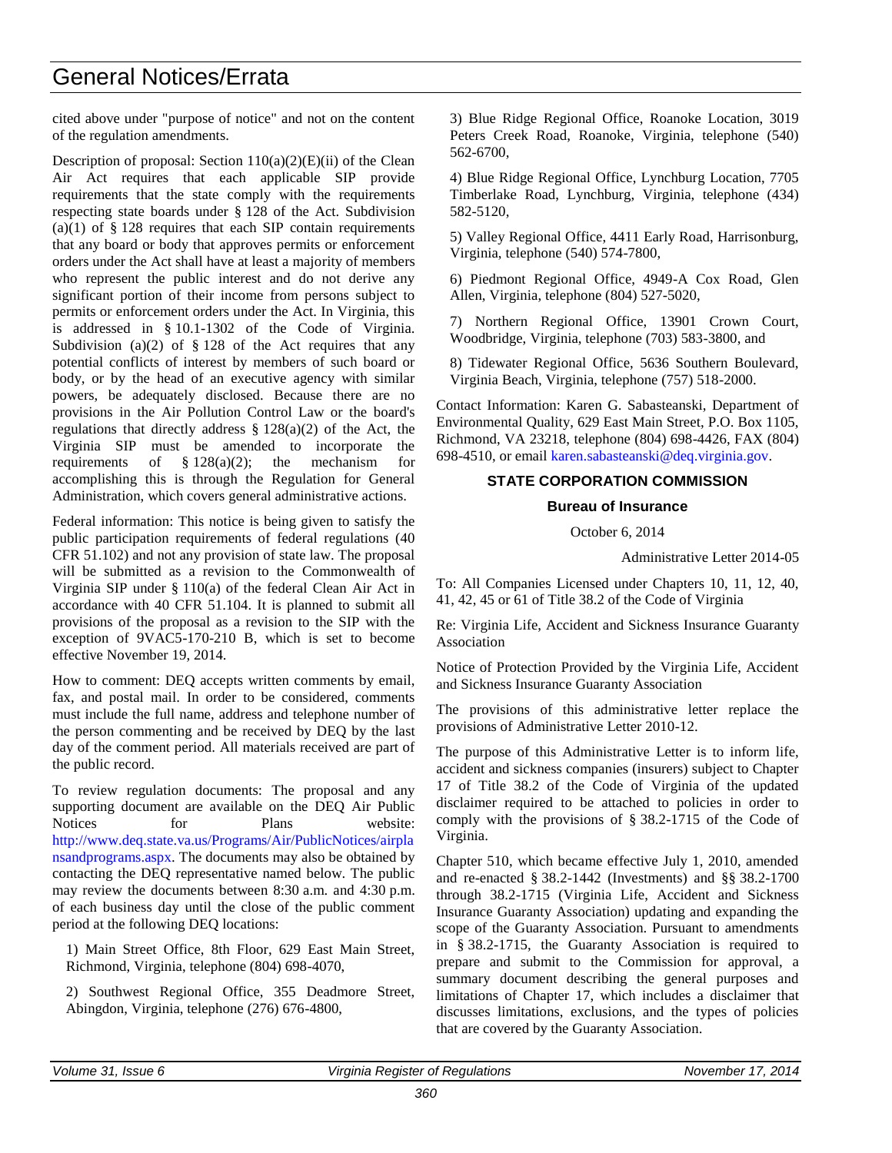cited above under "purpose of notice" and not on the content of the regulation amendments.

Description of proposal: Section  $110(a)(2)(E)(ii)$  of the Clean Air Act requires that each applicable SIP provide requirements that the state comply with the requirements respecting state boards under § 128 of the Act. Subdivision (a)(1) of  $\S$  128 requires that each SIP contain requirements that any board or body that approves permits or enforcement orders under the Act shall have at least a majority of members who represent the public interest and do not derive any significant portion of their income from persons subject to permits or enforcement orders under the Act. In Virginia, this is addressed in § 10.1-1302 of the Code of Virginia. Subdivision (a)(2) of  $\S$  128 of the Act requires that any potential conflicts of interest by members of such board or body, or by the head of an executive agency with similar powers, be adequately disclosed. Because there are no provisions in the Air Pollution Control Law or the board's regulations that directly address § 128(a)(2) of the Act, the Virginia SIP must be amended to incorporate the requirements of  $\S 128(a)(2)$ ; the mechanism for accomplishing this is through the Regulation for General Administration, which covers general administrative actions.

Federal information: This notice is being given to satisfy the public participation requirements of federal regulations (40 CFR 51.102) and not any provision of state law. The proposal will be submitted as a revision to the Commonwealth of Virginia SIP under § 110(a) of the federal Clean Air Act in accordance with 40 CFR 51.104. It is planned to submit all provisions of the proposal as a revision to the SIP with the exception of 9VAC5-170-210 B, which is set to become effective November 19, 2014.

How to comment: DEQ accepts written comments by email, fax, and postal mail. In order to be considered, comments must include the full name, address and telephone number of the person commenting and be received by DEQ by the last day of the comment period. All materials received are part of the public record.

To review regulation documents: The proposal and any supporting document are available on the DEQ Air Public Notices for Plans website: [http://www.deq.state.va.us/Programs/Air/PublicNotices/airpla](http://www.deq.state.va.us/Programs/Air/PublicNotices/airplansandprograms.aspx) [nsandprograms.aspx.](http://www.deq.state.va.us/Programs/Air/PublicNotices/airplansandprograms.aspx) The documents may also be obtained by contacting the DEQ representative named below. The public may review the documents between 8:30 a.m. and 4:30 p.m. of each business day until the close of the public comment period at the following DEQ locations:

1) Main Street Office, 8th Floor, 629 East Main Street, Richmond, Virginia, telephone (804) 698-4070,

2) Southwest Regional Office, 355 Deadmore Street, Abingdon, Virginia, telephone (276) 676-4800,

3) Blue Ridge Regional Office, Roanoke Location, 3019 Peters Creek Road, Roanoke, Virginia, telephone (540) 562-6700,

4) Blue Ridge Regional Office, Lynchburg Location, 7705 Timberlake Road, Lynchburg, Virginia, telephone (434) 582-5120,

5) Valley Regional Office, 4411 Early Road, Harrisonburg, Virginia, telephone (540) 574-7800,

6) Piedmont Regional Office, 4949-A Cox Road, Glen Allen, Virginia, telephone (804) 527-5020,

7) Northern Regional Office, 13901 Crown Court, Woodbridge, Virginia, telephone (703) 583-3800, and

8) Tidewater Regional Office, 5636 Southern Boulevard, Virginia Beach, Virginia, telephone (757) 518-2000.

Contact Information: Karen G. Sabasteanski, Department of Environmental Quality, 629 East Main Street, P.O. Box 1105, Richmond, VA 23218, telephone (804) 698-4426, FAX (804) 698-4510, or email [karen.sabasteanski@deq.virginia.gov.](mailto:karen.sabasteanski@deq.virginia.gov)

#### **STATE CORPORATION COMMISSION**

#### **Bureau of Insurance**

October 6, 2014

Administrative Letter 2014-05

To: All Companies Licensed under Chapters 10, 11, 12, 40, 41, 42, 45 or 61 of Title 38.2 of the Code of Virginia

Re: Virginia Life, Accident and Sickness Insurance Guaranty Association

Notice of Protection Provided by the Virginia Life, Accident and Sickness Insurance Guaranty Association

The provisions of this administrative letter replace the provisions of Administrative Letter 2010-12.

The purpose of this Administrative Letter is to inform life, accident and sickness companies (insurers) subject to Chapter 17 of Title 38.2 of the Code of Virginia of the updated disclaimer required to be attached to policies in order to comply with the provisions of § 38.2-1715 of the Code of Virginia.

Chapter 510, which became effective July 1, 2010, amended and re-enacted § 38.2-1442 (Investments) and §§ 38.2-1700 through 38.2-1715 (Virginia Life, Accident and Sickness Insurance Guaranty Association) updating and expanding the scope of the Guaranty Association. Pursuant to amendments in § 38.2-1715, the Guaranty Association is required to prepare and submit to the Commission for approval, a summary document describing the general purposes and limitations of Chapter 17, which includes a disclaimer that discusses limitations, exclusions, and the types of policies that are covered by the Guaranty Association.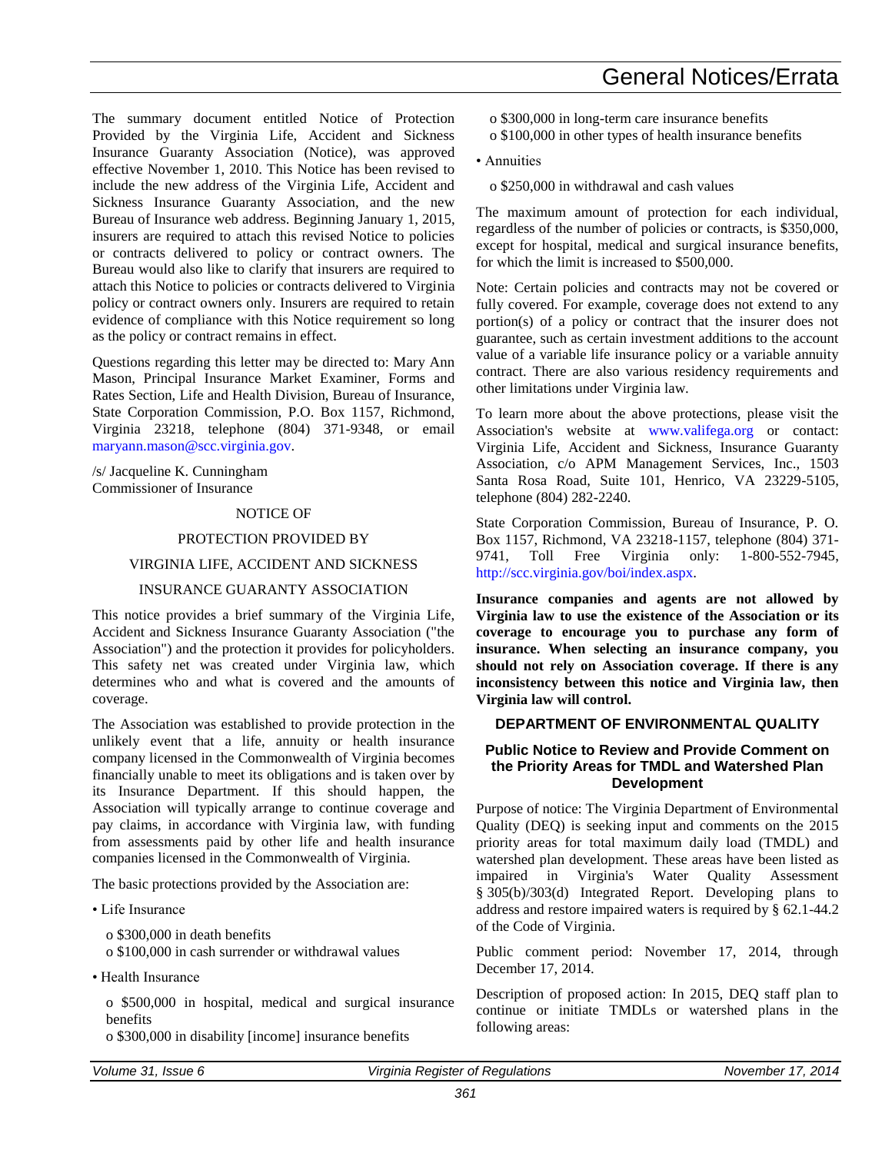The summary document entitled Notice of Protection Provided by the Virginia Life, Accident and Sickness Insurance Guaranty Association (Notice), was approved effective November 1, 2010. This Notice has been revised to include the new address of the Virginia Life, Accident and Sickness Insurance Guaranty Association, and the new Bureau of Insurance web address. Beginning January 1, 2015, insurers are required to attach this revised Notice to policies or contracts delivered to policy or contract owners. The Bureau would also like to clarify that insurers are required to attach this Notice to policies or contracts delivered to Virginia policy or contract owners only. Insurers are required to retain evidence of compliance with this Notice requirement so long as the policy or contract remains in effect.

Questions regarding this letter may be directed to: Mary Ann Mason, Principal Insurance Market Examiner, Forms and Rates Section, Life and Health Division, Bureau of Insurance, State Corporation Commission, P.O. Box 1157, Richmond, Virginia 23218, telephone (804) 371-9348, or email maryann.mason@scc.virginia.gov.

/s/ Jacqueline K. Cunningham Commissioner of Insurance

#### NOTICE OF

#### PROTECTION PROVIDED BY

#### VIRGINIA LIFE, ACCIDENT AND SICKNESS

#### INSURANCE GUARANTY ASSOCIATION

This notice provides a brief summary of the Virginia Life, Accident and Sickness Insurance Guaranty Association ("the Association") and the protection it provides for policyholders. This safety net was created under Virginia law, which determines who and what is covered and the amounts of coverage.

The Association was established to provide protection in the unlikely event that a life, annuity or health insurance company licensed in the Commonwealth of Virginia becomes financially unable to meet its obligations and is taken over by its Insurance Department. If this should happen, the Association will typically arrange to continue coverage and pay claims, in accordance with Virginia law, with funding from assessments paid by other life and health insurance companies licensed in the Commonwealth of Virginia.

The basic protections provided by the Association are:

• Life Insurance

o \$300,000 in death benefits

o \$100,000 in cash surrender or withdrawal values

• Health Insurance

o \$500,000 in hospital, medical and surgical insurance benefits

o \$300,000 in disability [income] insurance benefits

- General Notices/Errata
- o \$300,000 in long-term care insurance benefits
- o \$100,000 in other types of health insurance benefits

• Annuities

o \$250,000 in withdrawal and cash values

The maximum amount of protection for each individual, regardless of the number of policies or contracts, is \$350,000, except for hospital, medical and surgical insurance benefits, for which the limit is increased to \$500,000.

Note: Certain policies and contracts may not be covered or fully covered. For example, coverage does not extend to any portion(s) of a policy or contract that the insurer does not guarantee, such as certain investment additions to the account value of a variable life insurance policy or a variable annuity contract. There are also various residency requirements and other limitations under Virginia law.

To learn more about the above protections, please visit the Association's website at [www.valifega.org](http://www.valifega.org/) or contact: Virginia Life, Accident and Sickness, Insurance Guaranty Association, c/o APM Management Services, Inc., 1503 Santa Rosa Road, Suite 101, Henrico, VA 23229-5105, telephone (804) 282-2240.

State Corporation Commission, Bureau of Insurance, P. O. Box 1157, Richmond, VA 23218-1157, telephone (804) 371- 9741, Toll Free Virginia only: 1-800-552-7945, [http://scc.virginia.gov/boi/index.aspx.](http://scc.virginia.gov/boi/index.aspx)

**Insurance companies and agents are not allowed by Virginia law to use the existence of the Association or its coverage to encourage you to purchase any form of insurance. When selecting an insurance company, you should not rely on Association coverage. If there is any inconsistency between this notice and Virginia law, then Virginia law will control.** 

#### **DEPARTMENT OF ENVIRONMENTAL QUALITY**

#### **Public Notice to Review and Provide Comment on the Priority Areas for TMDL and Watershed Plan Development**

Purpose of notice: The Virginia Department of Environmental Quality (DEQ) is seeking input and comments on the 2015 priority areas for total maximum daily load (TMDL) and watershed plan development. These areas have been listed as impaired in Virginia's Water Quality Assessment § 305(b)/303(d) Integrated Report. Developing plans to address and restore impaired waters is required by § 62.1-44.2 of the Code of Virginia.

Public comment period: November 17, 2014, through December 17, 2014.

Description of proposed action: In 2015, DEQ staff plan to continue or initiate TMDLs or watershed plans in the following areas: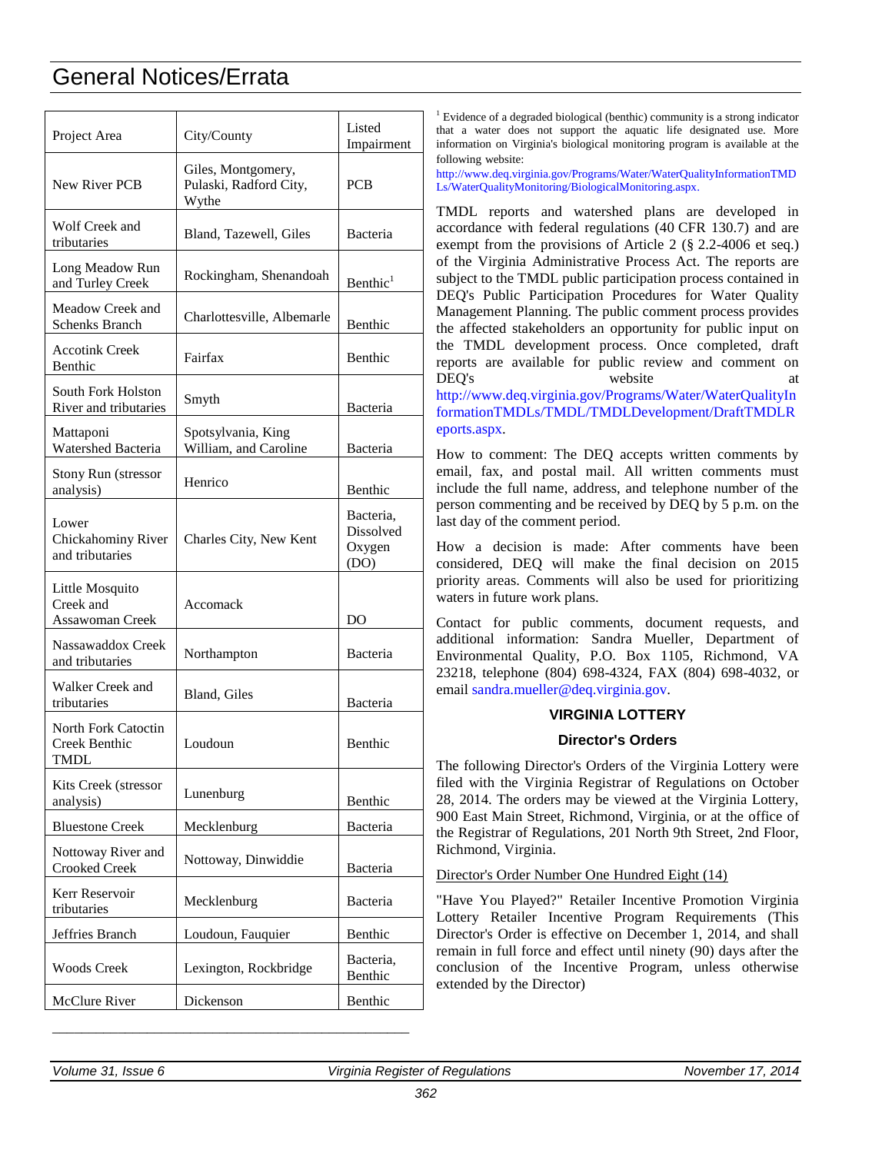| Project Area                                           | City/County                                           | Listed<br>Impairment                            |
|--------------------------------------------------------|-------------------------------------------------------|-------------------------------------------------|
| <b>New River PCB</b>                                   | Giles, Montgomery,<br>Pulaski, Radford City,<br>Wythe | PCB                                             |
| Wolf Creek and<br>tributaries                          | Bland, Tazewell, Giles                                | Bacteria                                        |
| Long Meadow Run<br>and Turley Creek                    | Rockingham, Shenandoah                                | Benthic <sup>1</sup>                            |
| Meadow Creek and<br><b>Schenks Branch</b>              | Charlottesville, Albemarle                            | Benthic                                         |
| <b>Accotink Creek</b><br>Benthic                       | Fairfax                                               | Benthic                                         |
| South Fork Holston<br>River and tributaries            | Smyth                                                 | Bacteria                                        |
| Mattaponi<br>Watershed Bacteria                        | Spotsylvania, King<br>William, and Caroline           | Bacteria                                        |
| <b>Stony Run (stressor</b><br>analysis)                | Henrico                                               | Benthic                                         |
| Lower<br>Chickahominy River<br>and tributaries         | Charles City, New Kent                                | Bacteria.<br><b>Dissolved</b><br>Oxygen<br>(DO) |
| Little Mosquito<br>Creek and<br><b>Assawoman Creek</b> | Accomack                                              | DO                                              |
| Nassawaddox Creek<br>and tributaries                   | Northampton                                           | Bacteria                                        |
| Walker Creek and<br>tributaries                        | Bland, Giles                                          | Bacteria                                        |
| North Fork Catoctin<br>Creek Benthic<br>TMDL           | Loudoun                                               | Benthic                                         |
| Kits Creek (stressor<br>analysis)                      | Lunenburg                                             | Benthic                                         |
| <b>Bluestone Creek</b>                                 | Mecklenburg                                           | <b>Bacteria</b>                                 |
| Nottoway River and<br><b>Crooked Creek</b>             | Nottoway, Dinwiddie                                   | Bacteria                                        |
| Kerr Reservoir<br>tributaries                          | Mecklenburg                                           | Bacteria                                        |
| Jeffries Branch                                        | Loudoun, Fauquier                                     | Benthic                                         |
| <b>Woods Creek</b>                                     | Lexington, Rockbridge                                 | Bacteria,<br>Benthic                            |
| McClure River                                          | Dickenson                                             | Benthic                                         |

\_\_\_\_\_\_\_\_\_\_\_\_\_\_\_\_\_\_\_\_\_\_\_\_\_\_\_\_\_\_\_\_\_\_\_\_\_\_\_\_\_\_\_\_\_\_\_\_\_

<sup>1</sup> Evidence of a degraded biological (benthic) community is a strong indicator that a water does not support the aquatic life designated use. More information on Virginia's biological monitoring program is available at the following website:

[http://www.deq.virginia.gov/Programs/Water/WaterQualityInformationTMD](http://www.deq.virginia.gov/Programs/Water/WaterQualityInformationTMDLs/WaterQualityMonitoring/BiologicalMonitoring.aspx) [Ls/WaterQualityMonitoring/BiologicalMonitoring.aspx.](http://www.deq.virginia.gov/Programs/Water/WaterQualityInformationTMDLs/WaterQualityMonitoring/BiologicalMonitoring.aspx)

TMDL reports and watershed plans are developed in accordance with federal regulations (40 CFR 130.7) and are exempt from the provisions of Article 2 (§ 2.2-4006 et seq.) of the Virginia Administrative Process Act. The reports are subject to the TMDL public participation process contained in DEQ's Public Participation Procedures for Water Quality Management Planning. The public comment process provides the affected stakeholders an opportunity for public input on the TMDL development process. Once completed, draft reports are available for public review and comment on DEO's website at [http://www.deq.virginia.gov/Programs/Water/WaterQualityIn](http://www.deq.virginia.gov/Programs/Water/WaterQualityInformationTMDLs/TMDL/TMDLDevelopment/DraftTMDLReports.aspx) [formationTMDLs/TMDL/TMDLDevelopment/DraftTMDLR](http://www.deq.virginia.gov/Programs/Water/WaterQualityInformationTMDLs/TMDL/TMDLDevelopment/DraftTMDLReports.aspx) [eports.aspx.](http://www.deq.virginia.gov/Programs/Water/WaterQualityInformationTMDLs/TMDL/TMDLDevelopment/DraftTMDLReports.aspx)

How to comment: The DEQ accepts written comments by email, fax, and postal mail. All written comments must include the full name, address, and telephone number of the person commenting and be received by DEQ by 5 p.m. on the last day of the comment period.

How a decision is made: After comments have been considered, DEQ will make the final decision on 2015 priority areas. Comments will also be used for prioritizing waters in future work plans.

Contact for public comments, document requests, and additional information: Sandra Mueller, Department of Environmental Quality, P.O. Box 1105, Richmond, VA 23218, telephone (804) 698-4324, FAX (804) 698-4032, or email [sandra.mueller@deq.virginia.gov.](mailto:sandra.mueller@deq.virginia.gov)

### **VIRGINIA LOTTERY**

#### **Director's Orders**

The following Director's Orders of the Virginia Lottery were filed with the Virginia Registrar of Regulations on October 28, 2014. The orders may be viewed at the Virginia Lottery, 900 East Main Street, Richmond, Virginia, or at the office of the Registrar of Regulations, 201 North 9th Street, 2nd Floor, Richmond, Virginia.

### Director's Order Number One Hundred Eight (14)

"Have You Played?" Retailer Incentive Promotion Virginia Lottery Retailer Incentive Program Requirements (This Director's Order is effective on December 1, 2014, and shall remain in full force and effect until ninety (90) days after the conclusion of the Incentive Program, unless otherwise extended by the Director)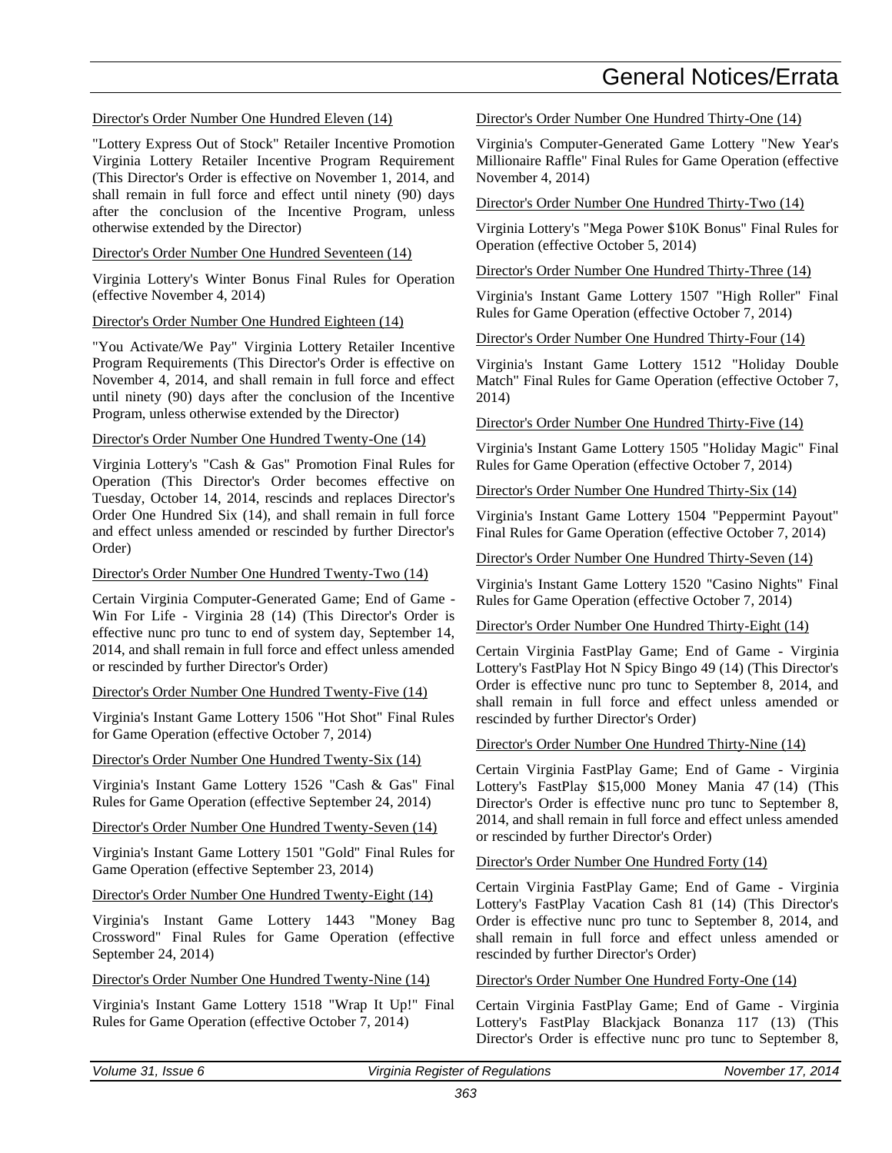#### Director's Order Number One Hundred Eleven (14)

"Lottery Express Out of Stock" Retailer Incentive Promotion Virginia Lottery Retailer Incentive Program Requirement (This Director's Order is effective on November 1, 2014, and shall remain in full force and effect until ninety (90) days after the conclusion of the Incentive Program, unless otherwise extended by the Director)

#### Director's Order Number One Hundred Seventeen (14)

Virginia Lottery's Winter Bonus Final Rules for Operation (effective November 4, 2014)

#### Director's Order Number One Hundred Eighteen (14)

"You Activate/We Pay" Virginia Lottery Retailer Incentive Program Requirements (This Director's Order is effective on November 4, 2014, and shall remain in full force and effect until ninety (90) days after the conclusion of the Incentive Program, unless otherwise extended by the Director)

#### Director's Order Number One Hundred Twenty-One (14)

Virginia Lottery's "Cash & Gas" Promotion Final Rules for Operation (This Director's Order becomes effective on Tuesday, October 14, 2014, rescinds and replaces Director's Order One Hundred Six (14), and shall remain in full force and effect unless amended or rescinded by further Director's Order)

#### Director's Order Number One Hundred Twenty-Two (14)

Certain Virginia Computer-Generated Game; End of Game - Win For Life - Virginia 28 (14) (This Director's Order is effective nunc pro tunc to end of system day, September 14, 2014, and shall remain in full force and effect unless amended or rescinded by further Director's Order)

Director's Order Number One Hundred Twenty-Five (14)

Virginia's Instant Game Lottery 1506 "Hot Shot" Final Rules for Game Operation (effective October 7, 2014)

Director's Order Number One Hundred Twenty-Six (14)

Virginia's Instant Game Lottery 1526 "Cash & Gas" Final Rules for Game Operation (effective September 24, 2014)

Director's Order Number One Hundred Twenty-Seven (14)

Virginia's Instant Game Lottery 1501 "Gold" Final Rules for Game Operation (effective September 23, 2014)

Director's Order Number One Hundred Twenty-Eight (14)

Virginia's Instant Game Lottery 1443 "Money Bag Crossword" Final Rules for Game Operation (effective September 24, 2014)

Director's Order Number One Hundred Twenty-Nine (14)

Virginia's Instant Game Lottery 1518 "Wrap It Up!" Final Rules for Game Operation (effective October 7, 2014)

Director's Order Number One Hundred Thirty-One (14)

Virginia's Computer-Generated Game Lottery "New Year's Millionaire Raffle" Final Rules for Game Operation (effective November 4, 2014)

Director's Order Number One Hundred Thirty-Two (14)

Virginia Lottery's "Mega Power \$10K Bonus" Final Rules for Operation (effective October 5, 2014)

Director's Order Number One Hundred Thirty-Three (14)

Virginia's Instant Game Lottery 1507 "High Roller" Final Rules for Game Operation (effective October 7, 2014)

Director's Order Number One Hundred Thirty-Four (14)

Virginia's Instant Game Lottery 1512 "Holiday Double Match" Final Rules for Game Operation (effective October 7, 2014)

Director's Order Number One Hundred Thirty-Five (14)

Virginia's Instant Game Lottery 1505 "Holiday Magic" Final Rules for Game Operation (effective October 7, 2014)

Director's Order Number One Hundred Thirty-Six (14)

Virginia's Instant Game Lottery 1504 "Peppermint Payout" Final Rules for Game Operation (effective October 7, 2014)

Director's Order Number One Hundred Thirty-Seven (14)

Virginia's Instant Game Lottery 1520 "Casino Nights" Final Rules for Game Operation (effective October 7, 2014)

#### Director's Order Number One Hundred Thirty-Eight (14)

Certain Virginia FastPlay Game; End of Game - Virginia Lottery's FastPlay Hot N Spicy Bingo 49 (14) (This Director's Order is effective nunc pro tunc to September 8, 2014, and shall remain in full force and effect unless amended or rescinded by further Director's Order)

#### Director's Order Number One Hundred Thirty-Nine (14)

Certain Virginia FastPlay Game; End of Game - Virginia Lottery's FastPlay \$15,000 Money Mania 47 (14) (This Director's Order is effective nunc pro tunc to September 8. 2014, and shall remain in full force and effect unless amended or rescinded by further Director's Order)

#### Director's Order Number One Hundred Forty (14)

Certain Virginia FastPlay Game; End of Game - Virginia Lottery's FastPlay Vacation Cash 81 (14) (This Director's Order is effective nunc pro tunc to September 8, 2014, and shall remain in full force and effect unless amended or rescinded by further Director's Order)

Director's Order Number One Hundred Forty-One (14)

Certain Virginia FastPlay Game; End of Game - Virginia Lottery's FastPlay Blackjack Bonanza 117 (13) (This Director's Order is effective nunc pro tunc to September 8,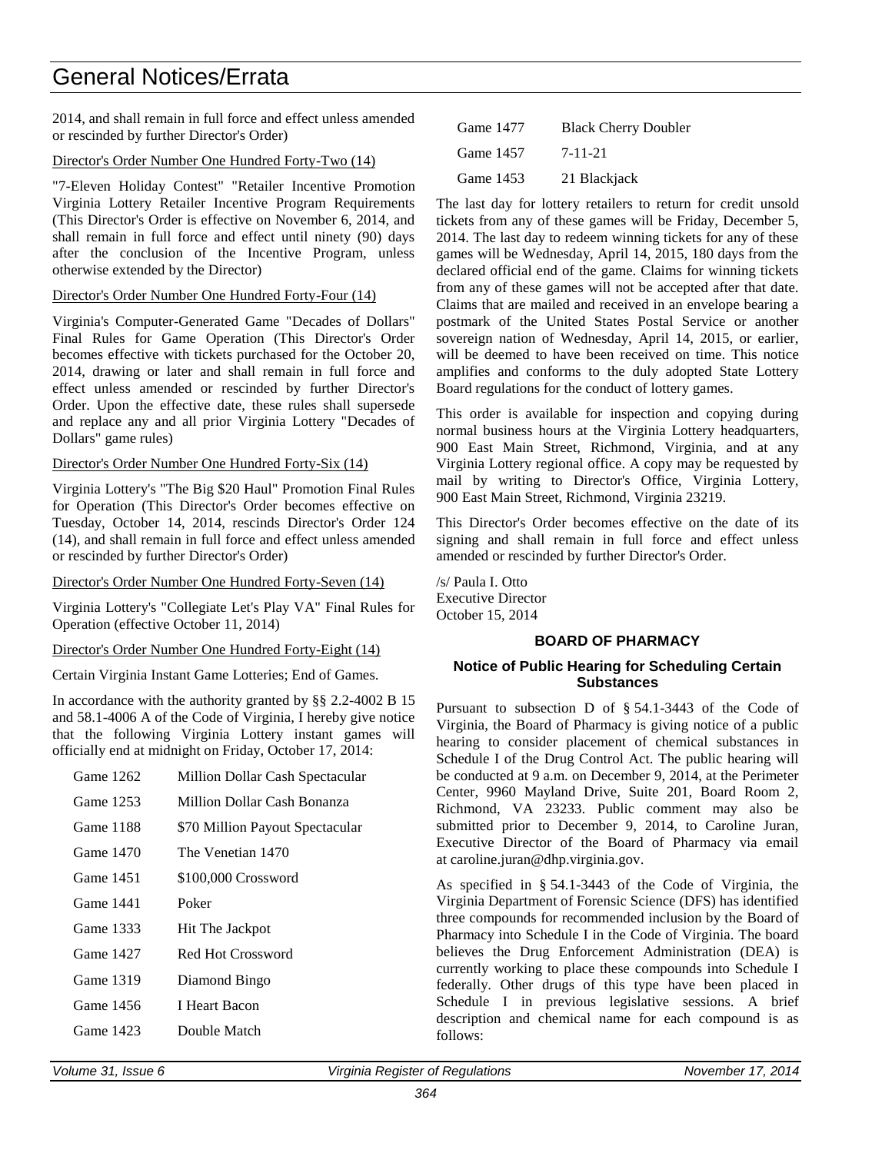2014, and shall remain in full force and effect unless amended or rescinded by further Director's Order)

#### Director's Order Number One Hundred Forty-Two (14)

"7-Eleven Holiday Contest" "Retailer Incentive Promotion Virginia Lottery Retailer Incentive Program Requirements (This Director's Order is effective on November 6, 2014, and shall remain in full force and effect until ninety (90) days after the conclusion of the Incentive Program, unless otherwise extended by the Director)

#### Director's Order Number One Hundred Forty-Four (14)

Virginia's Computer-Generated Game "Decades of Dollars" Final Rules for Game Operation (This Director's Order becomes effective with tickets purchased for the October 20, 2014, drawing or later and shall remain in full force and effect unless amended or rescinded by further Director's Order. Upon the effective date, these rules shall supersede and replace any and all prior Virginia Lottery "Decades of Dollars" game rules)

#### Director's Order Number One Hundred Forty-Six (14)

Virginia Lottery's "The Big \$20 Haul" Promotion Final Rules for Operation (This Director's Order becomes effective on Tuesday, October 14, 2014, rescinds Director's Order 124 (14), and shall remain in full force and effect unless amended or rescinded by further Director's Order)

#### Director's Order Number One Hundred Forty-Seven (14)

Virginia Lottery's "Collegiate Let's Play VA" Final Rules for Operation (effective October 11, 2014)

#### Director's Order Number One Hundred Forty-Eight (14)

Certain Virginia Instant Game Lotteries; End of Games.

In accordance with the authority granted by §§ 2.2-4002 B 15 and 58.1-4006 A of the Code of Virginia, I hereby give notice that the following Virginia Lottery instant games will officially end at midnight on Friday, October 17, 2014:

| Game 1262 | Million Dollar Cash Spectacular |
|-----------|---------------------------------|
| Game 1253 | Million Dollar Cash Bonanza     |
| Game 1188 | \$70 Million Payout Spectacular |
| Game 1470 | The Venetian 1470               |
| Game 1451 | \$100,000 Crossword             |
| Game 1441 | Poker                           |
| Game 1333 | Hit The Jackpot                 |
| Game 1427 | Red Hot Crossword               |
| Game 1319 | Diamond Bingo                   |
| Game 1456 | <b>I Heart Bacon</b>            |
| Game 1423 | Double Match                    |

| Game 1477 | <b>Black Cherry Doubler</b> |
|-----------|-----------------------------|
| Game 1457 | 7-11-21                     |
| Game 1453 | 21 Blackjack                |

The last day for lottery retailers to return for credit unsold tickets from any of these games will be Friday, December 5, 2014. The last day to redeem winning tickets for any of these games will be Wednesday, April 14, 2015, 180 days from the declared official end of the game. Claims for winning tickets from any of these games will not be accepted after that date. Claims that are mailed and received in an envelope bearing a postmark of the United States Postal Service or another sovereign nation of Wednesday, April 14, 2015, or earlier, will be deemed to have been received on time. This notice amplifies and conforms to the duly adopted State Lottery Board regulations for the conduct of lottery games.

This order is available for inspection and copying during normal business hours at the Virginia Lottery headquarters, 900 East Main Street, Richmond, Virginia, and at any Virginia Lottery regional office. A copy may be requested by mail by writing to Director's Office, Virginia Lottery, 900 East Main Street, Richmond, Virginia 23219.

This Director's Order becomes effective on the date of its signing and shall remain in full force and effect unless amended or rescinded by further Director's Order.

/s/ Paula I. Otto Executive Director October 15, 2014

#### **BOARD OF PHARMACY**

#### **Notice of Public Hearing for Scheduling Certain Substances**

Pursuant to subsection D of § 54.1-3443 of the Code of Virginia, the Board of Pharmacy is giving notice of a public hearing to consider placement of chemical substances in Schedule I of the Drug Control Act. The public hearing will be conducted at 9 a.m. on December 9, 2014, at the Perimeter Center, 9960 Mayland Drive, Suite 201, Board Room 2, Richmond, VA 23233. Public comment may also be submitted prior to December 9, 2014, to Caroline Juran, Executive Director of the Board of Pharmacy via email at [caroline.juran@dhp.virginia.gov.](mailto:caroline.juran@dhp.virginia.gov)

As specified in § 54.1-3443 of the Code of Virginia, the Virginia Department of Forensic Science (DFS) has identified three compounds for recommended inclusion by the Board of Pharmacy into Schedule I in the Code of Virginia. The board believes the Drug Enforcement Administration (DEA) is currently working to place these compounds into Schedule I federally. Other drugs of this type have been placed in Schedule I in previous legislative sessions. A brief description and chemical name for each compound is as follows: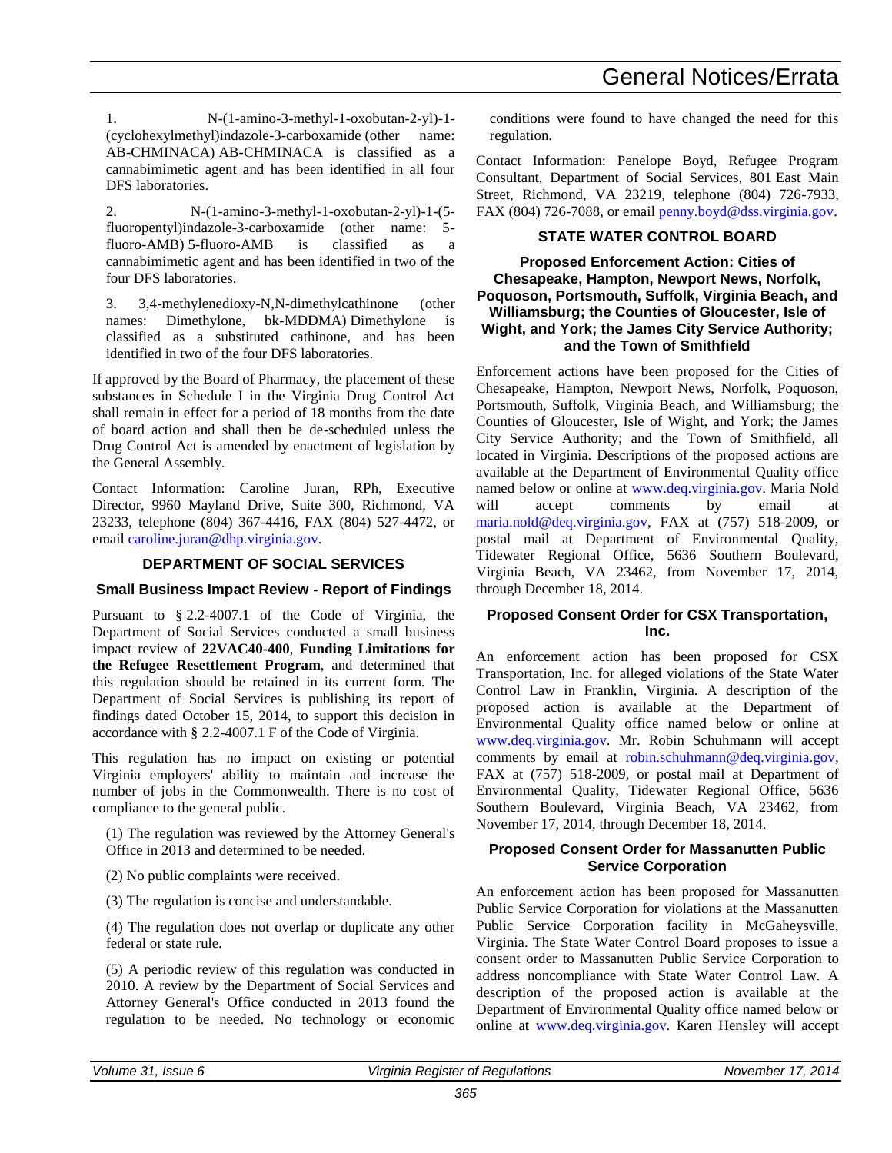1. N-(1-amino-3-methyl-1-oxobutan-2-yl)-1- (cyclohexylmethyl)indazole-3-carboxamide (other name: AB-CHMINACA) AB-CHMINACA is classified as a cannabimimetic agent and has been identified in all four DFS laboratories.

2. N-(1-amino-3-methyl-1-oxobutan-2-yl)-1-(5 fluoropentyl)indazole-3-carboxamide (other name: 5 fluoro-AMB) 5-fluoro-AMB is classified as a cannabimimetic agent and has been identified in two of the four DFS laboratories.

3. 3,4-methylenedioxy-N,N-dimethylcathinone (other names: Dimethylone, bk-MDDMA) Dimethylone is classified as a substituted cathinone, and has been identified in two of the four DFS laboratories.

If approved by the Board of Pharmacy, the placement of these substances in Schedule I in the Virginia Drug Control Act shall remain in effect for a period of 18 months from the date of board action and shall then be de-scheduled unless the Drug Control Act is amended by enactment of legislation by the General Assembly.

Contact Information: Caroline Juran, RPh, Executive Director, 9960 Mayland Drive, Suite 300, Richmond, VA 23233, telephone (804) 367-4416, FAX (804) 527-4472, or email [caroline.juran@dhp.virginia.gov.](mailto:caroline.juran@dhp.virginia.gov)

### **DEPARTMENT OF SOCIAL SERVICES**

### **Small Business Impact Review - Report of Findings**

Pursuant to § 2.2-4007.1 of the Code of Virginia, the Department of Social Services conducted a small business impact review of **22VAC40-400**, **Funding Limitations for the Refugee Resettlement Program**, and determined that this regulation should be retained in its current form. The Department of Social Services is publishing its report of findings dated October 15, 2014, to support this decision in accordance with § 2.2-4007.1 F of the Code of Virginia.

This regulation has no impact on existing or potential Virginia employers' ability to maintain and increase the number of jobs in the Commonwealth. There is no cost of compliance to the general public.

(1) The regulation was reviewed by the Attorney General's Office in 2013 and determined to be needed.

(2) No public complaints were received.

(3) The regulation is concise and understandable.

(4) The regulation does not overlap or duplicate any other federal or state rule.

(5) A periodic review of this regulation was conducted in 2010. A review by the Department of Social Services and Attorney General's Office conducted in 2013 found the regulation to be needed. No technology or economic

conditions were found to have changed the need for this regulation.

Contact Information: Penelope Boyd, Refugee Program Consultant, Department of Social Services, 801 East Main Street, Richmond, VA 23219, telephone (804) 726-7933, FAX (804) 726-7088, or email [penny.boyd@dss.virginia.gov.](mailto:penny.boyd@dss.virginia.gov)

#### **STATE WATER CONTROL BOARD**

#### **Proposed Enforcement Action: Cities of Chesapeake, Hampton, Newport News, Norfolk, Poquoson, Portsmouth, Suffolk, Virginia Beach, and Williamsburg; the Counties of Gloucester, Isle of Wight, and York; the James City Service Authority; and the Town of Smithfield**

Enforcement actions have been proposed for the Cities of Chesapeake, Hampton, Newport News, Norfolk, Poquoson, Portsmouth, Suffolk, Virginia Beach, and Williamsburg; the Counties of Gloucester, Isle of Wight, and York; the James City Service Authority; and the Town of Smithfield, all located in Virginia. Descriptions of the proposed actions are available at the Department of Environmental Quality office named below or online at [www.deq.virginia.gov.](http://www.deq.virginia.gov/) Maria Nold will accept comments by email at [maria.nold@deq.virginia.gov,](mailto:maria.nold@deq.virginia.gov) FAX at (757) 518-2009, or postal mail at Department of Environmental Quality, Tidewater Regional Office, 5636 Southern Boulevard, Virginia Beach, VA 23462, from November 17, 2014, through December 18, 2014.

#### **Proposed Consent Order for CSX Transportation, Inc.**

An enforcement action has been proposed for CSX Transportation, Inc. for alleged violations of the State Water Control Law in Franklin, Virginia. A description of the proposed action is available at the Department of Environmental Quality office named below or online at [www.deq.virginia.gov.](http://www.deq.virginia.gov/) Mr. Robin Schuhmann will accept comments by email at [robin.schuhmann@deq.virginia.gov,](mailto:robin.schuhmann@deq.virginia.gov) FAX at (757) 518-2009, or postal mail at Department of Environmental Quality, Tidewater Regional Office, 5636 Southern Boulevard, Virginia Beach, VA 23462, from November 17, 2014, through December 18, 2014.

#### **Proposed Consent Order for Massanutten Public Service Corporation**

An enforcement action has been proposed for Massanutten Public Service Corporation for violations at the Massanutten Public Service Corporation facility in McGaheysville, Virginia. The State Water Control Board proposes to issue a consent order to Massanutten Public Service Corporation to address noncompliance with State Water Control Law. A description of the proposed action is available at the Department of Environmental Quality office named below or online at [www.deq.virginia.gov.](http://www.deq.virginia.gov/) Karen Hensley will accept